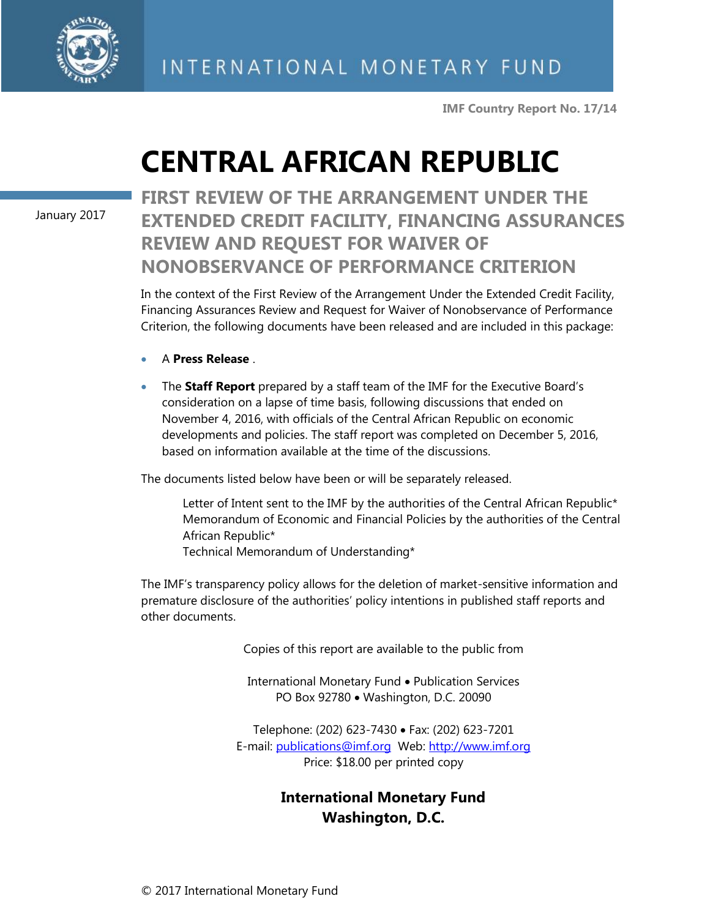

**IMF Country Report No. 17/14**

# **CENTRAL AFRICAN REPUBLIC**

January 2017

# **FIRST REVIEW OF THE ARRANGEMENT UNDER THE EXTENDED CREDIT FACILITY, FINANCING ASSURANCES REVIEW AND REQUEST FOR WAIVER OF NONOBSERVANCE OF PERFORMANCE CRITERION**

In the context of the First Review of the Arrangement Under the Extended Credit Facility, Financing Assurances Review and Request for Waiver of Nonobservance of Performance Criterion, the following documents have been released and are included in this package:

- A **Press Release** .
- The **Staff Report** prepared by a staff team of the IMF for the Executive Board's consideration on a lapse of time basis, following discussions that ended on November 4, 2016, with officials of the Central African Republic on economic developments and policies. The staff report was completed on December 5, 2016, based on information available at the time of the discussions.

The documents listed below have been or will be separately released.

Letter of Intent sent to the IMF by the authorities of the Central African Republic\* Memorandum of Economic and Financial Policies by the authorities of the Central African Republic\*

Technical Memorandum of Understanding\*

The IMF's transparency policy allows for the deletion of market-sensitive information and premature disclosure of the authorities' policy intentions in published staff reports and other documents.

Copies of this report are available to the public from

International Monetary Fund • Publication Services PO Box 92780 • Washington, D.C. 20090

Telephone: (202) 623-7430 Fax: (202) 623-7201 E-mail: [publications@imf.org](mailto:publications@imf.org) Web: [http://www.imf.org](http://0-www-imf-org.library.svsu.edu/) Price: \$18.00 per printed copy

# **International Monetary Fund Washington, D.C.**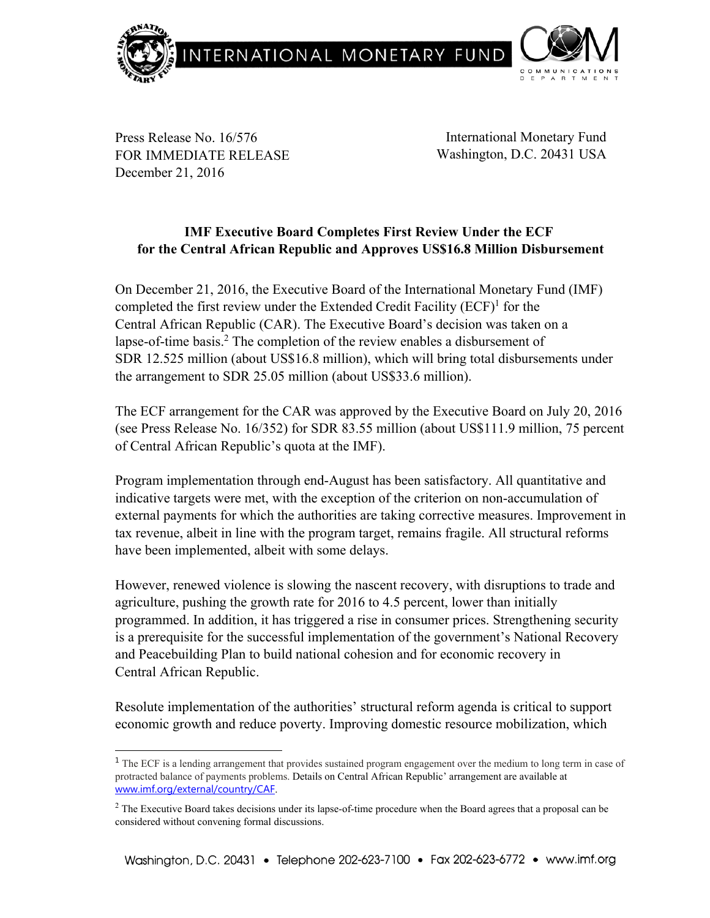

Press Release No. 16/576 FOR IMMEDIATE RELEASE December 21, 2016

-

International Monetary Fund Washington, D.C. 20431 USA

# **IMF Executive Board Completes First Review Under the ECF for the Central African Republic and Approves US\$16.8 Million Disbursement**

On December 21, 2016, the Executive Board of the International Monetary Fund (IMF) completed the first review under the Extended Credit Facility  $(ECF)^1$  for the Central African Republic (CAR). The Executive Board's decision was taken on a lapse-of-time basis.<sup>2</sup> The completion of the review enables a disbursement of SDR 12.525 million (about US\$16.8 million), which will bring total disbursements under the arrangement to SDR 25.05 million (about US\$33.6 million).

The ECF arrangement for the CAR was approved by the Executive Board on July 20, 2016 (see Press Release No. 16/352) for SDR 83.55 million (about US\$111.9 million, 75 percent of Central African Republic's quota at the IMF).

Program implementation through end-August has been satisfactory. All quantitative and indicative targets were met, with the exception of the criterion on non-accumulation of external payments for which the authorities are taking corrective measures. Improvement in tax revenue, albeit in line with the program target, remains fragile. All structural reforms have been implemented, albeit with some delays.

However, renewed violence is slowing the nascent recovery, with disruptions to trade and agriculture, pushing the growth rate for 2016 to 4.5 percent, lower than initially programmed. In addition, it has triggered a rise in consumer prices. Strengthening security is a prerequisite for the successful implementation of the government's National Recovery and Peacebuilding Plan to build national cohesion and for economic recovery in Central African Republic.

Resolute implementation of the authorities' structural reform agenda is critical to support economic growth and reduce poverty. Improving domestic resource mobilization, which

<sup>&</sup>lt;sup>1</sup> The ECF is a lending arrangement that provides sustained program engagement over the medium to long term in case of protracted balance of payments problems. Details on Central African Republic' arrangement are available at www.imf.org/external/country/CAF.

 $2$  The Executive Board takes decisions under its lapse-of-time procedure when the Board agrees that a proposal can be considered without convening formal discussions.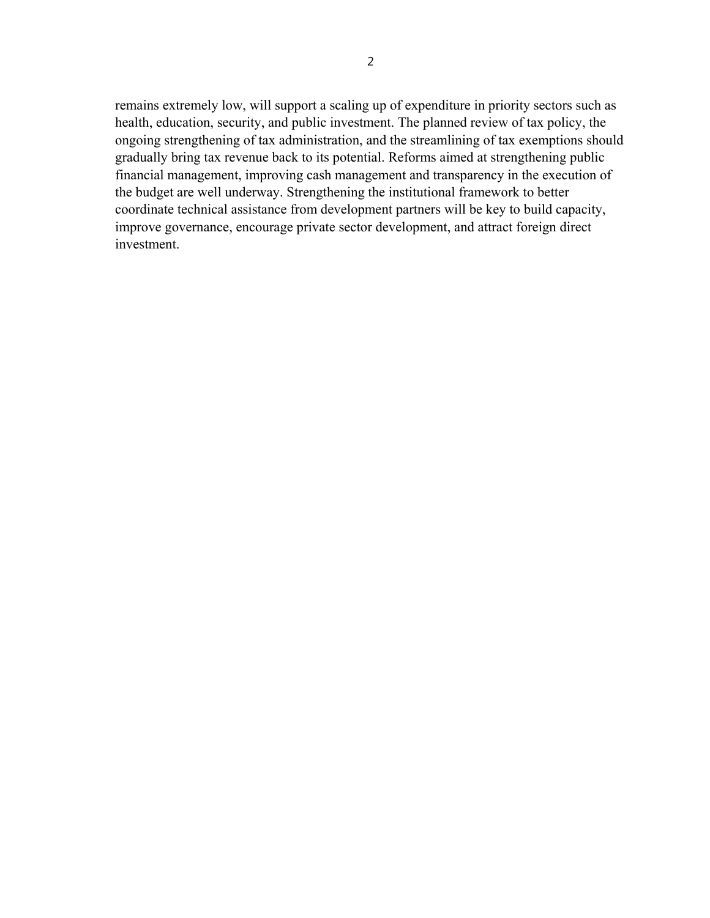remains extremely low, will support a scaling up of expenditure in priority sectors such as health, education, security, and public investment. The planned review of tax policy, the ongoing strengthening of tax administration, and the streamlining of tax exemptions should gradually bring tax revenue back to its potential. Reforms aimed at strengthening public financial management, improving cash management and transparency in the execution of the budget are well underway. Strengthening the institutional framework to better coordinate technical assistance from development partners will be key to build capacity, improve governance, encourage private sector development, and attract foreign direct investment.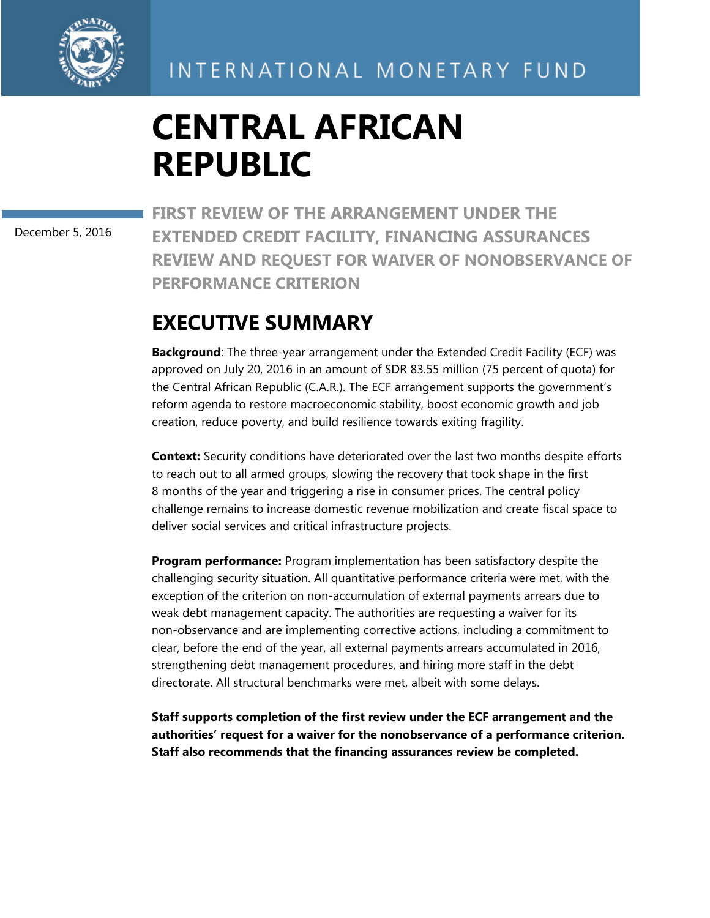

# **CENTRAL AFRICAN REPUBLIC**

December 5, 2016

**FIRST REVIEW OF THE ARRANGEMENT UNDER THE EXTENDED CREDIT FACILITY, FINANCING ASSURANCES REVIEW AND REQUEST FOR WAIVER OF NONOBSERVANCE OF PERFORMANCE CRITERION**

# **EXECUTIVE SUMMARY**

**Background**: The three-year arrangement under the Extended Credit Facility (ECF) was approved on July 20, 2016 in an amount of SDR 83.55 million (75 percent of quota) for the Central African Republic (C.A.R.). The ECF arrangement supports the government's reform agenda to restore macroeconomic stability, boost economic growth and job creation, reduce poverty, and build resilience towards exiting fragility.

**Context:** Security conditions have deteriorated over the last two months despite efforts to reach out to all armed groups, slowing the recovery that took shape in the first 8 months of the year and triggering a rise in consumer prices. The central policy challenge remains to increase domestic revenue mobilization and create fiscal space to deliver social services and critical infrastructure projects.

**Program performance:** Program implementation has been satisfactory despite the challenging security situation. All quantitative performance criteria were met, with the exception of the criterion on non-accumulation of external payments arrears due to weak debt management capacity. The authorities are requesting a waiver for its non-observance and are implementing corrective actions, including a commitment to clear, before the end of the year, all external payments arrears accumulated in 2016, strengthening debt management procedures, and hiring more staff in the debt directorate. All structural benchmarks were met, albeit with some delays.

**Staff supports completion of the first review under the ECF arrangement and the authorities' request for a waiver for the nonobservance of a performance criterion. Staff also recommends that the financing assurances review be completed.**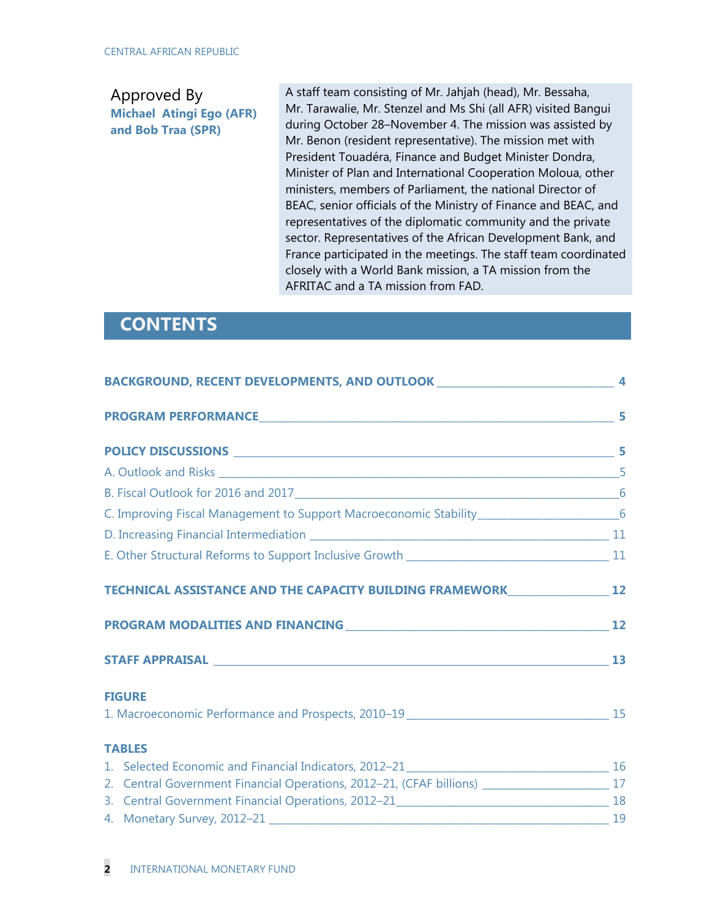### Approved By **Michael Atingi Ego (AFR) and Bob Traa (SPR)**

A staff team consisting of Mr. Jahjah (head), Mr. Bessaha, Mr. Tarawalie, Mr. Stenzel and Ms Shi (all AFR) visited Bangui during October 28–November 4. The mission was assisted by Mr. Benon (resident representative). The mission met with President Touadéra, Finance and Budget Minister Dondra, Minister of Plan and International Cooperation Moloua, other ministers, members of Parliament, the national Director of BEAC, senior officials of the Ministry of Finance and BEAC, and representatives of the diplomatic community and the private sector. Representatives of the African Development Bank, and France participated in the meetings. The staff team coordinated closely with a World Bank mission, a TA mission from the AFRITAC and a TA mission from FAD.

# **CONTENTS**

| TECHNICAL ASSISTANCE AND THE CAPACITY BUILDING FRAMEWORK 12 12                                     |  |
|----------------------------------------------------------------------------------------------------|--|
|                                                                                                    |  |
|                                                                                                    |  |
| <b>FIGURE</b><br>15 All Macroeconomic Performance and Prospects, 2010-19 _________________________ |  |
| <b>TABLES</b>                                                                                      |  |
|                                                                                                    |  |
| 2. Central Government Financial Operations, 2012-21, (CFAF billions) _______________________17     |  |
|                                                                                                    |  |
|                                                                                                    |  |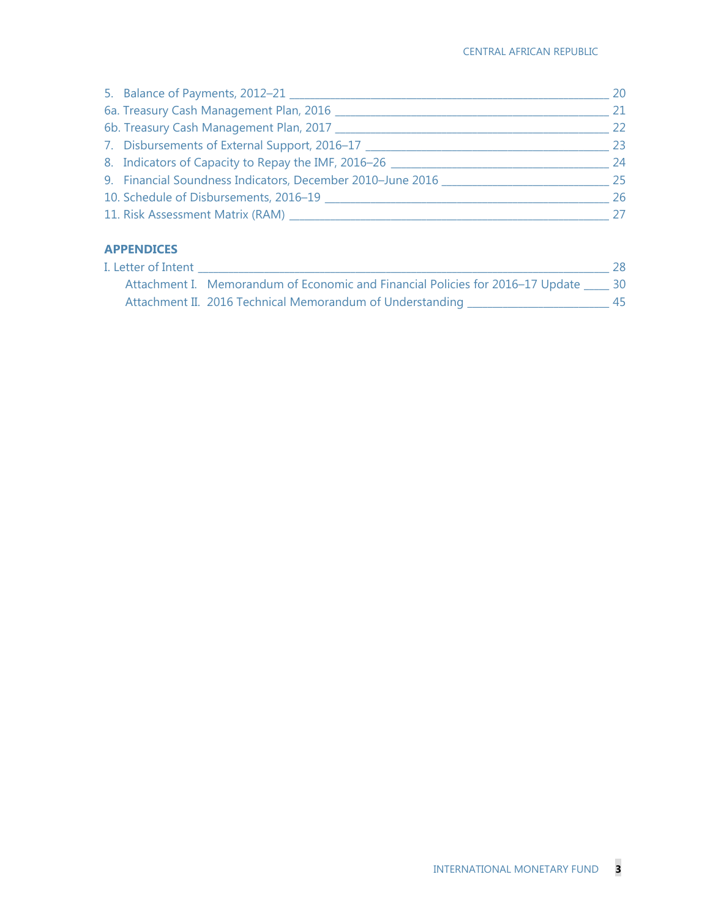| 5. Balance of Payments, 2012-21 __________                 | 20  |
|------------------------------------------------------------|-----|
| 6a. Treasury Cash Management Plan, 2016                    | 21  |
| 6b. Treasury Cash Management Plan, 2017 _______            | 22  |
| 7. Disbursements of External Support, 2016–17              | 23  |
| 8. Indicators of Capacity to Repay the IMF, 2016-26        | 24  |
| 9. Financial Soundness Indicators, December 2010-June 2016 | -25 |
| 10. Schedule of Disbursements, 2016-19                     | 26  |
| 11. Risk Assessment Matrix (RAM)                           | 27  |

# **APPENDICES**

| I. Letter of Intent |                                                                                         | 28 |
|---------------------|-----------------------------------------------------------------------------------------|----|
|                     | Attachment I. Memorandum of Economic and Financial Policies for 2016–17 Update _____ 30 |    |
|                     | Attachment II. 2016 Technical Memorandum of Understanding                               |    |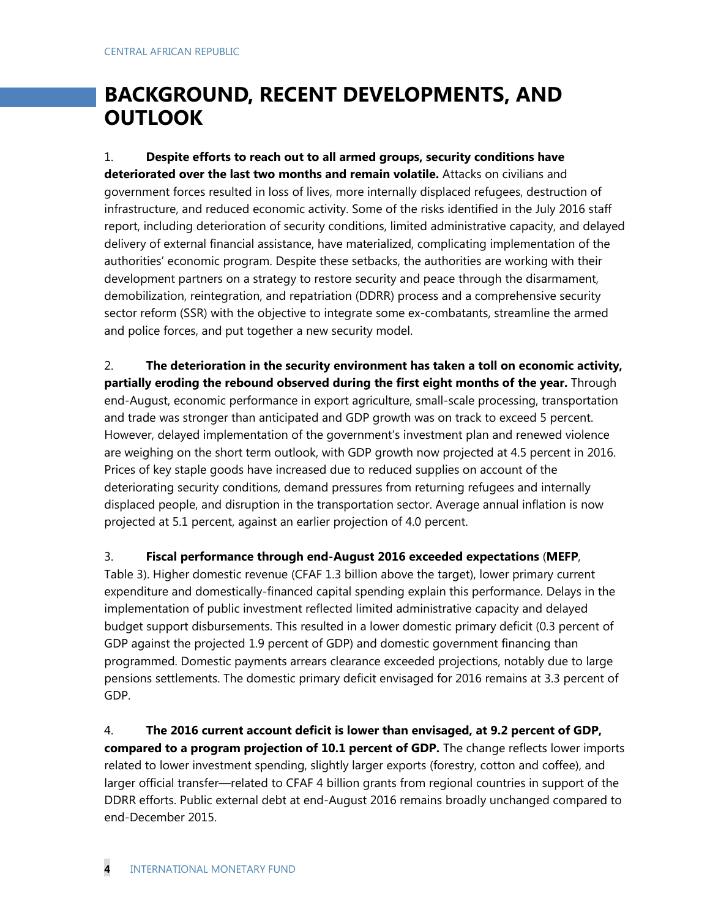# **BACKGROUND, RECENT DEVELOPMENTS, AND OUTLOOK**

1. **Despite efforts to reach out to all armed groups, security conditions have deteriorated over the last two months and remain volatile.** Attacks on civilians and government forces resulted in loss of lives, more internally displaced refugees, destruction of infrastructure, and reduced economic activity. Some of the risks identified in the July 2016 staff report, including deterioration of security conditions, limited administrative capacity, and delayed delivery of external financial assistance, have materialized, complicating implementation of the authorities' economic program. Despite these setbacks, the authorities are working with their development partners on a strategy to restore security and peace through the disarmament, demobilization, reintegration, and repatriation (DDRR) process and a comprehensive security sector reform (SSR) with the objective to integrate some ex-combatants, streamline the armed and police forces, and put together a new security model.

2. **The deterioration in the security environment has taken a toll on economic activity, partially eroding the rebound observed during the first eight months of the year.** Through end-August, economic performance in export agriculture, small-scale processing, transportation and trade was stronger than anticipated and GDP growth was on track to exceed 5 percent. However, delayed implementation of the government's investment plan and renewed violence are weighing on the short term outlook, with GDP growth now projected at 4.5 percent in 2016. Prices of key staple goods have increased due to reduced supplies on account of the deteriorating security conditions, demand pressures from returning refugees and internally displaced people, and disruption in the transportation sector. Average annual inflation is now projected at 5.1 percent, against an earlier projection of 4.0 percent.

3. **Fiscal performance through end-August 2016 exceeded expectations** (**MEFP**, Table 3). Higher domestic revenue (CFAF 1.3 billion above the target), lower primary current expenditure and domestically-financed capital spending explain this performance. Delays in the implementation of public investment reflected limited administrative capacity and delayed budget support disbursements. This resulted in a lower domestic primary deficit (0.3 percent of GDP against the projected 1.9 percent of GDP) and domestic government financing than programmed. Domestic payments arrears clearance exceeded projections, notably due to large pensions settlements. The domestic primary deficit envisaged for 2016 remains at 3.3 percent of GDP.

4. **The 2016 current account deficit is lower than envisaged, at 9.2 percent of GDP, compared to a program projection of 10.1 percent of GDP.** The change reflects lower imports related to lower investment spending, slightly larger exports (forestry, cotton and coffee), and larger official transfer—related to CFAF 4 billion grants from regional countries in support of the DDRR efforts. Public external debt at end-August 2016 remains broadly unchanged compared to end-December 2015.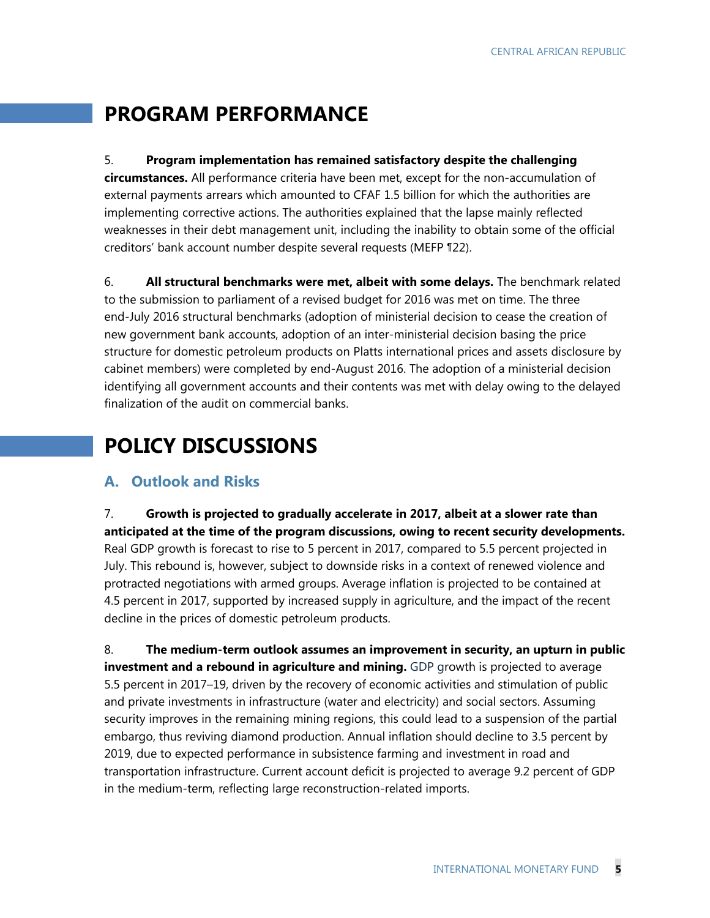# **PROGRAM PERFORMANCE**

### 5. **Program implementation has remained satisfactory despite the challenging**

**circumstances.** All performance criteria have been met, except for the non-accumulation of external payments arrears which amounted to CFAF 1.5 billion for which the authorities are implementing corrective actions. The authorities explained that the lapse mainly reflected weaknesses in their debt management unit, including the inability to obtain some of the official creditors' bank account number despite several requests (MEFP ¶22).

6. **All structural benchmarks were met, albeit with some delays.** The benchmark related to the submission to parliament of a revised budget for 2016 was met on time. The three end-July 2016 structural benchmarks (adoption of ministerial decision to cease the creation of new government bank accounts, adoption of an inter-ministerial decision basing the price structure for domestic petroleum products on Platts international prices and assets disclosure by cabinet members) were completed by end-August 2016. The adoption of a ministerial decision identifying all government accounts and their contents was met with delay owing to the delayed finalization of the audit on commercial banks.

# **POLICY DISCUSSIONS**

# **A. Outlook and Risks**

7. **Growth is projected to gradually accelerate in 2017, albeit at a slower rate than anticipated at the time of the program discussions, owing to recent security developments.**  Real GDP growth is forecast to rise to 5 percent in 2017, compared to 5.5 percent projected in July. This rebound is, however, subject to downside risks in a context of renewed violence and protracted negotiations with armed groups. Average inflation is projected to be contained at 4.5 percent in 2017, supported by increased supply in agriculture, and the impact of the recent decline in the prices of domestic petroleum products.

8. **The medium-term outlook assumes an improvement in security, an upturn in public investment and a rebound in agriculture and mining.** GDP growth is projected to average 5.5 percent in 2017–19, driven by the recovery of economic activities and stimulation of public and private investments in infrastructure (water and electricity) and social sectors. Assuming security improves in the remaining mining regions, this could lead to a suspension of the partial embargo, thus reviving diamond production. Annual inflation should decline to 3.5 percent by 2019, due to expected performance in subsistence farming and investment in road and transportation infrastructure. Current account deficit is projected to average 9.2 percent of GDP in the medium-term, reflecting large reconstruction-related imports.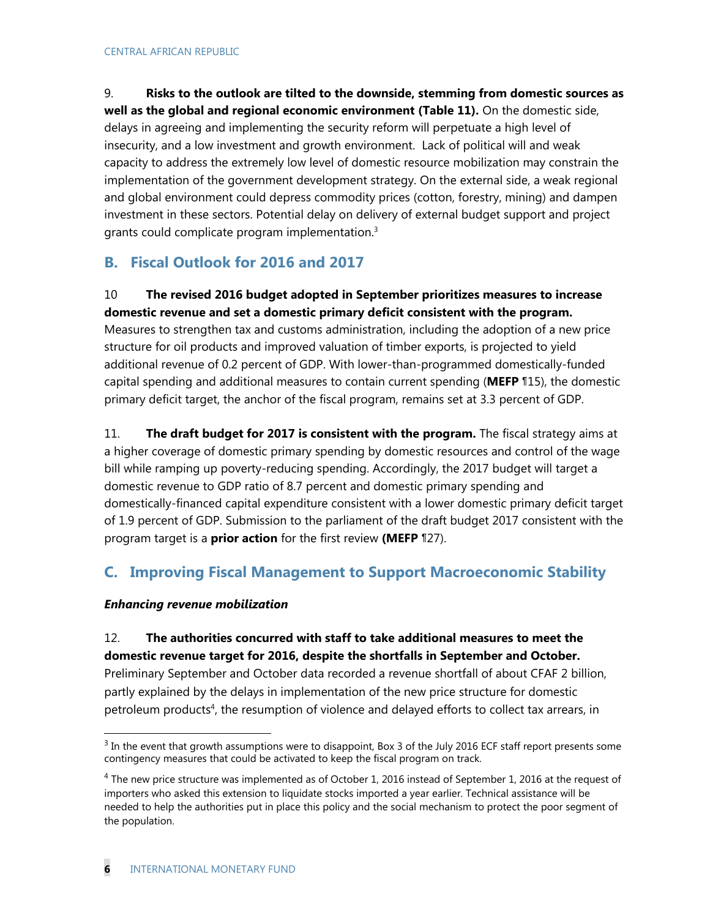9. **Risks to the outlook are tilted to the downside, stemming from domestic sources as well as the global and regional economic environment (Table 11).** On the domestic side, delays in agreeing and implementing the security reform will perpetuate a high level of insecurity, and a low investment and growth environment. Lack of political will and weak capacity to address the extremely low level of domestic resource mobilization may constrain the implementation of the government development strategy. On the external side, a weak regional and global environment could depress commodity prices (cotton, forestry, mining) and dampen investment in these sectors. Potential delay on delivery of external budget support and project grants could complicate program implementation.3

# **B. Fiscal Outlook for 2016 and 2017**

### 10 **The revised 2016 budget adopted in September prioritizes measures to increase domestic revenue and set a domestic primary deficit consistent with the program.**

Measures to strengthen tax and customs administration, including the adoption of a new price structure for oil products and improved valuation of timber exports, is projected to yield additional revenue of 0.2 percent of GDP. With lower-than-programmed domestically-funded capital spending and additional measures to contain current spending (**MEFP** ¶15), the domestic primary deficit target, the anchor of the fiscal program, remains set at 3.3 percent of GDP.

11. **The draft budget for 2017 is consistent with the program.** The fiscal strategy aims at a higher coverage of domestic primary spending by domestic resources and control of the wage bill while ramping up poverty-reducing spending. Accordingly, the 2017 budget will target a domestic revenue to GDP ratio of 8.7 percent and domestic primary spending and domestically-financed capital expenditure consistent with a lower domestic primary deficit target of 1.9 percent of GDP. Submission to the parliament of the draft budget 2017 consistent with the program target is a **prior action** for the first review **(MEFP** ¶27).

# **C. Improving Fiscal Management to Support Macroeconomic Stability**

### *Enhancing revenue mobilization*

 $\overline{a}$ 

12. **The authorities concurred with staff to take additional measures to meet the domestic revenue target for 2016, despite the shortfalls in September and October.**  Preliminary September and October data recorded a revenue shortfall of about CFAF 2 billion, partly explained by the delays in implementation of the new price structure for domestic petroleum products<sup>4</sup>, the resumption of violence and delayed efforts to collect tax arrears, in

 $3$  In the event that growth assumptions were to disappoint, Box 3 of the July 2016 ECF staff report presents some contingency measures that could be activated to keep the fiscal program on track.

 $4$  The new price structure was implemented as of October 1, 2016 instead of September 1, 2016 at the request of importers who asked this extension to liquidate stocks imported a year earlier. Technical assistance will be needed to help the authorities put in place this policy and the social mechanism to protect the poor segment of the population.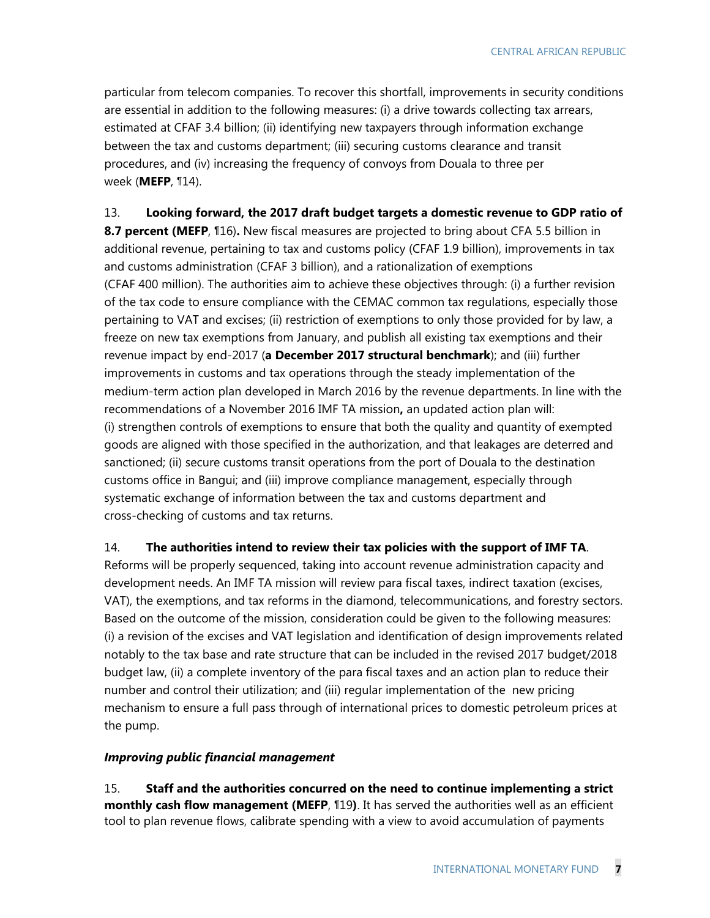particular from telecom companies. To recover this shortfall, improvements in security conditions are essential in addition to the following measures: (i) a drive towards collecting tax arrears, estimated at CFAF 3.4 billion; (ii) identifying new taxpayers through information exchange between the tax and customs department; (iii) securing customs clearance and transit procedures, and (iv) increasing the frequency of convoys from Douala to three per week (**MEFP**, ¶14).

#### 13. **Looking forward, the 2017 draft budget targets a domestic revenue to GDP ratio of**

**8.7 percent (MEFP**, ¶16)**.** New fiscal measures are projected to bring about CFA 5.5 billion in additional revenue, pertaining to tax and customs policy (CFAF 1.9 billion), improvements in tax and customs administration (CFAF 3 billion), and a rationalization of exemptions (CFAF 400 million). The authorities aim to achieve these objectives through: (i) a further revision of the tax code to ensure compliance with the CEMAC common tax regulations, especially those pertaining to VAT and excises; (ii) restriction of exemptions to only those provided for by law, a freeze on new tax exemptions from January, and publish all existing tax exemptions and their revenue impact by end-2017 (**a December 2017 structural benchmark**); and (iii) further improvements in customs and tax operations through the steady implementation of the medium-term action plan developed in March 2016 by the revenue departments. In line with the recommendations of a November 2016 IMF TA mission**,** an updated action plan will: (i) strengthen controls of exemptions to ensure that both the quality and quantity of exempted goods are aligned with those specified in the authorization, and that leakages are deterred and sanctioned; (ii) secure customs transit operations from the port of Douala to the destination customs office in Bangui; and (iii) improve compliance management, especially through systematic exchange of information between the tax and customs department and cross-checking of customs and tax returns.

#### 14. **The authorities intend to review their tax policies with the support of IMF TA**.

Reforms will be properly sequenced, taking into account revenue administration capacity and development needs. An IMF TA mission will review para fiscal taxes, indirect taxation (excises, VAT), the exemptions, and tax reforms in the diamond, telecommunications, and forestry sectors. Based on the outcome of the mission, consideration could be given to the following measures: (i) a revision of the excises and VAT legislation and identification of design improvements related notably to the tax base and rate structure that can be included in the revised 2017 budget/2018 budget law, (ii) a complete inventory of the para fiscal taxes and an action plan to reduce their number and control their utilization; and (iii) regular implementation of the new pricing mechanism to ensure a full pass through of international prices to domestic petroleum prices at the pump.

#### *Improving public financial management*

15. **Staff and the authorities concurred on the need to continue implementing a strict monthly cash flow management (MEFP**, ¶19**)**. It has served the authorities well as an efficient tool to plan revenue flows, calibrate spending with a view to avoid accumulation of payments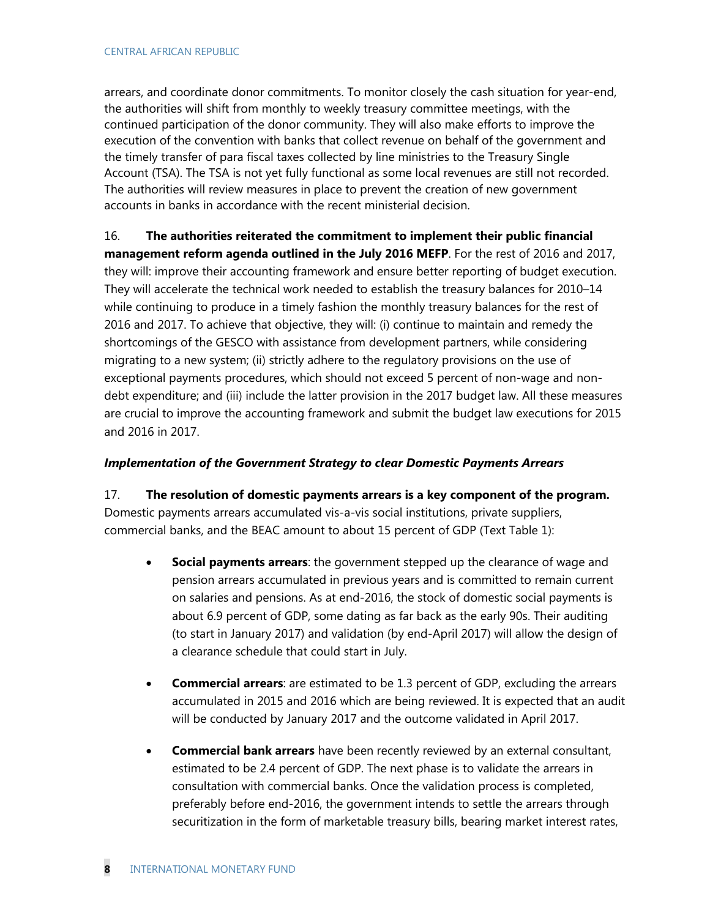arrears, and coordinate donor commitments. To monitor closely the cash situation for year-end, the authorities will shift from monthly to weekly treasury committee meetings, with the continued participation of the donor community. They will also make efforts to improve the execution of the convention with banks that collect revenue on behalf of the government and the timely transfer of para fiscal taxes collected by line ministries to the Treasury Single Account (TSA). The TSA is not yet fully functional as some local revenues are still not recorded. The authorities will review measures in place to prevent the creation of new government accounts in banks in accordance with the recent ministerial decision.

16. **The authorities reiterated the commitment to implement their public financial management reform agenda outlined in the July 2016 MEFP**. For the rest of 2016 and 2017, they will: improve their accounting framework and ensure better reporting of budget execution. They will accelerate the technical work needed to establish the treasury balances for 2010–14 while continuing to produce in a timely fashion the monthly treasury balances for the rest of 2016 and 2017. To achieve that objective, they will: (i) continue to maintain and remedy the shortcomings of the GESCO with assistance from development partners, while considering migrating to a new system; (ii) strictly adhere to the regulatory provisions on the use of exceptional payments procedures, which should not exceed 5 percent of non-wage and nondebt expenditure; and (iii) include the latter provision in the 2017 budget law. All these measures are crucial to improve the accounting framework and submit the budget law executions for 2015 and 2016 in 2017.

### *Implementation of the Government Strategy to clear Domestic Payments Arrears*

17. **The resolution of domestic payments arrears is a key component of the program.**  Domestic payments arrears accumulated vis-a-vis social institutions, private suppliers, commercial banks, and the BEAC amount to about 15 percent of GDP (Text Table 1):

- **Social payments arrears**: the government stepped up the clearance of wage and pension arrears accumulated in previous years and is committed to remain current on salaries and pensions. As at end-2016, the stock of domestic social payments is about 6.9 percent of GDP, some dating as far back as the early 90s. Their auditing (to start in January 2017) and validation (by end-April 2017) will allow the design of a clearance schedule that could start in July.
- **Commercial arrears**: are estimated to be 1.3 percent of GDP, excluding the arrears accumulated in 2015 and 2016 which are being reviewed. It is expected that an audit will be conducted by January 2017 and the outcome validated in April 2017.
- **Commercial bank arrears** have been recently reviewed by an external consultant, estimated to be 2.4 percent of GDP. The next phase is to validate the arrears in consultation with commercial banks. Once the validation process is completed, preferably before end-2016, the government intends to settle the arrears through securitization in the form of marketable treasury bills, bearing market interest rates,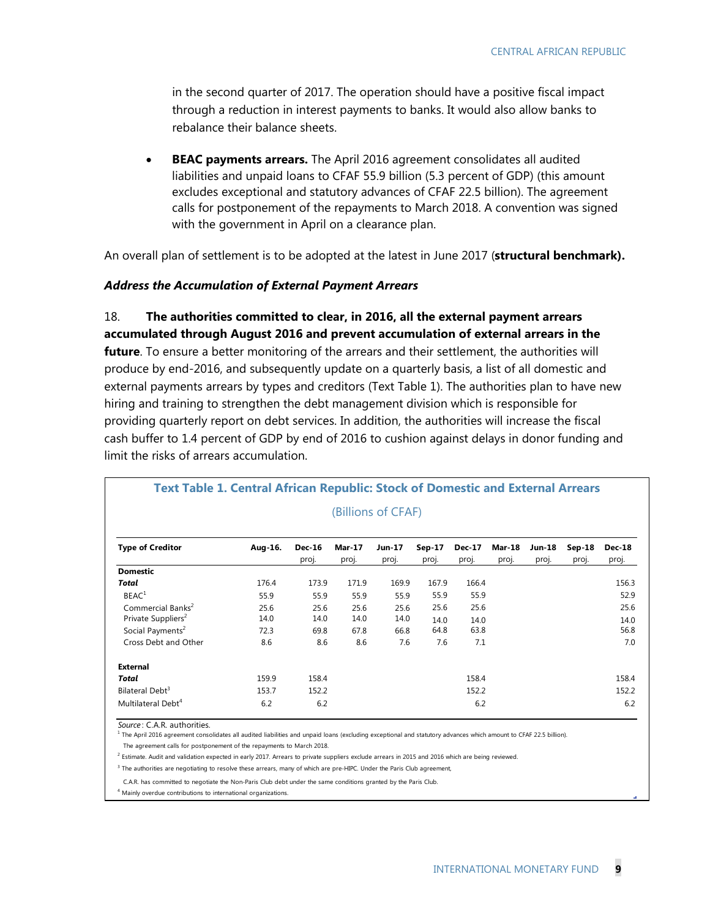in the second quarter of 2017. The operation should have a positive fiscal impact through a reduction in interest payments to banks. It would also allow banks to rebalance their balance sheets.

 **BEAC payments arrears.** The April 2016 agreement consolidates all audited liabilities and unpaid loans to CFAF 55.9 billion (5.3 percent of GDP) (this amount excludes exceptional and statutory advances of CFAF 22.5 billion). The agreement calls for postponement of the repayments to March 2018. A convention was signed with the government in April on a clearance plan.

An overall plan of settlement is to be adopted at the latest in June 2017 (**structural benchmark).** 

#### *Address the Accumulation of External Payment Arrears*

18. **The authorities committed to clear, in 2016, all the external payment arrears accumulated through August 2016 and prevent accumulation of external arrears in the future**. To ensure a better monitoring of the arrears and their settlement, the authorities will produce by end-2016, and subsequently update on a quarterly basis, a list of all domestic and external payments arrears by types and creditors (Text Table 1). The authorities plan to have new hiring and training to strengthen the debt management division which is responsible for providing quarterly report on debt services. In addition, the authorities will increase the fiscal cash buffer to 1.4 percent of GDP by end of 2016 to cushion against delays in donor funding and limit the risks of arrears accumulation.

|                                                                 |              |                        |                        | (Billions of CFAF) |                   |                        |                        |                        |                   |                        |
|-----------------------------------------------------------------|--------------|------------------------|------------------------|--------------------|-------------------|------------------------|------------------------|------------------------|-------------------|------------------------|
| <b>Type of Creditor</b>                                         | Aug-16.      | <b>Dec-16</b><br>proj. | <b>Mar-17</b><br>proj. | Jun 17<br>proj.    | $Sep-17$<br>proj. | <b>Dec-17</b><br>proj. | <b>Mar-18</b><br>proj. | <b>Jun-18</b><br>proj. | $Sep-18$<br>proj. | <b>Dec-18</b><br>proj. |
| <b>Domestic</b>                                                 |              |                        |                        |                    |                   |                        |                        |                        |                   |                        |
| Total                                                           | 176.4        | 173.9                  | 171.9                  | 169.9              | 167.9             | 166.4                  |                        |                        |                   | 156.3                  |
| BEAC <sup>1</sup>                                               | 55.9         | 55.9                   | 55.9                   | 55.9               | 55.9              | 55.9                   |                        |                        |                   | 52.9                   |
| Commercial Banks <sup>2</sup><br>Private Suppliers <sup>2</sup> | 25.6<br>14.0 | 25.6<br>14.0           | 25.6<br>14.0           | 25.6<br>14.0       | 25.6<br>14.0      | 25.6<br>14.0           |                        |                        |                   | 25.6<br>14.0           |
| Social Payments <sup>2</sup>                                    | 72.3         | 69.8                   | 67.8                   | 66.8               | 64.8              | 63.8                   |                        |                        |                   | 56.8                   |
| Cross Debt and Other                                            | 8.6          | 8.6                    | 8.6                    | 7.6                | 7.6               | 7.1                    |                        |                        |                   | 7.0                    |
| <b>External</b>                                                 |              |                        |                        |                    |                   |                        |                        |                        |                   |                        |
| <b>Total</b>                                                    | 159.9        | 158.4                  |                        |                    |                   | 158.4                  |                        |                        |                   | 158.4                  |
| Bilateral Debt <sup>3</sup>                                     | 153.7        | 152.2                  |                        |                    |                   | 152.2                  |                        |                        |                   | 152.2                  |
| Multilateral Debt <sup>4</sup>                                  | 6.2          | 6.2                    |                        |                    |                   | 6.2                    |                        |                        |                   | 6.2                    |

# **Text Table 1. Central African Republic: Stock of Domestic and External Arrears**

*Source* : C.A.R. authorities.

<sup>1</sup> The April 2016 agreement consolidates all audited liabilities and unpaid loans (excluding exceptional and statutory advances which amount to CFAF 22.5 billion).

The agreement calls for postponement of the repayments to March 2018.

<sup>2</sup> Estimate. Audit and validation expected in early 2017. Arrears to private suppliers exclude arrears in 2015 and 2016 which are being reviewed.

<sup>3</sup> The authorities are negotiating to resolve these arrears, many of which are pre-HIPC. Under the Paris Club agreement,

C.A.R. has committed to negotiate the Non-Paris Club debt under the same conditions granted by the Paris Club.

4 Mainly overdue contributions to international organizations.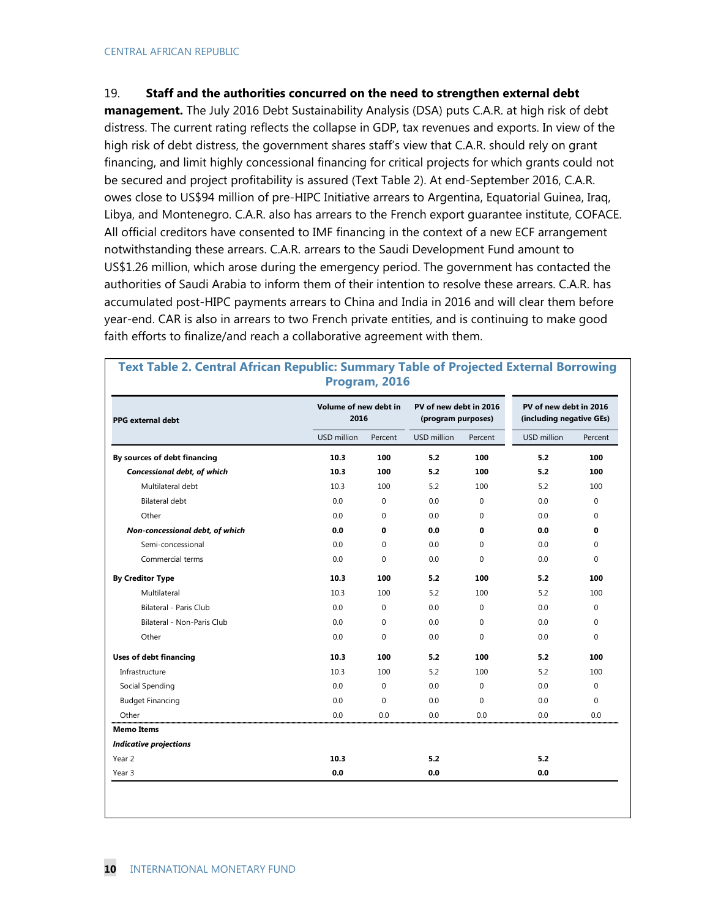#### 19. **Staff and the authorities concurred on the need to strengthen external debt**

**management.** The July 2016 Debt Sustainability Analysis (DSA) puts C.A.R. at high risk of debt distress. The current rating reflects the collapse in GDP, tax revenues and exports. In view of the high risk of debt distress, the government shares staff's view that C.A.R. should rely on grant financing, and limit highly concessional financing for critical projects for which grants could not be secured and project profitability is assured (Text Table 2). At end-September 2016, C.A.R. owes close to US\$94 million of pre-HIPC Initiative arrears to Argentina, Equatorial Guinea, Iraq, Libya, and Montenegro. C.A.R. also has arrears to the French export guarantee institute, COFACE. All official creditors have consented to IMF financing in the context of a new ECF arrangement notwithstanding these arrears. C.A.R. arrears to the Saudi Development Fund amount to US\$1.26 million, which arose during the emergency period. The government has contacted the authorities of Saudi Arabia to inform them of their intention to resolve these arrears. C.A.R. has accumulated post-HIPC payments arrears to China and India in 2016 and will clear them before year-end. CAR is also in arrears to two French private entities, and is continuing to make good faith efforts to finalize/and reach a collaborative agreement with them.

| <b>PPG external debt</b>        | Volume of new debt in<br>2016 |             | PV of new debt in 2016<br>(program purposes) |             | PV of new debt in 2016<br>(including negative GEs) |          |
|---------------------------------|-------------------------------|-------------|----------------------------------------------|-------------|----------------------------------------------------|----------|
|                                 | USD million                   | Percent     | USD million                                  | Percent     | USD million                                        | Percent  |
| By sources of debt financing    | 10.3                          | 100         | 5.2                                          | 100         | 5.2                                                | 100      |
| Concessional debt, of which     | 10.3                          | 100         | 5.2                                          | 100         | 5.2                                                | 100      |
| Multilateral debt               | 10.3                          | 100         | 5.2                                          | 100         | 5.2                                                | 100      |
| <b>Bilateral debt</b>           | 0.0                           | 0           | 0.0                                          | $\mathbf 0$ | 0.0                                                | $\Omega$ |
| Other                           | 0.0                           | $\Omega$    | 0.0                                          | $\mathbf 0$ | 0.0                                                | $\Omega$ |
| Non-concessional debt, of which | 0.0                           | 0           | 0.0                                          | 0           | 0.0                                                | 0        |
| Semi-concessional               | 0.0                           | $\Omega$    | 0.0                                          | $\mathbf 0$ | 0.0                                                | $\Omega$ |
| Commercial terms                | 0.0                           | 0           | $0.0\,$                                      | $\mathbf 0$ | 0.0                                                | $\Omega$ |
| <b>By Creditor Type</b>         | 10.3                          | 100         | 5.2                                          | 100         | 5.2                                                | 100      |
| Multilateral                    | 10.3                          | 100         | 5.2                                          | 100         | 5.2                                                | 100      |
| <b>Bilateral - Paris Club</b>   | 0.0                           | 0           | 0.0                                          | $\mathbf 0$ | 0.0                                                | $\Omega$ |
| Bilateral - Non-Paris Club      | 0.0                           | 0           | 0.0                                          | $\mathbf 0$ | 0.0                                                | $\Omega$ |
| Other                           | 0.0                           | $\Omega$    | 0.0                                          | $\Omega$    | 0.0                                                | $\Omega$ |
| <b>Uses of debt financing</b>   | 10.3                          | 100         | 5.2                                          | 100         | 5.2                                                | 100      |
| Infrastructure                  | 10.3                          | 100         | 5.2                                          | 100         | 5.2                                                | 100      |
| Social Spending                 | 0.0                           | $\mathbf 0$ | 0.0                                          | $\mathbf 0$ | 0.0                                                | $\Omega$ |
| <b>Budget Financing</b>         | 0.0                           | 0           | 0.0                                          | $\mathbf 0$ | 0.0                                                | $\Omega$ |
| Other                           | 0.0                           | 0.0         | 0.0                                          | 0.0         | 0.0                                                | 0.0      |
| <b>Memo Items</b>               |                               |             |                                              |             |                                                    |          |
| <b>Indicative projections</b>   |                               |             |                                              |             |                                                    |          |
| Year 2                          | 10.3                          |             | 5.2                                          |             | 5.2                                                |          |
| Year 3                          | 0.0                           |             | 0.0                                          |             | 0.0                                                |          |

**Text Table 2. Central African Republic: Summary Table of Projected External Borrowing Program, 2016**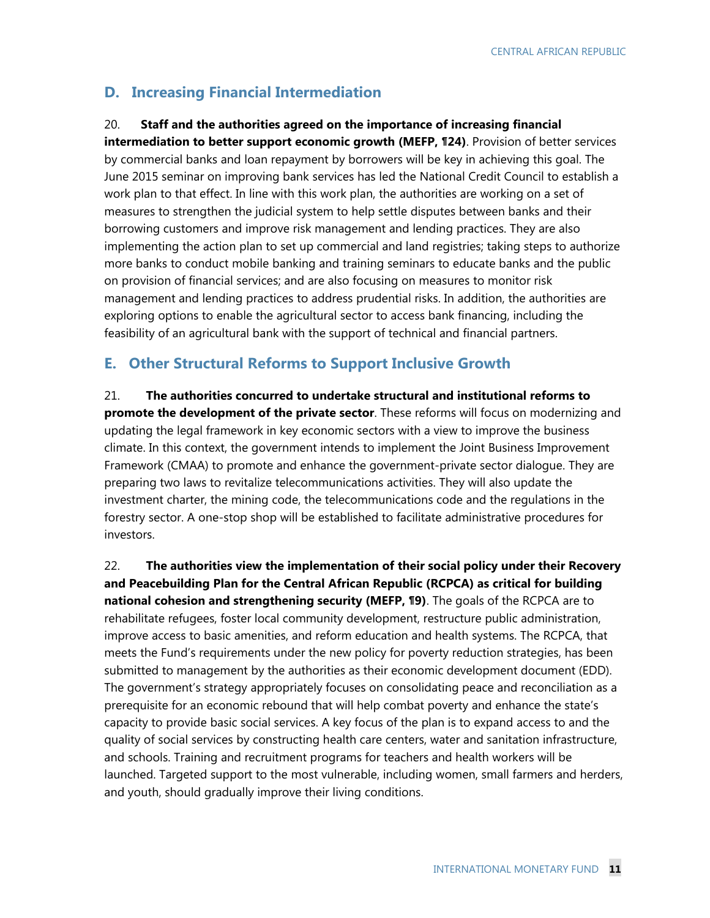### **D. Increasing Financial Intermediation**

### 20. **Staff and the authorities agreed on the importance of increasing financial**

**intermediation to better support economic growth (MEFP, ¶24)**. Provision of better services by commercial banks and loan repayment by borrowers will be key in achieving this goal. The June 2015 seminar on improving bank services has led the National Credit Council to establish a work plan to that effect. In line with this work plan, the authorities are working on a set of measures to strengthen the judicial system to help settle disputes between banks and their borrowing customers and improve risk management and lending practices. They are also implementing the action plan to set up commercial and land registries; taking steps to authorize more banks to conduct mobile banking and training seminars to educate banks and the public on provision of financial services; and are also focusing on measures to monitor risk management and lending practices to address prudential risks. In addition, the authorities are exploring options to enable the agricultural sector to access bank financing, including the feasibility of an agricultural bank with the support of technical and financial partners.

### **E. Other Structural Reforms to Support Inclusive Growth**

21. **The authorities concurred to undertake structural and institutional reforms to promote the development of the private sector**. These reforms will focus on modernizing and updating the legal framework in key economic sectors with a view to improve the business climate. In this context, the government intends to implement the Joint Business Improvement Framework (CMAA) to promote and enhance the government-private sector dialogue. They are preparing two laws to revitalize telecommunications activities. They will also update the investment charter, the mining code, the telecommunications code and the regulations in the forestry sector. A one-stop shop will be established to facilitate administrative procedures for investors.

22. **The authorities view the implementation of their social policy under their Recovery and Peacebuilding Plan for the Central African Republic (RCPCA) as critical for building national cohesion and strengthening security (MEFP, ¶9)**. The goals of the RCPCA are to rehabilitate refugees, foster local community development, restructure public administration, improve access to basic amenities, and reform education and health systems. The RCPCA, that meets the Fund's requirements under the new policy for poverty reduction strategies, has been submitted to management by the authorities as their economic development document (EDD). The government's strategy appropriately focuses on consolidating peace and reconciliation as a prerequisite for an economic rebound that will help combat poverty and enhance the state's capacity to provide basic social services. A key focus of the plan is to expand access to and the quality of social services by constructing health care centers, water and sanitation infrastructure, and schools. Training and recruitment programs for teachers and health workers will be launched. Targeted support to the most vulnerable, including women, small farmers and herders, and youth, should gradually improve their living conditions.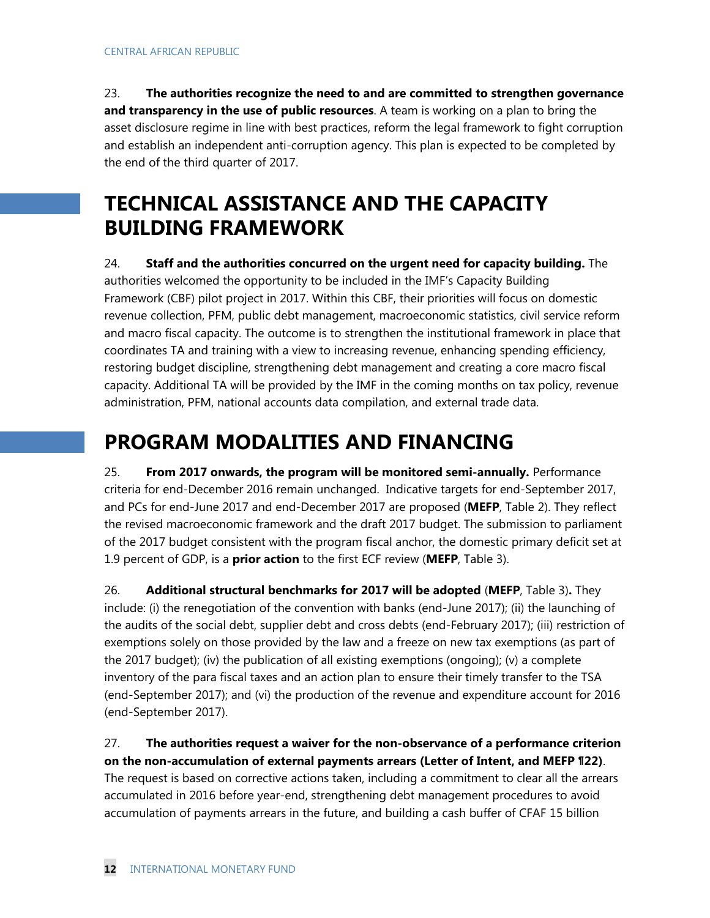23. **The authorities recognize the need to and are committed to strengthen governance and transparency in the use of public resources**. A team is working on a plan to bring the asset disclosure regime in line with best practices, reform the legal framework to fight corruption and establish an independent anti-corruption agency. This plan is expected to be completed by the end of the third quarter of 2017.

# **TECHNICAL ASSISTANCE AND THE CAPACITY BUILDING FRAMEWORK**

### 24. **Staff and the authorities concurred on the urgent need for capacity building.** The

authorities welcomed the opportunity to be included in the IMF's Capacity Building Framework (CBF) pilot project in 2017. Within this CBF, their priorities will focus on domestic revenue collection, PFM, public debt management, macroeconomic statistics, civil service reform and macro fiscal capacity. The outcome is to strengthen the institutional framework in place that coordinates TA and training with a view to increasing revenue, enhancing spending efficiency, restoring budget discipline, strengthening debt management and creating a core macro fiscal capacity. Additional TA will be provided by the IMF in the coming months on tax policy, revenue administration, PFM, national accounts data compilation, and external trade data.

# **PROGRAM MODALITIES AND FINANCING**

25. **From 2017 onwards, the program will be monitored semi-annually.** Performance criteria for end-December 2016 remain unchanged. Indicative targets for end-September 2017, and PCs for end-June 2017 and end-December 2017 are proposed (**MEFP**, Table 2). They reflect the revised macroeconomic framework and the draft 2017 budget. The submission to parliament of the 2017 budget consistent with the program fiscal anchor, the domestic primary deficit set at 1.9 percent of GDP, is a **prior action** to the first ECF review (**MEFP**, Table 3).

26. **Additional structural benchmarks for 2017 will be adopted** (**MEFP**, Table 3)**.** They include: (i) the renegotiation of the convention with banks (end-June 2017); (ii) the launching of the audits of the social debt, supplier debt and cross debts (end-February 2017); (iii) restriction of exemptions solely on those provided by the law and a freeze on new tax exemptions (as part of the 2017 budget); (iv) the publication of all existing exemptions (ongoing); (v) a complete inventory of the para fiscal taxes and an action plan to ensure their timely transfer to the TSA (end-September 2017); and (vi) the production of the revenue and expenditure account for 2016 (end-September 2017).

### 27. **The authorities request a waiver for the non-observance of a performance criterion on the non-accumulation of external payments arrears (Letter of Intent, and MEFP ¶22)**.

The request is based on corrective actions taken, including a commitment to clear all the arrears accumulated in 2016 before year-end, strengthening debt management procedures to avoid accumulation of payments arrears in the future, and building a cash buffer of CFAF 15 billion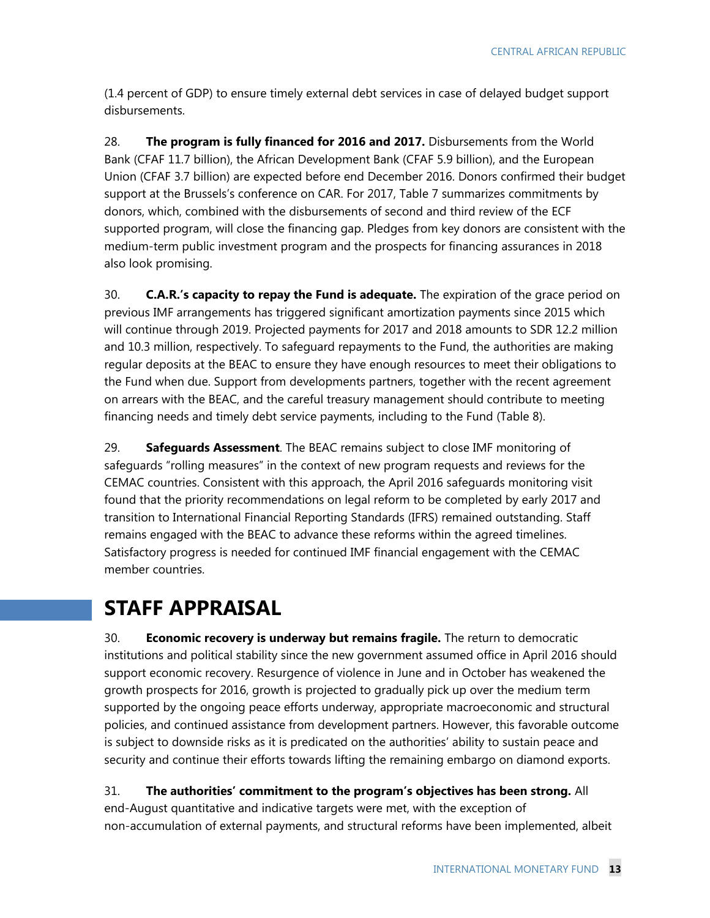(1.4 percent of GDP) to ensure timely external debt services in case of delayed budget support disbursements.

28. **The program is fully financed for 2016 and 2017.** Disbursements from the World Bank (CFAF 11.7 billion), the African Development Bank (CFAF 5.9 billion), and the European Union (CFAF 3.7 billion) are expected before end December 2016. Donors confirmed their budget support at the Brussels's conference on CAR. For 2017, Table 7 summarizes commitments by donors, which, combined with the disbursements of second and third review of the ECF supported program, will close the financing gap. Pledges from key donors are consistent with the medium-term public investment program and the prospects for financing assurances in 2018 also look promising.

30. **C.A.R.'s capacity to repay the Fund is adequate.** The expiration of the grace period on previous IMF arrangements has triggered significant amortization payments since 2015 which will continue through 2019. Projected payments for 2017 and 2018 amounts to SDR 12.2 million and 10.3 million, respectively. To safeguard repayments to the Fund, the authorities are making regular deposits at the BEAC to ensure they have enough resources to meet their obligations to the Fund when due. Support from developments partners, together with the recent agreement on arrears with the BEAC, and the careful treasury management should contribute to meeting financing needs and timely debt service payments, including to the Fund (Table 8).

29. **Safeguards Assessment**. The BEAC remains subject to close IMF monitoring of safeguards "rolling measures" in the context of new program requests and reviews for the CEMAC countries. Consistent with this approach, the April 2016 safeguards monitoring visit found that the priority recommendations on legal reform to be completed by early 2017 and transition to International Financial Reporting Standards (IFRS) remained outstanding. Staff remains engaged with the BEAC to advance these reforms within the agreed timelines. Satisfactory progress is needed for continued IMF financial engagement with the CEMAC member countries.

# **STAFF APPRAISAL**

30. **Economic recovery is underway but remains fragile.** The return to democratic institutions and political stability since the new government assumed office in April 2016 should support economic recovery. Resurgence of violence in June and in October has weakened the growth prospects for 2016, growth is projected to gradually pick up over the medium term supported by the ongoing peace efforts underway, appropriate macroeconomic and structural policies, and continued assistance from development partners. However, this favorable outcome is subject to downside risks as it is predicated on the authorities' ability to sustain peace and security and continue their efforts towards lifting the remaining embargo on diamond exports.

31. **The authorities' commitment to the program's objectives has been strong.** All end-August quantitative and indicative targets were met, with the exception of non-accumulation of external payments, and structural reforms have been implemented, albeit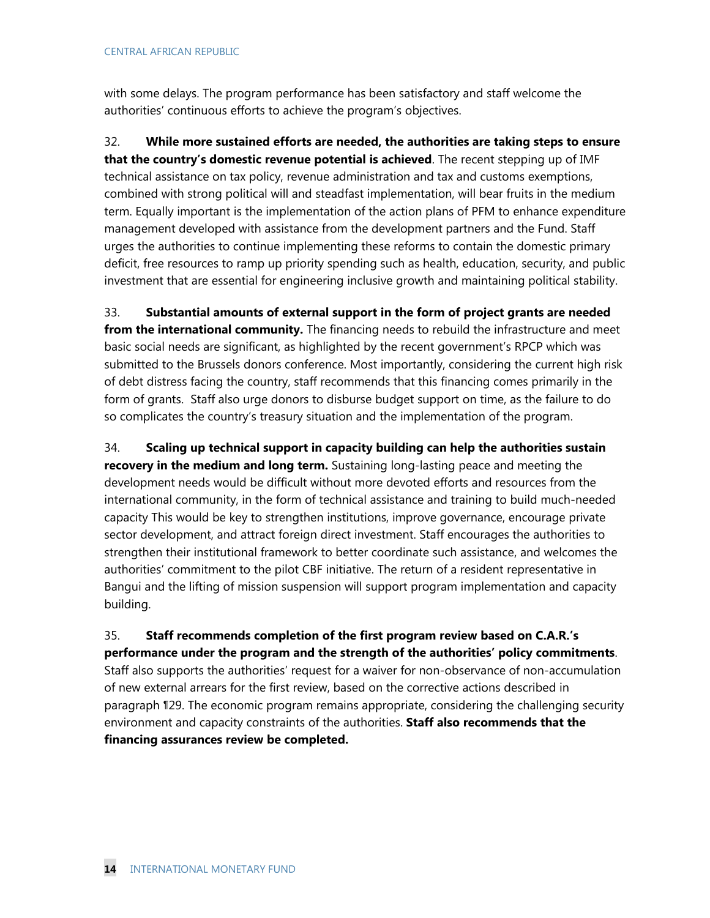with some delays. The program performance has been satisfactory and staff welcome the authorities' continuous efforts to achieve the program's objectives.

32. **While more sustained efforts are needed, the authorities are taking steps to ensure that the country's domestic revenue potential is achieved**. The recent stepping up of IMF technical assistance on tax policy, revenue administration and tax and customs exemptions, combined with strong political will and steadfast implementation, will bear fruits in the medium term. Equally important is the implementation of the action plans of PFM to enhance expenditure management developed with assistance from the development partners and the Fund. Staff urges the authorities to continue implementing these reforms to contain the domestic primary deficit, free resources to ramp up priority spending such as health, education, security, and public investment that are essential for engineering inclusive growth and maintaining political stability.

33. **Substantial amounts of external support in the form of project grants are needed from the international community.** The financing needs to rebuild the infrastructure and meet basic social needs are significant, as highlighted by the recent government's RPCP which was submitted to the Brussels donors conference. Most importantly, considering the current high risk of debt distress facing the country, staff recommends that this financing comes primarily in the form of grants. Staff also urge donors to disburse budget support on time, as the failure to do so complicates the country's treasury situation and the implementation of the program.

34. **Scaling up technical support in capacity building can help the authorities sustain recovery in the medium and long term.** Sustaining long-lasting peace and meeting the development needs would be difficult without more devoted efforts and resources from the international community, in the form of technical assistance and training to build much-needed capacity This would be key to strengthen institutions, improve governance, encourage private sector development, and attract foreign direct investment. Staff encourages the authorities to strengthen their institutional framework to better coordinate such assistance, and welcomes the authorities' commitment to the pilot CBF initiative. The return of a resident representative in Bangui and the lifting of mission suspension will support program implementation and capacity building.

35. **Staff recommends completion of the first program review based on C.A.R.'s performance under the program and the strength of the authorities' policy commitments**. Staff also supports the authorities' request for a waiver for non-observance of non-accumulation of new external arrears for the first review, based on the corrective actions described in paragraph ¶29. The economic program remains appropriate, considering the challenging security environment and capacity constraints of the authorities. **Staff also recommends that the financing assurances review be completed.**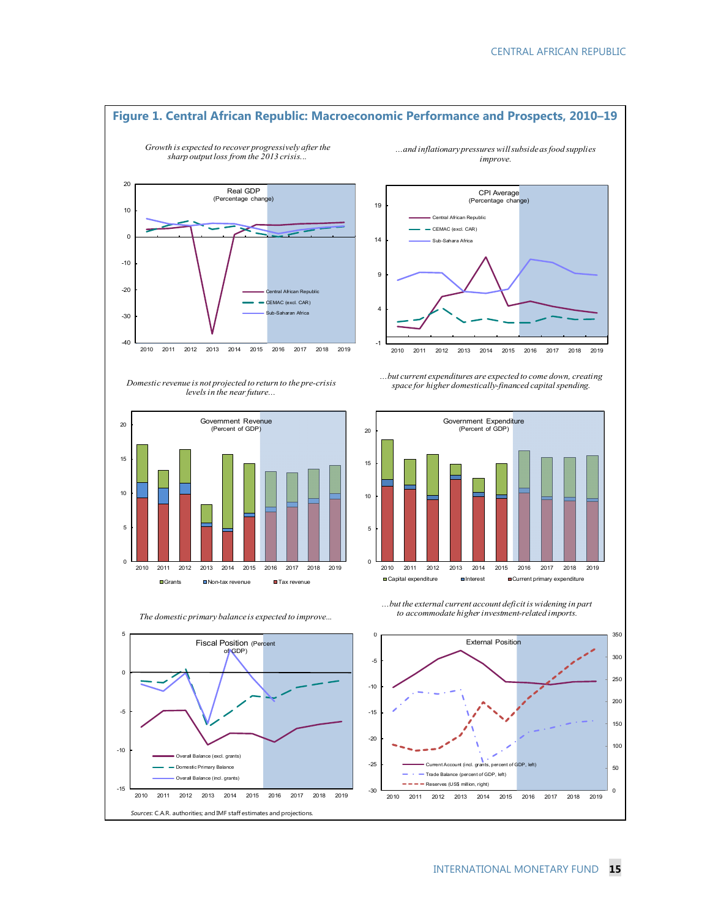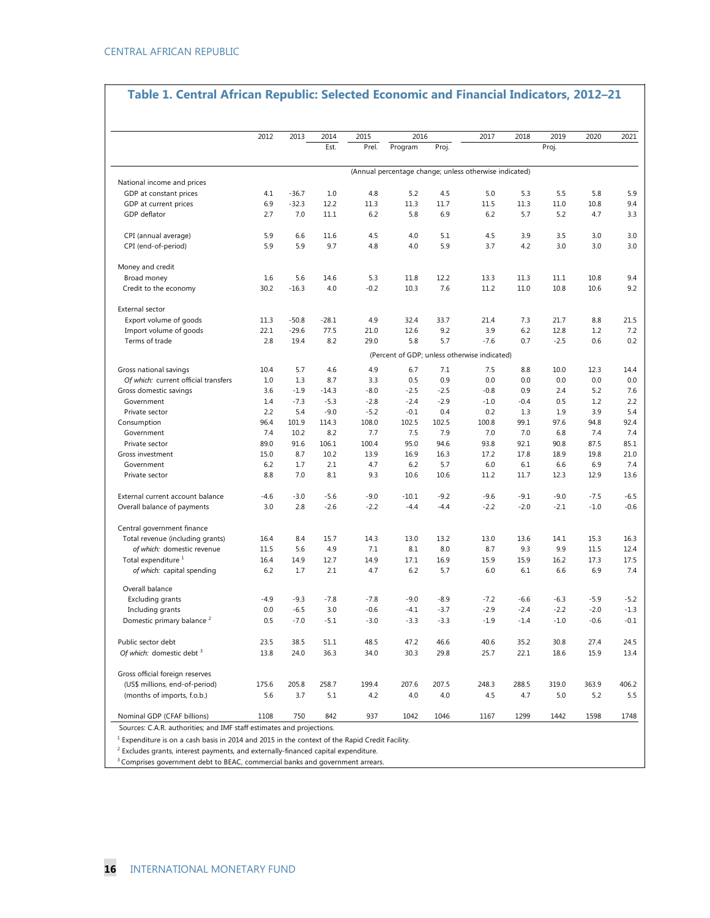### **Table 1. Central African Republic: Selected Economic and Financial Indicators, 2012–21**

|                                       | 2012        | 2013         | 2014          | 2015         | 2016                                                   |              |             | 2018        | 2019         | 2020         | 2021         |
|---------------------------------------|-------------|--------------|---------------|--------------|--------------------------------------------------------|--------------|-------------|-------------|--------------|--------------|--------------|
|                                       |             |              | Est.          | Prel.        | Program                                                | Proj.        |             |             | Proj.        |              |              |
|                                       |             |              |               |              | (Annual percentage change; unless otherwise indicated) |              |             |             |              |              |              |
| National income and prices            |             |              |               |              |                                                        |              |             |             |              |              |              |
| GDP at constant prices                | 4.1         | $-36.7$      | 1.0           | 4.8          | 5.2                                                    | 4.5          | 5.0         | 5.3         | 5.5          | 5.8          | 5.9          |
| GDP at current prices                 | 6.9         | $-32.3$      | 12.2          | 11.3         | 11.3                                                   | 11.7         | 11.5        | 11.3        | 11.0         | 10.8         | 9.4          |
| GDP deflator                          | 2.7         | 7.0          | 11.1          | 6.2          | 5.8                                                    | 6.9          | 6.2         | 5.7         | 5.2          | 4.7          | 3.3          |
| CPI (annual average)                  | 5.9         | 6.6          | 11.6          | 4.5          | 4.0                                                    | 5.1          | 4.5         | 3.9         | 3.5          | 3.0          | 3.0          |
| CPI (end-of-period)                   | 5.9         | 5.9          | 9.7           | 4.8          | 4.0                                                    | 5.9          | 3.7         | 4.2         | 3.0          | 3.0          | 3.0          |
| Money and credit                      |             |              |               |              |                                                        |              |             |             |              |              |              |
| Broad money                           | 1.6         | 5.6          | 14.6          | 5.3          | 11.8                                                   | 12.2         | 13.3        | 11.3        | 11.1         | 10.8         | 9.4          |
| Credit to the economy                 | 30.2        | $-16.3$      | 4.0           | $-0.2$       | 10.3                                                   | 7.6          | 11.2        | 11.0        | 10.8         | 10.6         | 9.2          |
| External sector                       |             |              |               |              |                                                        |              |             |             |              |              |              |
| Export volume of goods                | 11.3        | $-50.8$      | $-28.1$       | 4.9          | 32.4                                                   | 33.7         | 21.4        | 7.3         | 21.7         | 8.8          | 21.5         |
| Import volume of goods                | 22.1        | $-29.6$      | 77.5          | 21.0         | 12.6                                                   | 9.2          | 3.9         | 6.2         | 12.8         | 1.2          | 7.2          |
| Terms of trade                        | 2.8         | 19.4         | 8.2           | 29.0         | 5.8                                                    | 5.7          | $-7.6$      | 0.7         | $-2.5$       | 0.6          | 0.2          |
|                                       |             |              |               |              | (Percent of GDP; unless otherwise indicated)           |              |             |             |              |              |              |
| Gross national savings                | 10.4        | 5.7          | 4.6           | 4.9          | 6.7                                                    | 7.1          | 7.5         | 8.8         | 10.0         | 12.3         | 14.4         |
| Of which: current official transfers  | 1.0         | 1.3          | 8.7           | 3.3          | 0.5                                                    | 0.9          | 0.0         | 0.0         | 0.0          | 0.0          | 0.0          |
| Gross domestic savings                | 3.6         | $-1.9$       | $-14.3$       | $-8.0$       | $-2.5$                                                 | $-2.5$       | $-0.8$      | 0.9         | 2.4          | 5.2          | 7.6          |
| Government                            | 1.4         | $-7.3$       | $-5.3$        | $-2.8$       | $-2.4$                                                 | $-2.9$       | $-1.0$      | $-0.4$      | 0.5          | 1.2          | 2.2          |
| Private sector                        | 2.2         | 5.4          | $-9.0$        | $-5.2$       | $-0.1$                                                 | 0.4          | 0.2         | 1.3         | 1.9          | 3.9          | 5.4          |
| Consumption                           | 96.4        | 101.9        | 114.3         | 108.0        | 102.5                                                  | 102.5        | 100.8       | 99.1        | 97.6         | 94.8         | 92.4         |
| Government                            | 7.4<br>89.0 | 10.2<br>91.6 | 8.2           | 7.7<br>100.4 | 7.5<br>95.0                                            | 7.9          | 7.0<br>93.8 | 7.0<br>92.1 | 6.8          | 7.4          | 7.4          |
| Private sector<br>Gross investment    | 15.0        | 8.7          | 106.1<br>10.2 | 13.9         | 16.9                                                   | 94.6<br>16.3 | 17.2        | 17.8        | 90.8<br>18.9 | 87.5<br>19.8 | 85.1<br>21.0 |
| Government                            | 6.2         | 1.7          | 2.1           | 4.7          | 6.2                                                    | 5.7          | 6.0         | 6.1         | 6.6          | 6.9          | 7.4          |
| Private sector                        | 8.8         | 7.0          | 8.1           | 9.3          | 10.6                                                   | 10.6         | 11.2        | 11.7        | 12.3         | 12.9         | 13.6         |
| External current account balance      | -4.6        | $-3.0$       | $-5.6$        | $-9.0$       | $-10.1$                                                | $-9.2$       | $-9.6$      | $-9.1$      | $-9.0$       | $-7.5$       | $-6.5$       |
| Overall balance of payments           | 3.0         | 2.8          | $-2.6$        | $-2.2$       | $-4.4$                                                 | $-4.4$       | $-2.2$      | $-2.0$      | $-2.1$       | $-1.0$       | $-0.6$       |
| Central government finance            |             |              |               |              |                                                        |              |             |             |              |              |              |
| Total revenue (including grants)      | 16.4        | 8.4          | 15.7          | 14.3         | 13.0                                                   | 13.2         | 13.0        | 13.6        | 14.1         | 15.3         | 16.3         |
| of which: domestic revenue            | 11.5        | 5.6          | 4.9           | 7.1          | 8.1                                                    | 8.0          | 8.7         | 9.3         | 9.9          | 11.5         | 12.4         |
| Total expenditure <sup>1</sup>        | 16.4        | 14.9         | 12.7          | 14.9         | 17.1                                                   | 16.9         | 15.9        | 15.9        | 16.2         | 17.3         | 17.5         |
| of which: capital spending            | 6.2         | 1.7          | 2.1           | 4.7          | 6.2                                                    | 5.7          | 6.0         | 6.1         | 6.6          | 6.9          | 7.4          |
| Overall balance                       |             |              |               |              |                                                        |              |             |             |              |              |              |
| Excluding grants                      | $-4.9$      | $-9.3$       | $-7.8$        | $-7.8$       | $-9.0$                                                 | $-8.9$       | $-7.2$      | $-6.6$      | $-6.3$       | $-5.9$       | $-5.2$       |
| Including grants                      | 0.0         | $-6.5$       | 3.0           | $-0.6$       | $-4.1$                                                 | $-3.7$       | $-2.9$      | $-2.4$      | $-2.2$       | $-2.0$       | $-1.3$       |
| Domestic primary balance <sup>2</sup> | 0.5         | $-7.0$       | $-5.1$        | $-3.0$       | $-3.3$                                                 | $-3.3$       | $-1.9$      | $-1.4$      | $-1.0$       | $-0.6$       | $-0.1$       |
| Public sector debt                    | 23.5        | 38.5         | 51.1          | 48.5         | 47.2                                                   | 46.6         | 40.6        | 35.2        | 30.8         | 27.4         | 24.5         |
| Of which: domestic debt 3             | 13.8        | 24.0         | 36.3          | 34.0         | 30.3                                                   | 29.8         | 25.7        | 22.1        | 18.6         | 15.9         | 13.4         |
| Gross official foreign reserves       |             |              |               |              |                                                        |              |             |             |              |              |              |
| (US\$ millions, end-of-period)        | 175.6       | 205.8        | 258.7         | 199.4        | 207.6                                                  | 207.5        | 248.3       | 288.5       | 319.0        | 363.9        | 406.2        |
| (months of imports, f.o.b.)           | 5.6         | 3.7          | 5.1           | 4.2          | 4.0                                                    | 4.0          | 4.5         | 4.7         | 5.0          | 5.2          | 5.5          |
| Nominal GDP (CFAF billions)           | 1108        | 750          | 842           | 937          | 1042                                                   | 1046         | 1167        | 1299        | 1442         | 1598         | 1748         |

Expenditure is on a cash basis in 2014 and 2015 in the context of the Rapid Credit Facility.

 $2$  Excludes grants, interest payments, and externally-financed capital expenditure.

 $3$  Comprises government debt to BEAC, commercial banks and government arrears.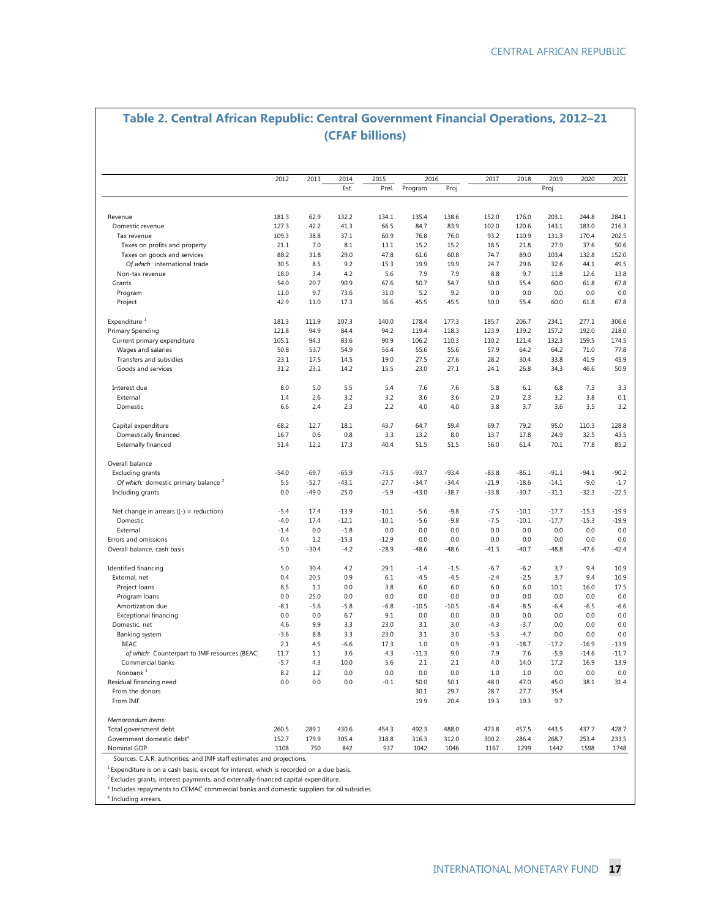### **Table 2. Central African Republic: Central Government Financial Operations, 2012–21 (CFAF billions)**

|                                                                                      | 2012    | 2013    | 2014    | 2015    | 2016         |              | 2017         | 2018         | 2019        | 2020    | 2021    |
|--------------------------------------------------------------------------------------|---------|---------|---------|---------|--------------|--------------|--------------|--------------|-------------|---------|---------|
|                                                                                      |         |         | Est.    | Prel.   | Program      | Proj.        |              |              | Proj.       |         |         |
|                                                                                      |         |         |         |         |              |              |              |              |             |         |         |
| Revenue                                                                              | 181.3   | 62.9    | 132.2   | 134.1   | 135.4        | 138.6        | 152.0        | 176.0        | 203.1       | 244.8   | 284.1   |
| Domestic revenue                                                                     | 127.3   | 42.2    | 41.3    | 66.5    | 84.7         | 83.9         | 102.0        | 120.6        | 143.1       | 183.0   | 216.3   |
| Tax revenue                                                                          | 109.3   | 38.8    | 37.1    | 60.9    | 76.8         | 76.0         | 93.2         | 110.9        | 131.3       | 170.4   | 202.5   |
| Taxes on profits and property                                                        | 21.1    | 7.0     | 8.1     | 13.1    | 15.2         | 15.2         | 18.5         | 21.8         | 27.9        | 37.6    | 50.6    |
| Taxes on goods and services                                                          | 88.2    | 31.8    | 29.0    | 47.8    | 61.6         | 60.8         | 74.7         | 89.0         | 103.4       | 132.8   | 152.0   |
| Of which: international trade                                                        | 30.5    | 8.5     | 9.2     | 15.3    | 19.9         | 19.9         | 24.7         | 29.6         | 32.6        | 44.1    | 49.5    |
| Non-tax revenue                                                                      | 18.0    | 3.4     | 4.2     | 5.6     | 7.9          | 7.9          | 8.8          | 9.7          | 11.8        | 12.6    | 13.8    |
| Grants                                                                               | 54.0    | 20.7    | 90.9    | 67.6    | 50.7         | 54.7         | 50.0         | 55.4         | 60.0        | 61.8    | 67.8    |
| Program                                                                              | 11.0    | 9.7     | 73.6    | 31.0    | 5.2          | 9.2          | 0.0          | 0.0          | 0.0         | 0.0     | 0.0     |
| Project                                                                              | 42.9    | 11.0    | 17.3    | 36.6    | 45.5         | 45.5         | 50.0         | 55.4         | 60.0        | 61.8    | 67.8    |
| Expenditure <sup>1</sup>                                                             | 181.3   | 111.9   | 107.3   | 140.0   | 178.4        | 177.3        | 185.7        | 206.7        | 234.1       | 277.1   | 306.6   |
| <b>Primary Spending</b>                                                              | 121.8   | 94.9    | 84.4    | 94.2    | 119.4        | 118.3        | 123.9        | 139.2        | 157.2       | 192.0   | 218.0   |
| Current primary expenditure                                                          | 105.1   | 94.3    | 83.6    | 90.9    | 106.2        | 110.3        | 110.2        | 121.4        | 132.3       | 159.5   | 174.5   |
| Wages and salaries                                                                   | 50.8    | 53.7    | 54.9    | 56.4    | 55.6         | 55.6         | 57.9         | 64.2         | 64.2        | 71.0    | 77.8    |
| Transfers and subsidies                                                              | 23.1    | 17.5    | 14.5    | 19.0    | 27.5         | 27.6         | 28.2         | 30.4         | 33.8        | 41.9    | 45.9    |
| Goods and services                                                                   | 31.2    | 23.1    | 14.2    | 15.5    | 23.0         | 27.1         | 24.1         | 26.8         | 34.3        | 46.6    | 50.9    |
| Interest due                                                                         | 8.0     | 5.0     | 5.5     | 5.4     | 7.6          | 7.6          | 5.8          | 6.1          | 6.8         | 7.3     | 3.3     |
| External                                                                             | 1.4     | 2.6     | 3.2     | 3.2     | 3.6          | 3.6          | 2.0          | 2.3          | 3.2         | 3.8     | 0.1     |
| Domestic                                                                             | 6.6     | 2.4     | 2.3     | 2.2     | 4.0          | 4.0          | 3.8          | 3.7          | 3.6         | 3.5     | 3.2     |
| Capital expenditure                                                                  | 68.2    | 12.7    | 18.1    | 43.7    | 64.7         | 59.4         | 69.7         | 79.2         | 95.0        | 110.3   | 128.8   |
| Domestically financed                                                                | 16.7    | 0.6     | 0.8     | 3.3     | 13.2         | 8.0          | 13.7         | 17.8         | 24.9        | 32.5    | 43.5    |
| Externally financed                                                                  | 51.4    | 12.1    | 17.3    | 40.4    | 51.5         | 51.5         | 56.0         | 61.4         | 70.1        | 77.8    | 85.2    |
| Overall balance                                                                      |         |         |         |         |              |              |              |              |             |         |         |
| Excluding grants                                                                     | $-54.0$ | $-69.7$ | $-65.9$ | $-73.5$ | $-93.7$      | $-93.4$      | $-83.8$      | $-86.1$      | $-91.1$     | $-94.1$ | $-90.2$ |
| Of which: domestic primary balance <sup>2</sup>                                      | 5.5     | $-52.7$ | $-43.1$ | $-27.7$ | $-34.7$      | $-34.4$      | $-21.9$      | $-18.6$      | $-14.1$     | $-9.0$  | $-1.7$  |
| Including grants                                                                     | 0.0     | $-49.0$ | 25.0    | $-5.9$  | $-43.0$      | $-38.7$      | $-33.8$      | $-30.7$      | $-31.1$     | $-32.3$ | $-22.5$ |
| Net change in arrears $( (- ) = reduction)$                                          | $-5.4$  | 17.4    | $-13.9$ | $-10.1$ | $-5.6$       | $-9.8$       | $-7.5$       | $-10.1$      | $-17.7$     | $-15.3$ | $-19.9$ |
| Domestic                                                                             | $-4.0$  | 17.4    | $-12.1$ | $-10.1$ | $-5.6$       | $-9.8$       | $-7.5$       | $-10.1$      | $-17.7$     | $-15.3$ | $-19.9$ |
| External                                                                             | $-1.4$  | 0.0     | $-1.8$  | 0.0     | 0.0          | 0.0          | 0.0          | 0.0          | 0.0         | 0.0     | 0.0     |
| Errors and omissions                                                                 | 0.4     | 1.2     | $-15.3$ | $-12.9$ | 0.0          | 0.0          | 0.0          | 0.0          | 0.0         | 0.0     | 0.0     |
| Overall balance, cash basis                                                          | $-5.0$  | $-30.4$ | $-4.2$  | $-28.9$ | $-48.6$      | $-48.6$      | $-41.3$      | $-40.7$      | $-48.8$     | -47.6   | $-42.4$ |
| Identified financing                                                                 | 5.0     | 30.4    | 4.2     | 29.1    | $-1.4$       | $-1.5$       | $-6.7$       | $-6.2$       | 3.7         | 9.4     | 10.9    |
| External, net                                                                        | 0.4     | 20.5    | 0.9     | 6.1     | $-4.5$       | $-4.5$       | $-2.4$       | $-2.5$       | 3.7         | 9.4     | 10.9    |
| Project loans                                                                        | 8.5     | 1.1     | 0.0     | 3.8     | 6.0          | 6.0          | 6.0          | 6.0          | 10.1        | 16.0    | 17.5    |
| Program loans                                                                        | 0.0     | 25.0    | 0.0     | 0.0     | 0.0          | 0.0          | 0.0          | 0.0          | 0.0         | 0.0     | 0.0     |
|                                                                                      | $-8.1$  | $-5.6$  | $-5.8$  | $-6.8$  | $-10.5$      | $-10.5$      | $-8.4$       | $-8.5$       | $-6.4$      | $-6.5$  | $-6.6$  |
| Amortization due<br><b>Exceptional financing</b>                                     | 0.0     | 0.0     | 6.7     | 9.1     | 0.0          | 0.0          | 0.0          | 0.0          | 0.0         | 0.0     | 0.0     |
|                                                                                      | 4.6     | 9.9     | 3.3     | 23.0    | 3.1          | 3.0          | $-4.3$       | $-3.7$       | 0.0         | 0.0     | 0.0     |
| Domestic, net                                                                        |         |         |         |         |              |              |              |              |             |         |         |
| Banking system                                                                       | $-3.6$  | 8.8     | 3.3     | 23.0    | 3.1          | 3.0          | $-5.3$       | $-4.7$       | 0.0         | 0.0     | 0.0     |
| <b>BEAC</b>                                                                          | 2.1     | 4.5     | $-6.6$  | 17.3    | 1.0          | 0.9          | $-9.3$       | $-18.7$      | $-17.2$     | $-16.9$ | $-13.9$ |
| of which: Counterpart to IMF resources (BEAC)                                        | 11.7    | 1.1     | 3.6     | 4.3     | $-11.3$      | 9.0          | 7.9          | 7.6          | $-5.9$      | $-14.6$ | $-11.7$ |
| Commercial banks                                                                     | $-5.7$  | 4.3     | 10.0    | 5.6     | 2.1          | 2.1          | 4.0          | 14.0         | 17.2        | 16.9    | 13.9    |
| Nonbank <sup>3</sup>                                                                 | 8.2     | 1.2     | 0.0     | 0.0     | 0.0          | 0.0          | 1.0          | 1.0          | 0.0         | 0.0     | 0.0     |
| Residual financing need                                                              | 0.0     | 0.0     | 0.0     | $-0.1$  | 50.0         | 50.1         | 48.0         | 47.0         | 45.0        | 38.1    | 31.4    |
| From the donors<br>From IMF                                                          |         |         |         |         | 30.1<br>19.9 | 29.7<br>20.4 | 28.7<br>19.3 | 27.7<br>19.3 | 35.4<br>9.7 |         |         |
|                                                                                      |         |         |         |         |              |              |              |              |             |         |         |
| Memorandum items:<br>Total government debt                                           | 260.5   | 289.1   | 430.6   | 454.3   | 492.3        | 488.0        | 473.8        | 457.5        | 443.5       | 437.7   | 428.7   |
| Government domestic debt <sup>4</sup>                                                | 152.7   | 179.9   | 305.4   | 318.8   | 316.3        | 312.0        | 300.2        | 286.4        | 268.7       | 253.4   | 233.5   |
|                                                                                      |         |         |         |         |              |              |              |              |             |         | 1748    |
| Nominal GDP<br>Sources: C.A.R. authorities; and IMF staff estimates and projections. | 1108    | 750     | 842     | 937     | 1042         | 1046         | 1167         | 1299         | 1442        | 1598    |         |

 $1$  Expenditure is on a cash basis, except for interest, which is recorded on a due basis.

 $2$  Excludes grants, interest payments, and externally-financed capital expenditure.

<sup>3</sup> Includes repayments to CEMAC commercial banks and domestic suppliers for oil subsidies.

4 Including arrears.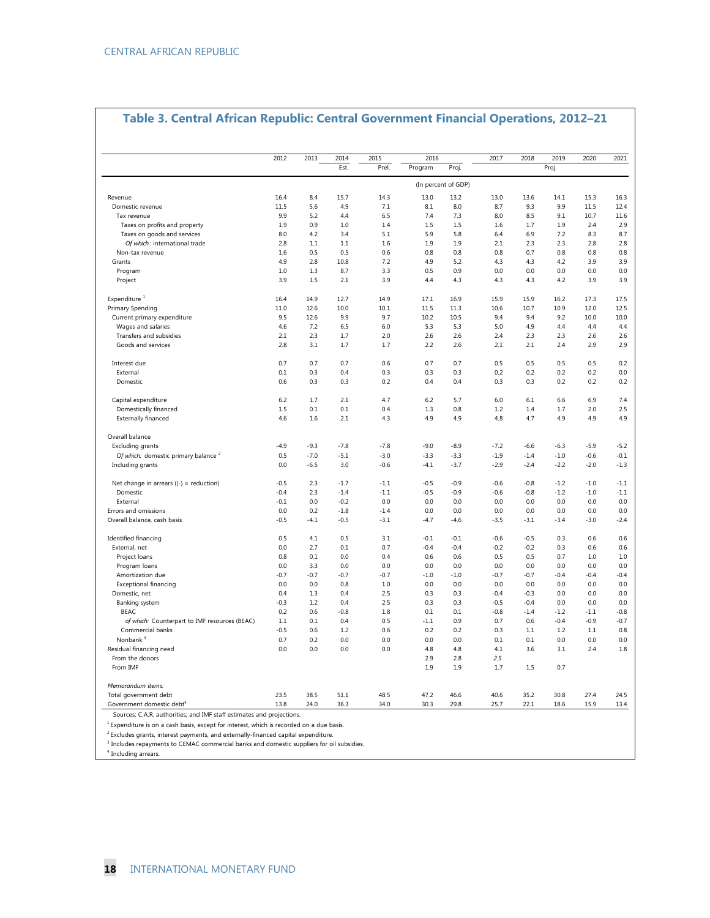| Table 3. Central African Republic: Central Government Financial Operations, 2012–21 |  |  |  |  |  |  |  |  |  |
|-------------------------------------------------------------------------------------|--|--|--|--|--|--|--|--|--|
|-------------------------------------------------------------------------------------|--|--|--|--|--|--|--|--|--|

|                                                 | 2012    | 2013    | 2014   | 2015   | 2016    |                     | 2017   | 2018   | 2019   | 2020   | 2021    |
|-------------------------------------------------|---------|---------|--------|--------|---------|---------------------|--------|--------|--------|--------|---------|
|                                                 |         |         | Est.   | Prel.  | Program | Proj.               |        |        | Proj.  |        |         |
|                                                 |         |         |        |        |         | (In percent of GDP) |        |        |        |        |         |
| Revenue                                         | 16.4    | 8.4     | 15.7   | 14.3   | 13.0    | 13.2                | 13.0   | 13.6   | 14.1   | 15.3   | 16.3    |
| Domestic revenue                                | 11.5    | 5.6     | 4.9    | 7.1    | 8.1     | 8.0                 | 8.7    | 9.3    | 9.9    | 11.5   | 12.4    |
| Tax revenue                                     | 9.9     | 5.2     | 4.4    | 6.5    | 7.4     | 7.3                 | 8.0    | 8.5    | 9.1    | 10.7   | 11.6    |
| Taxes on profits and property                   | 1.9     | 0.9     | 1.0    | 1.4    | 1.5     | 1.5                 | 1.6    | 1.7    | 1.9    | 2.4    | 2.9     |
| Taxes on goods and services                     | 8.0     | 4.2     | 3.4    | 5.1    | 5.9     | 5.8                 | 6.4    | 6.9    | 7.2    | 8.3    | 8.7     |
| Of which: international trade                   | 2.8     | $1.1\,$ | 1.1    | 1.6    | 1.9     | 1.9                 | 2.1    | 2.3    | 2.3    | 2.8    | 2.8     |
| Non-tax revenue                                 | 1.6     | 0.5     | 0.5    | 0.6    | 0.8     | 0.8                 | 0.8    | 0.7    | 0.8    | 0.8    | 0.8     |
| Grants                                          | 4.9     | 2.8     | 10.8   | 7.2    | 4.9     | 5.2                 | 4.3    | 4.3    | 4.2    | 3.9    | 3.9     |
| Program                                         | 1.0     | 1.3     | 8.7    | 3.3    | 0.5     | 0.9                 | 0.0    | 0.0    | 0.0    | 0.0    | 0.0     |
| Project                                         | 3.9     | 1.5     | 2.1    | 3.9    | 4.4     | 4.3                 | 4.3    | 4.3    | 4.2    | 3.9    | 3.9     |
| Expenditure <sup>1</sup>                        | 16.4    | 14.9    | 12.7   | 14.9   | 17.1    | 16.9                | 15.9   | 15.9   | 16.2   | 17.3   | 17.5    |
| Primary Spending                                | 11.0    | 12.6    | 10.0   | 10.1   | 11.5    | 11.3                | 10.6   | 10.7   | 10.9   | 12.0   | 12.5    |
| Current primary expenditure                     | 9.5     | 12.6    | 9.9    | 9.7    | 10.2    | 10.5                | 9.4    | 9.4    | 9.2    | 10.0   | 10.0    |
| Wages and salaries                              | 4.6     | 7.2     | 6.5    | 6.0    | 5.3     | 5.3                 | 5.0    | 4.9    | 4.4    | 4.4    | 4.4     |
| Transfers and subsidies                         | 2.1     | 2.3     | 1.7    | 2.0    | 2.6     | 2.6                 | 2.4    | 2.3    | 2.3    | 2.6    | 2.6     |
| Goods and services                              | 2.8     | 3.1     | 1.7    | 1.7    | 2.2     | 2.6                 | 2.1    | 2.1    | 2.4    | 2.9    | 2.9     |
| Interest due                                    | 0.7     | 0.7     | 0.7    | 0.6    | 0.7     | 0.7                 | 0.5    | 0.5    | 0.5    | 0.5    | 0.2     |
| External                                        | 0.1     | 0.3     | 0.4    | 0.3    | 0.3     | 0.3                 | 0.2    | 0.2    | 0.2    | 0.2    | $0.0\,$ |
| Domestic                                        | 0.6     | 0.3     | 0.3    | 0.2    | 0.4     | 0.4                 | 0.3    | 0.3    | 0.2    | 0.2    | 0.2     |
| Capital expenditure                             | 6.2     | 1.7     | 2.1    | 4.7    | 6.2     | 5.7                 | 6.0    | 6.1    | 6.6    | 6.9    | 7.4     |
| Domestically financed                           | 1.5     | 0.1     | 0.1    | 0.4    | 1.3     | 0.8                 | 1.2    | 1.4    | 1.7    | 2.0    | 2.5     |
| <b>Externally financed</b>                      | 4.6     | 1.6     | 2.1    | 4.3    | 4.9     | 4.9                 | 4.8    | 4.7    | 4.9    | 4.9    |         |
| Overall balance                                 |         |         |        |        |         |                     |        |        |        |        |         |
| Excluding grants                                | $-4.9$  | $-9.3$  | $-7.8$ | $-7.8$ | $-9.0$  | $-8.9$              | $-7.2$ | $-6.6$ | $-6.3$ | $-5.9$ | $-5.2$  |
| Of which: domestic primary balance <sup>2</sup> | 0.5     | $-7.0$  | $-5.1$ | $-3.0$ | $-3.3$  | $-3.3$              | $-1.9$ | $-1.4$ | $-1.0$ | $-0.6$ | $-0.1$  |
| Including grants                                | 0.0     | $-6.5$  | 3.0    | $-0.6$ | $-4.1$  | $-3.7$              | $-2.9$ | $-2.4$ | $-2.2$ | $-2.0$ | $-1.3$  |
| Net change in arrears $( (- ) = reduction)$     | $-0.5$  | 2.3     | $-1.7$ | $-1.1$ | $-0.5$  | $-0.9$              | $-0.6$ | $-0.8$ | $-1.2$ | $-1.0$ | $-1.1$  |
| Domestic                                        | $-0.4$  | 2.3     | $-1.4$ | $-1.1$ | $-0.5$  | $-0.9$              | $-0.6$ | $-0.8$ | $-1.2$ | $-1.0$ | $-1.1$  |
| External                                        | $-0.1$  | 0.0     | $-0.2$ | 0.0    | 0.0     | 0.0                 | 0.0    | 0.0    | 0.0    | 0.0    | 0.0     |
| Errors and omissions                            | 0.0     | 0.2     | $-1.8$ | $-1.4$ | 0.0     | 0.0                 | 0.0    | 0.0    | 0.0    | 0.0    | 0.0     |
| Overall balance, cash basis                     | $-0.5$  | $-4.1$  | $-0.5$ | $-3.1$ | $-4.7$  | $-4.6$              | $-3.5$ | $-3.1$ | $-3.4$ | $-3.0$ | $-2.4$  |
| Identified financing                            | 0.5     | 4.1     | 0.5    | 3.1    | $-0.1$  | $-0.1$              | $-0.6$ | $-0.5$ | 0.3    | 0.6    | 0.6     |
| External, net                                   | 0.0     | 2.7     | 0.1    | 0.7    | $-0.4$  | $-0.4$              | $-0.2$ | $-0.2$ | 0.3    | 0.6    | 0.6     |
| Project loans                                   | 0.8     | 0.1     | 0.0    | 0.4    | 0.6     | 0.6                 | 0.5    | 0.5    | 0.7    | 1.0    | $1.0\,$ |
| Program loans                                   | 0.0     | 3.3     | 0.0    | 0.0    | 0.0     | 0.0                 | 0.0    | 0.0    | 0.0    | 0.0    | 0.0     |
| Amortization due                                | $-0.7$  | $-0.7$  | $-0.7$ | $-0.7$ | $-1.0$  | $-1.0$              | $-0.7$ | $-0.7$ | $-0.4$ | $-0.4$ | $-0.4$  |
| Exceptional financing                           | 0.0     | 0.0     | 0.8    | $1.0$  | 0.0     | 0.0                 | 0.0    | 0.0    | 0.0    | 0.0    | 0.0     |
| Domestic, net                                   | 0.4     | 1.3     | 0.4    | 2.5    | 0.3     | 0.3                 | $-0.4$ | $-0.3$ | 0.0    | 0.0    | 0.0     |
| Banking system                                  | $-0.3$  | 1.2     | 0.4    | 2.5    | 0.3     | 0.3                 | $-0.5$ | $-0.4$ | 0.0    | 0.0    | 0.0     |
| <b>BEAC</b>                                     | 0.2     | 0.6     | $-0.8$ | 1.8    | 0.1     | 0.1                 | $-0.8$ | $-1.4$ | $-1.2$ | $-1.1$ | $-0.8$  |
| of which: Counterpart to IMF resources (BEAC)   | $1.1\,$ | 0.1     | 0.4    | 0.5    | $-1.1$  | 0.9                 | 0.7    | 0.6    | $-0.4$ | $-0.9$ | $-0.7$  |
| Commercial banks                                | $-0.5$  | 0.6     | 1.2    | 0.6    | 0.2     | 0.2                 | 0.3    | 1.1    | 1.2    | 1.1    | 0.8     |
| Nonbank <sup>3</sup>                            | 0.7     | 0.2     | 0.0    | 0.0    | 0.0     | 0.0                 | 0.1    | 0.1    | 0.0    | 0.0    | 0.0     |
| Residual financing need                         | 0.0     | 0.0     | 0.0    | 0.0    | 4.8     | 4.8                 | 4.1    | 3.6    | 3.1    | 2.4    | 1.8     |
| From the donors                                 |         |         |        |        | 2.9     | 2.8                 | 2.5    |        |        |        |         |
| From IMF                                        |         |         |        |        | 1.9     | 1.9                 | 1.7    | 1.5    | 0.7    |        |         |
| Memorandum items:                               |         |         |        |        |         |                     |        |        |        |        |         |
| Total government debt                           | 23.5    | 38.5    | 51.1   | 48.5   | 47.2    | 46.6                | 40.6   | 35.2   | 30.8   | 27.4   | 24.5    |
| Government domestic debt <sup>4</sup>           | 13.8    | 24.0    | 36.3   | 34.0   | 30.3    | 29.8                | 25.7   | 22.1   | 18.6   | 15.9   | 13.4    |

<sup>2</sup> Excludes grants, interest payments, and externally-financed capital expenditure.<br><sup>3</sup> Includes repayments to CEMAC commercial banks and domestic suppliers for oil subsidies.

4 Including arrears.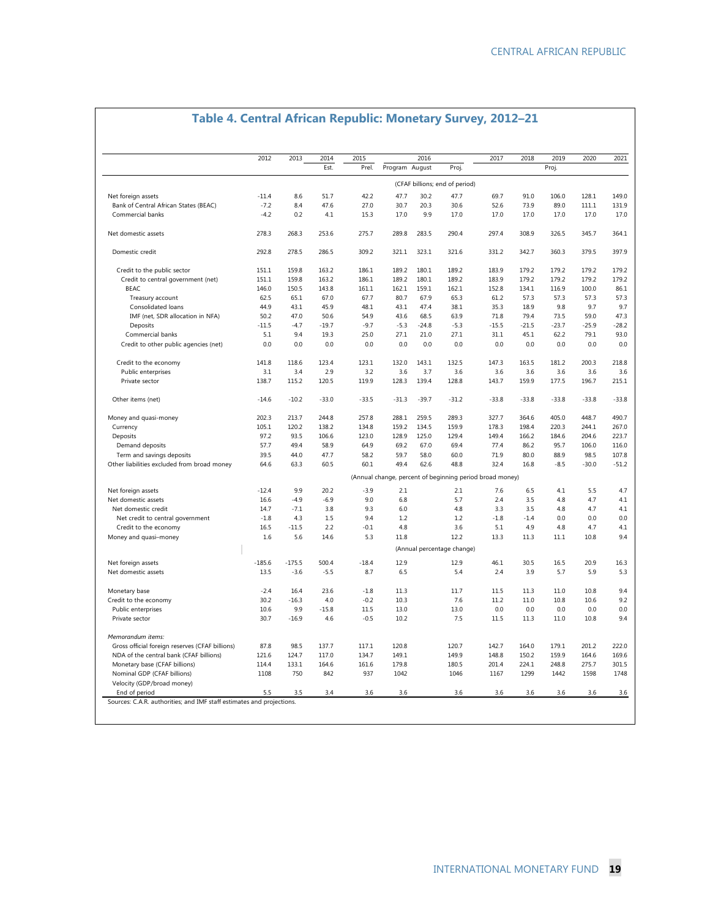|                                                 | 2012     | 2013     | 2014    | 2015    |                | 2016    |                                                          | 2017    | 2018    | 2019    | 2020    | 2021    |
|-------------------------------------------------|----------|----------|---------|---------|----------------|---------|----------------------------------------------------------|---------|---------|---------|---------|---------|
|                                                 |          |          | Est.    | Prel.   | Program August |         | Proj.                                                    |         |         | Proj.   |         |         |
|                                                 |          |          |         |         |                |         | (CFAF billions; end of period)                           |         |         |         |         |         |
| Net foreign assets                              | $-11.4$  | 8.6      | 51.7    | 42.2    | 47.7           | 30.2    | 47.7                                                     | 69.7    | 91.0    | 106.0   | 128.1   | 149.0   |
| Bank of Central African States (BEAC)           | $-7.2$   | 8.4      | 47.6    | 27.0    | 30.7           | 20.3    | 30.6                                                     | 52.6    | 73.9    | 89.0    | 111.1   | 131.9   |
| Commercial banks                                | $-4.2$   | 0.2      | 4.1     | 15.3    | 17.0           | 9.9     | 17.0                                                     | 17.0    | 17.0    | 17.0    | 17.0    | 17.0    |
| Net domestic assets                             | 278.3    | 268.3    | 253.6   | 275.7   | 289.8          | 283.5   | 290.4                                                    | 297.4   | 308.9   | 326.5   | 345.7   | 364.1   |
| Domestic credit                                 | 292.8    | 278.5    | 286.5   | 309.2   | 321.1          | 323.1   | 321.6                                                    | 331.2   | 342.7   | 360.3   | 379.5   | 397.9   |
| Credit to the public sector                     | 151.1    | 159.8    | 163.2   | 186.1   | 189.2          | 180.1   | 189.2                                                    | 183.9   | 179.2   | 179.2   | 179.2   | 179.2   |
| Credit to central government (net)              | 151.1    | 159.8    | 163.2   | 186.1   | 189.2          | 180.1   | 189.2                                                    | 183.9   | 179.2   | 179.2   | 179.2   | 179.2   |
| <b>BEAC</b>                                     | 146.0    | 150.5    | 143.8   | 161.1   | 162.1          | 159.1   | 162.1                                                    | 152.8   | 134.1   | 116.9   | 100.0   | 86.1    |
| Treasury account                                | 62.5     | 65.1     | 67.0    | 67.7    | 80.7           | 67.9    | 65.3                                                     | 61.2    | 57.3    | 57.3    | 57.3    | 57.3    |
| Consolidated loans                              | 44.9     | 43.1     | 45.9    | 48.1    | 43.1           | 47.4    | 38.1                                                     | 35.3    | 18.9    | 9.8     | 9.7     | 9.7     |
| IMF (net, SDR allocation in NFA)                | 50.2     | 47.0     | 50.6    | 54.9    | 43.6           | 68.5    | 63.9                                                     | 71.8    | 79.4    | 73.5    | 59.0    | 47.3    |
| Deposits                                        | $-11.5$  | $-4.7$   | $-19.7$ | $-9.7$  | $-5.3$         | $-24.8$ | $-5.3$                                                   | $-15.5$ | $-21.5$ | $-23.7$ | $-25.9$ | $-28.2$ |
| Commercial banks                                | 5.1      | 9.4      | 19.3    | 25.0    | 27.1           | 21.0    | 27.1                                                     | 31.1    | 45.1    | 62.2    | 79.1    | 93.0    |
| Credit to other public agencies (net)           | 0.0      | 0.0      | 0.0     | 0.0     | 0.0            | 0.0     | 0.0                                                      | 0.0     | 0.0     | 0.0     | 0.0     | 0.0     |
| Credit to the economy                           | 141.8    | 118.6    | 123.4   | 123.1   | 132.0          | 143.1   | 132.5                                                    | 147.3   | 163.5   | 181.2   | 200.3   | 218.8   |
| Public enterprises                              | 3.1      | 3.4      | 2.9     | 3.2     | 3.6            | 3.7     | 3.6                                                      | 3.6     | 3.6     | 3.6     | 3.6     | 3.6     |
| Private sector                                  | 138.7    | 115.2    | 120.5   | 119.9   | 128.3          | 139.4   | 128.8                                                    | 143.7   | 159.9   | 177.5   | 196.7   | 215.1   |
| Other items (net)                               | $-14.6$  | $-10.2$  | $-33.0$ | $-33.5$ | $-31.3$        | $-39.7$ | $-31.2$                                                  | $-33.8$ | $-33.8$ | $-33.8$ | $-33.8$ | $-33.8$ |
| Money and quasi-money                           | 202.3    | 213.7    | 244.8   | 257.8   | 288.1          | 259.5   | 289.3                                                    | 327.7   | 364.6   | 405.0   | 448.7   | 490.7   |
| Currency                                        | 105.1    | 120.2    | 138.2   | 134.8   | 159.2          | 134.5   | 159.9                                                    | 178.3   | 198.4   | 220.3   | 244.1   | 267.0   |
| Deposits                                        | 97.2     | 93.5     | 106.6   | 123.0   | 128.9          | 125.0   | 129.4                                                    | 149.4   | 166.2   | 184.6   | 204.6   | 223.7   |
| Demand deposits                                 | 57.7     | 49.4     | 58.9    | 64.9    | 69.2           | 67.0    | 69.4                                                     | 77.4    | 86.2    | 95.7    | 106.0   | 116.0   |
| Term and savings deposits                       | 39.5     | 44.0     | 47.7    | 58.2    | 59.7           | 58.0    | 60.0                                                     | 71.9    | 80.0    | 88.9    | 98.5    | 107.8   |
| Other liabilities excluded from broad money     | 64.6     | 63.3     | 60.5    | 60.1    | 49.4           | 62.6    | 48.8                                                     | 32.4    | 16.8    | $-8.5$  | $-30.0$ | $-51.2$ |
|                                                 |          |          |         |         |                |         | (Annual change, percent of beginning period broad money) |         |         |         |         |         |
| Net foreign assets                              | $-12.4$  | 9.9      | 20.2    | $-3.9$  | 2.1            |         | 2.1                                                      | 7.6     | 6.5     | 4.1     | 5.5     | 4.7     |
| Net domestic assets                             | 16.6     | $-4.9$   | $-6.9$  | 9.0     | 6.8            |         | 5.7                                                      | 2.4     | 3.5     | 4.8     | 4.7     | 4.1     |
| Net domestic credit                             | 14.7     | $-7.1$   | 3.8     | 9.3     | 6.0            |         | 4.8                                                      | 3.3     | 3.5     | 4.8     | 4.7     | 4.1     |
| Net credit to central government                | $-1.8$   | 4.3      | 1.5     | 9.4     | 1.2            |         | 1.2                                                      | $-1.8$  | $-1.4$  | 0.0     | 0.0     | 0.0     |
| Credit to the economy                           | 16.5     | $-11.5$  | 2.2     | $-0.1$  | 4.8            |         | 3.6                                                      | 5.1     | 4.9     | 4.8     | 4.7     | 4.1     |
| Money and quasi-money                           | 1.6      | 5.6      | 14.6    | 5.3     | 11.8           |         | 12.2                                                     | 13.3    | 11.3    | 11.1    | 10.8    | 9.4     |
|                                                 |          |          |         |         |                |         | (Annual percentage change)                               |         |         |         |         |         |
| Net foreign assets                              | $-185.6$ | $-175.5$ | 500.4   | $-18.4$ | 12.9           |         | 12.9                                                     | 46.1    | 30.5    | 16.5    | 20.9    | 16.3    |
| Net domestic assets                             | 13.5     | $-3.6$   | $-5.5$  | 8.7     | 6.5            |         | 5.4                                                      | 2.4     | 3.9     | 5.7     | 5.9     | 5.3     |
| Monetary base                                   | $-2.4$   | 16.4     | 23.6    | $-1.8$  | 11.3           |         | 11.7                                                     | 11.5    | 11.3    | 11.0    | 10.8    | 9.4     |
| Credit to the economy                           | 30.2     | $-16.3$  | 4.0     | $-0.2$  | 10.3           |         | 7.6                                                      | 11.2    | 11.0    | 10.8    | 10.6    | 9.2     |
| Public enterprises                              | 10.6     | 9.9      | $-15.8$ | 11.5    | 13.0           |         | 13.0                                                     | 0.0     | 0.0     | 0.0     | 0.0     | 0.0     |
| Private sector                                  | 30.7     | $-16.9$  | 4.6     | $-0.5$  | 10.2           |         | 7.5                                                      | 11.5    | 11.3    | 11.0    | 10.8    | 9.4     |
| Memorandum items:                               |          |          |         |         |                |         |                                                          |         |         |         |         |         |
| Gross official foreign reserves (CFAF billions) | 87.8     | 98.5     | 137.7   | 117.1   | 120.8          |         | 120.7                                                    | 142.7   | 164.0   | 179.1   | 201.2   | 222.0   |
| NDA of the central bank (CFAF billions)         | 121.6    | 124.7    | 117.0   | 134.7   | 149.1          |         | 149.9                                                    | 148.8   | 150.2   | 159.9   | 164.6   | 169.6   |
| Monetary base (CFAF billions)                   | 114.4    | 133.1    | 164.6   | 161.6   | 179.8          |         | 180.5                                                    | 201.4   | 224.1   | 248.8   | 275.7   | 301.5   |
| Nominal GDP (CFAF billions)                     | 1108     | 750      | 842     | 937     | 1042           |         | 1046                                                     | 1167    | 1299    | 1442    | 1598    | 1748    |
| Velocity (GDP/broad money)                      |          |          |         |         |                |         |                                                          |         |         |         |         |         |
| End of period                                   | 5.5      | 3.5      | 3.4     | 3.6     | 3.6            |         | 3.6                                                      | 3.6     | 3.6     | 3.6     | 3.6     | 3.6     |

### **Table 4. Central African Republic: Monetary Survey, 2012–21**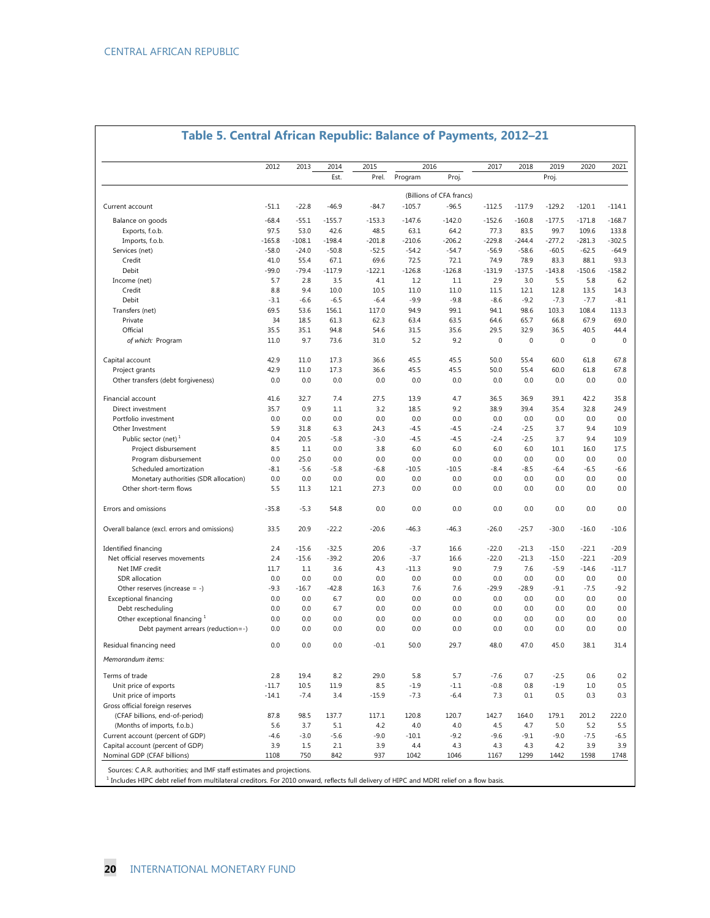|                                                                     | 2012       | 2013       | 2014       | 2015       |            | 2016                                | 2017        | 2018        | 2019             | 2020         | 2021        |
|---------------------------------------------------------------------|------------|------------|------------|------------|------------|-------------------------------------|-------------|-------------|------------------|--------------|-------------|
|                                                                     |            |            | Est.       | Prel.      | Program    | Proj.                               |             |             | Proj.            |              |             |
|                                                                     |            |            |            |            |            |                                     |             |             |                  |              |             |
| Current account                                                     | $-51.1$    | $-22.8$    | $-46.9$    | $-84.7$    | $-105.7$   | (Billions of CFA francs)<br>$-96.5$ | $-112.5$    | $-117.9$    | $-129.2$         | $-120.1$     | -114.1      |
| Balance on goods                                                    | $-68.4$    | $-55.1$    | $-155.7$   | $-153.3$   | $-147.6$   | $-142.0$                            | $-152.6$    | $-160.8$    | $-177.5$         | $-171.8$     | $-168.7$    |
| Exports, f.o.b.                                                     | 97.5       | 53.0       | 42.6       | 48.5       | 63.1       | 64.2                                | 77.3        | 83.5        | 99.7             | 109.6        | 133.8       |
| Imports, f.o.b.                                                     | $-165.8$   | $-108.1$   | $-198.4$   | $-201.8$   | $-210.6$   | $-206.2$                            | $-229.8$    | $-244.4$    | $-277.2$         | $-281.3$     | $-302.5$    |
| Services (net)                                                      | $-58.0$    | $-24.0$    | $-50.8$    | $-52.5$    | $-54.2$    | $-54.7$                             | $-56.9$     | $-58.6$     | $-60.5$          | $-62.5$      | $-64.9$     |
| Credit                                                              | 41.0       | 55.4       | 67.1       | 69.6       | 72.5       | 72.1                                | 74.9        | 78.9        | 83.3             | 88.1         | 93.3        |
| Debit                                                               | $-99.0$    | $-79.4$    | $-117.9$   | $-122.1$   | $-126.8$   | $-126.8$                            | $-131.9$    | $-137.5$    | $-143.8$         | $-150.6$     | -158.2      |
| Income (net)                                                        | 5.7        | 2.8        | 3.5        | 4.1        | 1.2        | 1.1                                 | 2.9         | 3.0         | 5.5              | 5.8          | 6.2         |
| Credit                                                              | 8.8        | 9.4        | 10.0       | 10.5       | 11.0       | 11.0                                | 11.5        | 12.1        | 12.8             | 13.5         | 14.3        |
| Debit                                                               | $-3.1$     | $-6.6$     | $-6.5$     | $-6.4$     | $-9.9$     | $-9.8$                              | $-8.6$      | $-9.2$      | $-7.3$           | $-7.7$       | $-8.1$      |
| Transfers (net)                                                     | 69.5       | 53.6       | 156.1      | 117.0      | 94.9       | 99.1                                | 94.1        | 98.6        | 103.3            | 108.4        | 113.3       |
| Private                                                             | 34         | 18.5       | 61.3       | 62.3       | 63.4       | 63.5                                | 64.6        | 65.7        | 66.8             | 67.9         | 69.0        |
| Official                                                            | 35.5       | 35.1       | 94.8       | 54.6       | 31.5       | 35.6                                | 29.5        | 32.9        | 36.5             | 40.5         | 44.4        |
| of which: Program                                                   | 11.0       | 9.7        | 73.6       | 31.0       | 5.2        | 9.2                                 | $\mathbf 0$ | $\mathbf 0$ | $\boldsymbol{0}$ | $\mathbf{0}$ | $\mathbf 0$ |
| Capital account                                                     | 42.9       | 11.0       | 17.3       | 36.6       | 45.5       | 45.5                                | 50.0        | 55.4        | 60.0             | 61.8         | 67.8        |
| Project grants                                                      | 42.9       | 11.0       | 17.3       | 36.6       | 45.5       | 45.5                                | 50.0        | 55.4        | 60.0             | 61.8         | 67.8        |
| Other transfers (debt forgiveness)                                  | 0.0        | 0.0        | 0.0        | 0.0        | 0.0        | 0.0                                 | 0.0         | 0.0         | 0.0              | 0.0          | 0.0         |
| Financial account                                                   | 41.6       | 32.7       | 7.4        | 27.5       | 13.9       | 4.7                                 | 36.5        | 36.9        | 39.1             | 42.2         | 35.8        |
| Direct investment                                                   | 35.7       | 0.9        | 1.1        | 3.2        | 18.5       | 9.2                                 | 38.9        | 39.4        | 35.4             | 32.8         | 24.9        |
| Portfolio investment                                                | 0.0        | 0.0        | 0.0        | 0.0        | 0.0        | 0.0                                 | 0.0         | 0.0         | 0.0              | 0.0          | 0.0         |
| Other Investment                                                    | 5.9        | 31.8       | 6.3        | 24.3       | -4.5       | -4.5                                | $-2.4$      | $-2.5$      | 3.7              | 9.4          | 10.9        |
| Public sector (net) $1$                                             | 0.4        | 20.5       | $-5.8$     | $-3.0$     | $-4.5$     | $-4.5$                              | $-2.4$      | $-2.5$      | 3.7              | 9.4          | 10.9        |
| Project disbursement                                                | 8.5        | 1.1        | 0.0        | 3.8        | 6.0        | 6.0                                 | 6.0         | 6.0         | 10.1             | 16.0         | 17.5        |
| Program disbursement                                                | 0.0        | 25.0       | 0.0        | 0.0        | 0.0        | 0.0                                 | 0.0         | 0.0         | 0.0              | 0.0          | 0.0         |
| Scheduled amortization                                              | -8.1       | $-5.6$     | $-5.8$     | $-6.8$     | $-10.5$    | $-10.5$                             | $-8.4$      | -8.5        | $-6.4$           | $-6.5$       | $-6.6$      |
| Monetary authorities (SDR allocation)                               | 0.0        | 0.0        | 0.0        | 0.0        | 0.0        | 0.0                                 | 0.0         | 0.0         | 0.0              | 0.0          | 0.0         |
| Other short-term flows                                              | 5.5        | 11.3       | 12.1       | 27.3       | 0.0        | 0.0                                 | 0.0         | 0.0         | 0.0              | 0.0          | 0.0         |
| Errors and omissions                                                | $-35.8$    | $-5.3$     | 54.8       | 0.0        | 0.0        | 0.0                                 | 0.0         | 0.0         | 0.0              | 0.0          | 0.0         |
| Overall balance (excl. errors and omissions)                        | 33.5       | 20.9       | $-22.2$    | $-20.6$    | $-46.3$    | $-46.3$                             | $-26.0$     | $-25.7$     | $-30.0$          | $-16.0$      | $-10.6$     |
| Identified financing                                                | 2.4        | $-15.6$    | $-32.5$    | 20.6       | $-3.7$     | 16.6                                | $-22.0$     | $-21.3$     | $-15.0$          | $-22.1$      | $-20.9$     |
| Net official reserves movements                                     | 2.4        | $-15.6$    | $-39.2$    | 20.6       | $-3.7$     | 16.6                                | $-22.0$     | $-21.3$     | $-15.0$          | $-22.1$      | $-20.9$     |
| Net IMF credit                                                      | 11.7       | 1.1        | 3.6        | 4.3        | $-11.3$    | 9.0                                 | 7.9         | 7.6         | $-5.9$           | $-14.6$      | $-11.7$     |
| SDR allocation                                                      | 0.0        | 0.0        | 0.0        | 0.0        | 0.0        | 0.0                                 | 0.0         | 0.0         | 0.0              | 0.0          | 0.0         |
| Other reserves (increase $= -$ )                                    | $-9.3$     | $-16.7$    | $-42.8$    | 16.3       | 7.6        | 7.6                                 | $-29.9$     | $-28.9$     | $-9.1$           | $-7.5$       | $-9.2$      |
| <b>Exceptional financing</b>                                        | 0.0        | 0.0        | 6.7        | 0.0        | 0.0        | 0.0                                 | 0.0         | 0.0         | 0.0              | 0.0          | 0.0         |
| Debt rescheduling                                                   | 0.0        | 0.0        | 6.7        | 0.0        | 0.0        | 0.0                                 | 0.0         | 0.0         | 0.0              | 0.0          | 0.0         |
| Other exceptional financing 1<br>Debt payment arrears (reduction=-) | 0.0<br>0.0 | 0.0<br>0.0 | 0.0<br>0.0 | 0.0<br>0.0 | 0.0<br>0.0 | 0.0<br>0.0                          | 0.0<br>0.0  | 0.0<br>0.0  | 0.0<br>0.0       | 0.0<br>0.0   | 0.0<br>0.0  |
| Residual financing need                                             | 0.0        | 0.0        | 0.0        | $-0.1$     | 50.0       | 29.7                                | 48.0        | 47.0        | 45.0             | 38.1         | 31.4        |
| Memorandum items:                                                   |            |            |            |            |            |                                     |             |             |                  |              |             |
| Terms of trade                                                      | 2.8        | 19.4       | 8.2        | 29.0       | 5.8        | 5.7                                 | $-7.6$      | 0.7         | $-2.5$           | 0.6          | 0.2         |
| Unit price of exports                                               | $-11.7$    | 10.5       | 11.9       | 8.5        | $-1.9$     | $-1.1$                              | $-0.8$      | 0.8         | $-1.9$           | 1.0          | 0.5         |
| Unit price of imports                                               | $-14.1$    | $-7.4$     | 3.4        | $-15.9$    | $-7.3$     | $-6.4$                              | 7.3         | 0.1         | 0.5              | 0.3          | 0.3         |
| Gross official foreign reserves                                     |            |            |            |            |            |                                     |             |             |                  |              |             |
| (CFAF billions, end-of-period)                                      | 87.8       | 98.5       | 137.7      | 117.1      | 120.8      | 120.7                               | 142.7       | 164.0       | 179.1            | 201.2        | 222.0       |
| (Months of imports, f.o.b.)                                         | 5.6        | 3.7        | 5.1        | 4.2        | 4.0        | 4.0                                 | 4.5         | 4.7         | 5.0              | 5.2          | 5.5         |
| Current account (percent of GDP)                                    | $-4.6$     | $-3.0$     | $-5.6$     | $-9.0$     | $-10.1$    | $-9.2$                              | $-9.6$      | $-9.1$      | $-9.0$           | $-7.5$       | $-6.5$      |
| Capital account (percent of GDP)                                    | 3.9        | 1.5        | 2.1        | 3.9        | 4.4        | 4.3                                 | 4.3         | 4.3         | 4.2              | 3.9          | 3.9         |
| Nominal GDP (CFAF billions)                                         | 1108       | 750        | 842        | 937        | 1042       | 1046                                | 1167        | 1299        | 1442             | 1598         | 1748        |

# **Table 5. Central African Republic: Balance of Payments, 2012–21**

Sources: C.A.R. authorities; and IMF staff estimates and projections.

 $1$  Includes HIPC debt relief from multilateral creditors. For 2010 onward, reflects full delivery of HIPC and MDRI relief on a flow basis.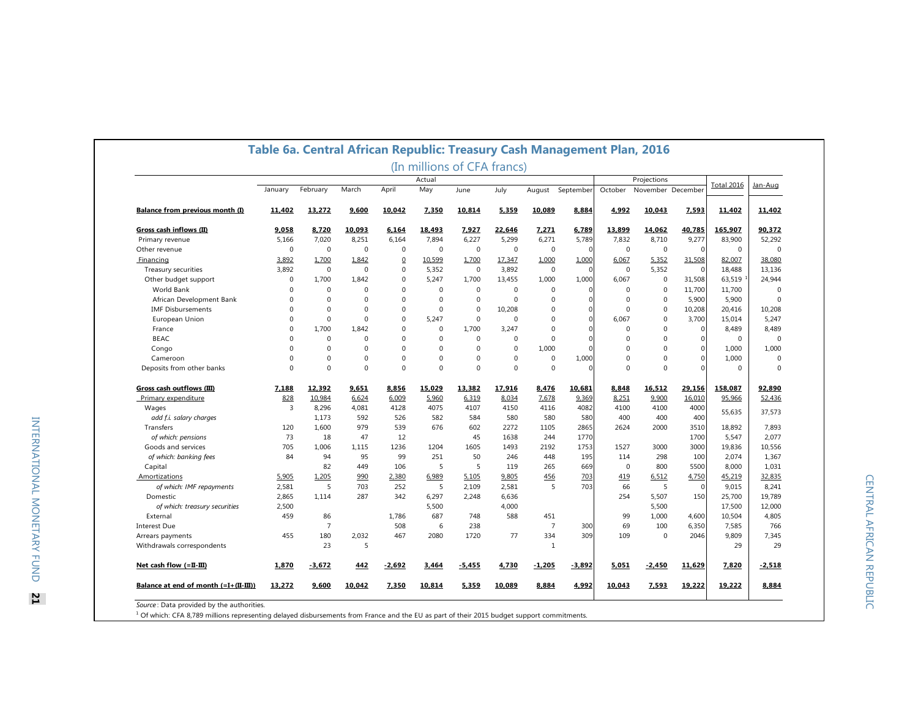|                                       |          |                |             |              |              | (In millions of CFA francs) |              |                |              |             |                   |                |                   |             |
|---------------------------------------|----------|----------------|-------------|--------------|--------------|-----------------------------|--------------|----------------|--------------|-------------|-------------------|----------------|-------------------|-------------|
|                                       |          |                |             |              | Actual       |                             |              |                |              | Projections |                   |                | <b>Total 2016</b> | Jan-Aug     |
|                                       | January  | February       | March       | April        | May          | June                        | July         | August         | September    | October     | November December |                |                   |             |
| Balance from previous month (I)       | 11,402   | 13,272         | 9,600       | 10,042       | 7,350        | 10,814                      | 5,359        | 10,089         | 8,884        | 4,992       | 10,043            | 7,593          | 11,402            | 11,402      |
| Gross cash inflows (II)               | 9.058    | 8.720          | 10.093      | 6.164        | 18.493       | 7.927                       | 22.646       | 7.271          | 6.789        | 13.899      | 14.062            | 40.785         | 165.907           | 90.372      |
| Primary revenue                       | 5,166    | 7,020          | 8,251       | 6,164        | 7.894        | 6.227                       | 5,299        | 6,271          | 5,789        | 7,832       | 8,710             | 9,277          | 83,900            | 52.292      |
| Other revenue                         | 0        | $\mathbf 0$    | $\mathbf 0$ | $\mathbf 0$  | $\mathbf 0$  | $\mathbf 0$                 | $\mathbf 0$  | $\mathbf 0$    | $\cap$       | 0           | $\mathbf 0$       | $\Omega$       | 0                 | $\Omega$    |
| Financing                             | 3.892    | 1.700          | 1.842       | $\Omega$     | 10.599       | 1.700                       | 17.347       | 1.000          | 1.000        | 6.067       | 5.352             | 31.508         | 82.007            | 38.080      |
| Treasury securities                   | 3.892    | $\mathbf 0$    | $\mathbf 0$ | $\mathbf 0$  | 5.352        | $\mathbf 0$                 | 3.892        | $\mathbf 0$    | $\mathbf 0$  | $\mathbf 0$ | 5.352             | $\overline{0}$ | 18.488            | 13.136      |
| Other budget support                  | 0        | 1,700          | 1,842       | $\mathbf 0$  | 5,247        | 1,700                       | 13,455       | 1,000          | 1,000        | 6,067       | $\mathbf 0$       | 31,508         | 63,519            | 24,944      |
| World Bank                            | $\Omega$ | $\mathbf 0$    | $\mathbf 0$ | $\Omega$     | $\mathbf{0}$ | $\Omega$                    | $\Omega$     | $\Omega$       | $\Omega$     | 0           | $\mathbf 0$       | 11,700         | 11,700            | $\Omega$    |
| African Development Bank              | $\Omega$ | $\Omega$       | $\Omega$    | $\Omega$     | $\Omega$     | $\Omega$                    | $\Omega$     | $\Omega$       | $\Omega$     | 0           | $\mathbf 0$       | 5,900          | 5,900             | $\Omega$    |
| <b>IMF Disbursements</b>              | $\Omega$ | $\Omega$       | $\Omega$    | $\mathbf 0$  | $\Omega$     | $\Omega$                    | 10.208       | $\Omega$       | $\mathbf 0$  | $\Omega$    | $\mathbf 0$       | 10,208         | 20,416            | 10,208      |
| European Union                        | $\Omega$ | $\mathbf 0$    | $\mathbf 0$ | $\mathbf 0$  | 5.247        | $\mathbf 0$                 | 0            | $\Omega$       | $\mathbf{0}$ | 6.067       | $\mathbf 0$       | 3,700          | 15,014            | 5,247       |
| France                                | $\Omega$ | 1,700          | 1,842       | $\mathbf 0$  | $\mathbf 0$  | 1,700                       | 3,247        | $\Omega$       | $\Omega$     | 0           | $\mathbf 0$       | $\overline{0}$ | 8,489             | 8,489       |
| <b>BEAC</b>                           | $\Omega$ | $\mathbf 0$    | $\mathbf 0$ | $\mathbf 0$  | $\Omega$     | $\Omega$                    | $\mathbf 0$  | $\mathbf 0$    | $\Omega$     | $\Omega$    | $\mathbf 0$       | $\Omega$       | $\mathbf 0$       | $\mathbf 0$ |
| Congo                                 | $\Omega$ | $\Omega$       | $\Omega$    | $\Omega$     | $\Omega$     | $\Omega$                    | $\Omega$     | 1,000          | $\Omega$     | $\Omega$    | $\Omega$          | $\Omega$       | 1,000             | 1,000       |
| Cameroon                              | $\Omega$ | $\mathbf 0$    | $\mathbf 0$ | $\mathbf 0$  | $\Omega$     | $\Omega$                    | $\mathbf 0$  | $\mathbf 0$    | 1,000        | 0           | $\mathbf 0$       | $\Omega$       | 1,000             | $\Omega$    |
| Deposits from other banks             | $\Omega$ | $\mathbf{0}$   | $\mathbf 0$ | $\mathbf{0}$ | $\Omega$     | $\Omega$                    | $\mathbf{0}$ | $\mathbf 0$    | $\Omega$     | $\mathbf 0$ | $\mathbf 0$       | $\Omega$       | $\mathbf 0$       | $\Omega$    |
| Gross cash outflows (III)             | 7,188    | 12,392         | 9,651       | 8,856        | 15,029       | 13,382                      | 17,916       | 8,476          | 10,681       | 8,848       | 16,512            | 29,156         | 158,087           | 92,890      |
| Primary expenditure                   | 828      | 10,984         | 6,624       | 6,009        | 5,960        | 6,319                       | 8,034        | 7,678          | 9,369        | 8,251       | 9,900             | 16,010         | 95,966            | 52,436      |
| Wages                                 | 3        | 8,296          | 4,081       | 4128         | 4075         | 4107                        | 4150         | 4116           | 4082         | 4100        | 4100              | 4000           |                   |             |
| add f.i. salary charges               |          | 1,173          | 592         | 526          | 582          | 584                         | 580          | 580            | 580          | 400         | 400               | 400            | 55,635            | 37,573      |
| Transfers                             | 120      | 1,600          | 979         | 539          | 676          | 602                         | 2272         | 1105           | 2865         | 2624        | 2000              | 3510           | 18,892            | 7,893       |
| of which: pensions                    | 73       | 18             | 47          | 12           |              | 45                          | 1638         | 244            | 1770         |             |                   | 1700           | 5,547             | 2,077       |
| Goods and services                    | 705      | 1.006          | 1.115       | 1236         | 1204         | 1605                        | 1493         | 2192           | 1753         | 1527        | 3000              | 3000           | 19,836            | 10,556      |
| of which: banking fees                | 84       | 94             | 95          | 99           | 251          | 50                          | 246          | 448            | 195          | 114         | 298               | 100            | 2,074             | 1,367       |
| Capital                               |          | 82             | 449         | 106          | 5            | 5                           | 119          | 265            | 669          | $\mathbf 0$ | 800               | 5500           | 8,000             | 1,031       |
| Amortizations                         | 5,905    | 1,205          | 990         | 2,380        | 6.989        | 5,105                       | 9,805        | 456            | 703          | 419         | 6,512             | 4,750          | 45,219            | 32,835      |
| of which: IMF repayments              | 2,581    | 5              | 703         | 252          | 5            | 2,109                       | 2,581        | 5              | 703          | 66          | 5                 | $\overline{0}$ | 9,015             | 8,241       |
| Domestic                              | 2,865    | 1.114          | 287         | 342          | 6.297        | 2.248                       | 6.636        |                |              | 254         | 5.507             | 150            | 25.700            | 19.789      |
| of which: treasury securities         | 2,500    |                |             |              | 5,500        |                             | 4,000        |                |              |             | 5,500             |                | 17,500            | 12,000      |
| External                              | 459      | 86             |             | 1,786        | 687          | 748                         | 588          | 451            |              | 99          | 1,000             | 4,600          | 10,504            | 4,805       |
| <b>Interest Due</b>                   |          | $\overline{7}$ |             | 508          | 6            | 238                         |              | $\overline{7}$ | 300          | 69          | 100               | 6,350          | 7,585             | 766         |
| Arrears payments                      | 455      | 180            | 2,032       | 467          | 2080         | 1720                        | 77           | 334            | 309          | 109         | $\mathbf 0$       | 2046           | 9,809             | 7,345       |
| Withdrawals correspondents            |          | 23             | 5           |              |              |                             |              | 1              |              |             |                   |                | 29                | 29          |
| Net cash flow (=II-III)               | 1,870    | $-3.672$       | 442         | $-2,692$     | 3.464        | $-5,455$                    | 4.730        | $-1.205$       | $-3,892$     | 5.051       | $-2.450$          | 11,629         | 7,820             | $-2.518$    |
| Balance at end of month (=I+(II-III)) | 13,272   | 9,600          | 10,042      | 7,350        | 10,814       | 5,359                       | 10,089       | 8,884          | 4,992        | 10,043      | 7,593             | 19,222         | 19,222            | 8,884       |

INTERNATIONAL MONETARY FUND INTERNATIONAL MONETARY FUND 21

*Source* : Data provided by the authorities.<br><sup>1</sup> Of which: CFA 8,789 millions representing delayed disbursements from France and the EU as part of their 2015 budget support commitments.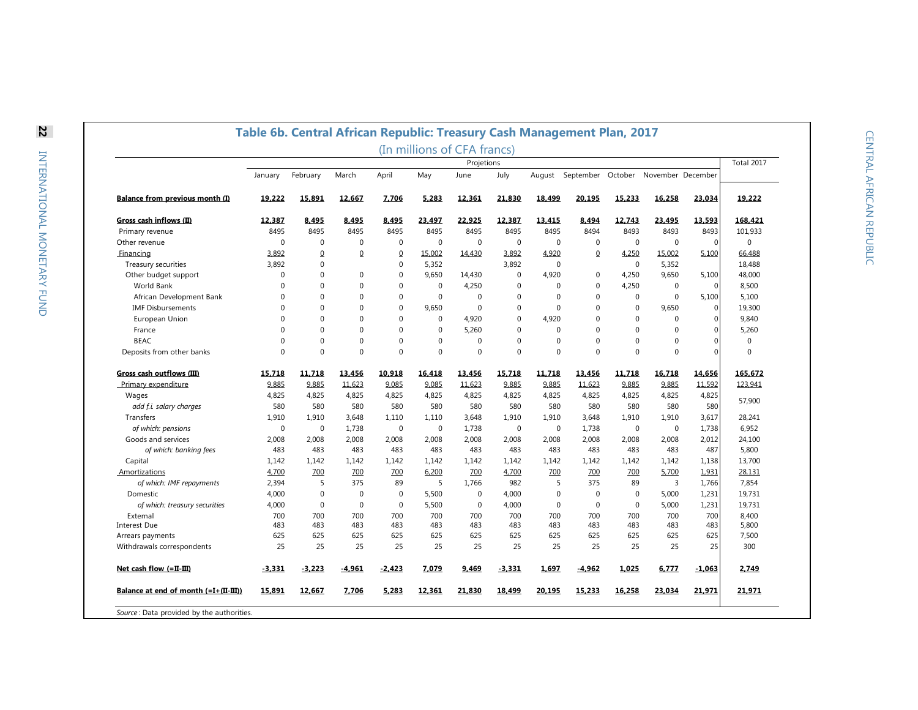|                                       |             |                |                |                |                  | (In millions of CFA francs) |             |              |                |              |                   |                |             |
|---------------------------------------|-------------|----------------|----------------|----------------|------------------|-----------------------------|-------------|--------------|----------------|--------------|-------------------|----------------|-------------|
|                                       | January     | February       | March          | April          | May              | Projetions<br>June          | July        | August       | September      | October      | November December |                | Total 2017  |
|                                       |             |                |                |                |                  |                             |             |              |                |              |                   |                |             |
| Balance from previous month (I)       | 19.222      | 15.891         | 12.667         | 7.706          | 5.283            | 12.361                      | 21.830      | 18.499       | 20.195         | 15.233       | 16.258            | 23.034         | 19.222      |
| Gross cash inflows (II)               | 12,387      | 8,495          | 8,495          | 8,495          | 23,497           | 22,925                      | 12,387      | 13,415       | 8,494          | 12,743       | 23,495            | 13,593         | 168,421     |
| Primary revenue                       | 8495        | 8495           | 8495           | 8495           | 8495             | 8495                        | 8495        | 8495         | 8494           | 8493         | 8493              | 8493           | 101,933     |
| Other revenue                         | $\mathbf 0$ | 0              | $\mathbf 0$    | $\mathbf{0}$   | $\bf 0$          | $\pmb{0}$                   | $\mathbf 0$ | $\mathbf 0$  | $\mathbf 0$    | $\mathbf 0$  | $\mathbf 0$       | $\overline{0}$ | $\pmb{0}$   |
| Financing                             | 3,892       | $\overline{0}$ | $\overline{0}$ | $\overline{0}$ | 15,002           | 14,430                      | 3,892       | 4,920        | $\overline{0}$ | 4,250        | 15,002            | 5,100          | 66,488      |
| Treasury securities                   | 3,892       | 0              |                | $\mathbf{0}$   | 5,352            |                             | 3,892       | $\mathbf{0}$ |                | $\mathbf 0$  | 5,352             |                | 18,488      |
| Other budget support                  | $\Omega$    | $\Omega$       | $\mathbf 0$    | $\Omega$       | 9.650            | 14,430                      | $\Omega$    | 4.920        | $\mathbf{0}$   | 4,250        | 9.650             | 5,100          | 48,000      |
| World Bank                            | $\Omega$    | $\Omega$       | $\mathbf{0}$   | $\mathbf{0}$   | $\mathbf 0$      | 4,250                       | $\mathbf 0$ | $\mathbf{0}$ | $\mathbf{0}$   | 4,250        | $\mathbf{0}$      | $\mathbf 0$    | 8,500       |
| African Development Bank              | $\Omega$    | $\Omega$       | $\Omega$       | $\mathbf{0}$   | $\mathbf{0}$     | $\mathbf{0}$                | $\Omega$    | $\Omega$     | $\mathbf{0}$   | $\mathbf 0$  | $\mathbf{0}$      | 5,100          | 5,100       |
| <b>IMF Disbursements</b>              | $\Omega$    | $\Omega$       | $\Omega$       | $\mathbf{0}$   | 9.650            | $\mathbf{0}$                | $\mathbf 0$ | $\Omega$     | $\mathbf{0}$   | $\mathbf 0$  | 9.650             | 0              | 19,300      |
| European Union                        | $\Omega$    | $\Omega$       | $\mathbf 0$    | $\mathbf{0}$   | 0                | 4,920                       | $\Omega$    | 4,920        | $\mathbf 0$    | $\mathbf 0$  | $\Omega$          | $\Omega$       | 9,840       |
| France                                | $\mathbf 0$ | $\Omega$       | $\Omega$       | $\mathbf{0}$   | $\mathbf{0}$     | 5,260                       | $\mathbf 0$ | $\mathbf{0}$ | $\Omega$       | $\mathbf 0$  | $\Omega$          | $\Omega$       | 5,260       |
| <b>BEAC</b>                           | $\Omega$    | $\Omega$       | $\mathbf{0}$   | $\mathbf{0}$   | $\boldsymbol{0}$ | $\mathbf{0}$                | $\Omega$    | $\mathbf{0}$ | $\mathbf{0}$   | $\mathbf 0$  | $\Omega$          | $\Omega$       | $\mathbf 0$ |
| Deposits from other banks             | $\Omega$    | $\Omega$       | $\Omega$       | $\mathbf{0}$   | $\mathbf{0}$     | $\mathbf{0}$                | $\Omega$    | $\Omega$     | $\mathbf{0}$   | $\mathbf 0$  | $\mathbf 0$       | $\overline{0}$ | $\mathbf 0$ |
| Gross cash outflows (III)             | 15.718      | 11.718         | 13.456         | 10.918         | 16.418           | 13.456                      | 15.718      | 11.718       | 13.456         | 11.718       | 16.718            | 14.656         | 165.672     |
| Primary expenditure                   | 9.885       | 9.885          | 11.623         | 9.085          | 9.085            | 11.623                      | 9.885       | 9.885        | 11.623         | 9.885        | 9.885             | 11.592         | 123.941     |
| Wages                                 | 4,825       | 4,825          | 4,825          | 4,825          | 4,825            | 4,825                       | 4,825       | 4,825        | 4,825          | 4,825        | 4,825             | 4,825          |             |
| add f.i. salary charges               | 580         | 580            | 580            | 580            | 580              | 580                         | 580         | 580          | 580            | 580          | 580               | 580            | 57,900      |
| Transfers                             | 1,910       | 1,910          | 3,648          | 1,110          | 1,110            | 3,648                       | 1,910       | 1,910        | 3,648          | 1,910        | 1,910             | 3,617          | 28,241      |
| of which: pensions                    | $\mathbf 0$ | 0              | 1,738          | $\mathbf{0}$   | $\pmb{0}$        | 1,738                       | $\mathbf 0$ | $\mathbf 0$  | 1,738          | $\mathbf 0$  | $\pmb{0}$         | 1,738          | 6,952       |
| Goods and services                    | 2,008       | 2,008          | 2,008          | 2,008          | 2,008            | 2,008                       | 2,008       | 2,008        | 2,008          | 2,008        | 2,008             | 2,012          | 24,100      |
|                                       | 483         | 483            | 483            | 483            | 483              | 483                         | 483         | 483          | 483            | 483          | 483               | 487            | 5,800       |
| of which: banking fees                |             |                |                |                |                  |                             |             |              |                |              |                   |                |             |
| Capital                               | 1,142       | 1,142          | 1,142          | 1,142          | 1,142            | 1,142                       | 1,142       | 1,142        | 1,142          | 1,142        | 1,142             | 1,138          | 13,700      |
| Amortizations                         | 4,700       | 700            | 700            | 700            | 6,200            | 700                         | 4,700       | 700          | 700            | 700          | 5,700             | 1,931          | 28,131      |
| of which: IMF repayments              | 2,394       | 5              | 375            | 89             | 5                | 1,766                       | 982         | 5            | 375            | 89           | 3                 | 1,766          | 7,854       |
| Domestic                              | 4,000       | $\mathbf 0$    | $\mathbf{0}$   | $\mathbf{0}$   | 5,500            | $\mathbf 0$                 | 4,000       | $\mathbf{0}$ | $\mathbf 0$    | $\mathbf 0$  | 5,000             | 1,231          | 19,731      |
| of which: treasury securities         | 4,000       | $\Omega$       | $\Omega$       | $\mathbf{0}$   | 5,500            | $\mathbf{0}$                | 4,000       | $\Omega$     | $\mathbf{0}$   | $\mathbf{0}$ | 5,000             | 1,231          | 19,731      |
| External                              | 700         | 700            | 700            | 700            | 700              | 700                         | 700         | 700          | 700            | 700          | 700               | 700            | 8,400       |
| <b>Interest Due</b>                   | 483         | 483            | 483            | 483            | 483              | 483                         | 483         | 483          | 483            | 483          | 483               | 483            | 5,800       |
| Arrears payments                      | 625         | 625            | 625            | 625            | 625              | 625                         | 625         | 625          | 625            | 625          | 625               | 625            | 7,500       |
| Withdrawals correspondents            | 25          | 25             | 25             | 25             | 25               | 25                          | 25          | 25           | 25             | 25           | 25                | 25             | 300         |
| Net cash flow $(=II-III)$             | $-3.331$    | $-3.223$       | $-4,961$       | $-2,423$       | 7.079            | 9,469                       | $-3.331$    | 1,697        | $-4,962$       | 1,025        | 6,777             | $-1,063$       | 2.749       |
| Balance at end of month (=I+(II-III)) | 15,891      | 12,667         | 7,706          | 5,283          | 12,361           | 21,830                      | 18,499      | 20,195       | 15,233         | 16,258       | 23,034            | 21,971         | 21,971      |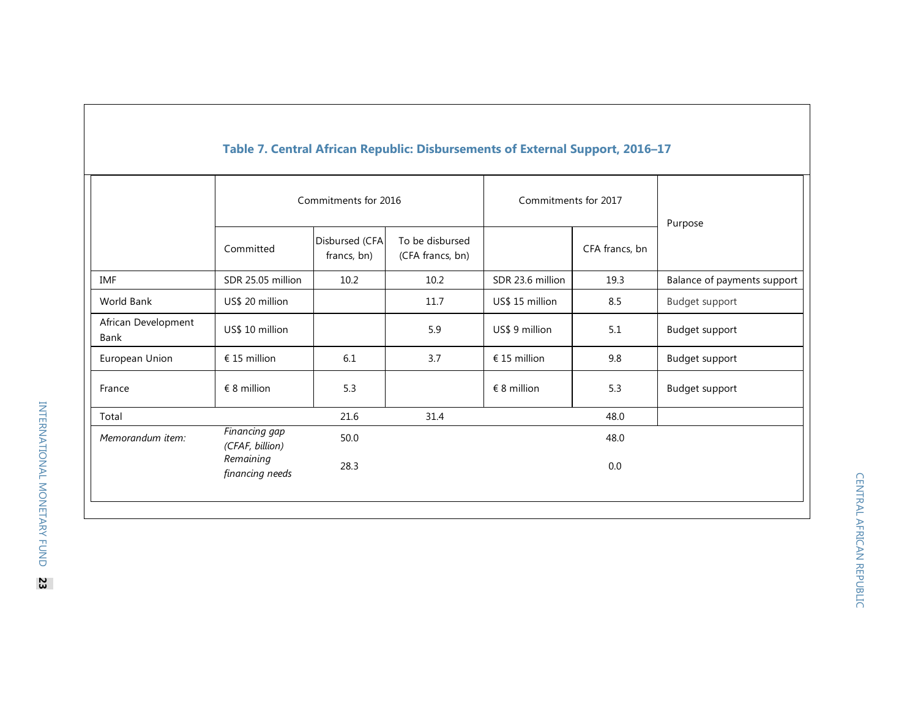|                             |                                  | Commitments for 2016          |                                     | Commitments for 2017 |                | Purpose                     |
|-----------------------------|----------------------------------|-------------------------------|-------------------------------------|----------------------|----------------|-----------------------------|
|                             | Committed                        | Disbursed (CFA<br>francs, bn) | To be disbursed<br>(CFA francs, bn) |                      | CFA francs, bn |                             |
| IMF                         | SDR 25.05 million                | 10.2                          | 10.2                                | SDR 23.6 million     | 19.3           | Balance of payments support |
| World Bank                  | US\$ 20 million                  |                               | 11.7                                | US\$ 15 million      | 8.5            | Budget support              |
| African Development<br>Bank | US\$ 10 million                  |                               | 5.9                                 | US\$ 9 million       | 5.1            | Budget support              |
| European Union              | $£ 15$ million                   | 6.1                           | 3.7                                 | $£ 15$ million       | 9.8            | Budget support              |
| France                      | $\epsilon$ 8 million             | 5.3                           |                                     | $\epsilon$ 8 million | 5.3            | Budget support              |
| Total                       |                                  | 21.6                          | 31.4                                |                      | 48.0           |                             |
| Memorandum item:            | Financing gap<br>(CFAF, billion) | 50.0                          |                                     |                      | 48.0           |                             |
|                             | Remaining<br>financing needs     | 28.3                          |                                     |                      | 0.0            |                             |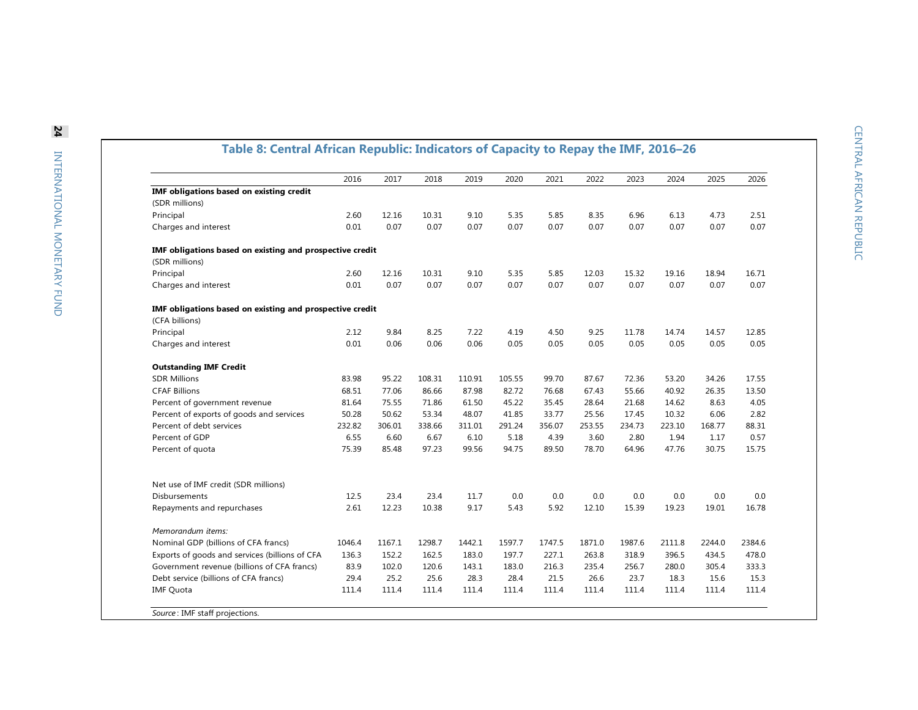| Table 8: Central African Republic: Indicators of Capacity to Repay the IMF, 2016-26 |        |        |        |        |        |        |        |        |        |        |        |
|-------------------------------------------------------------------------------------|--------|--------|--------|--------|--------|--------|--------|--------|--------|--------|--------|
|                                                                                     | 2016   | 2017   | 2018   | 2019   | 2020   | 2021   | 2022   | 2023   | 2024   | 2025   | 2026   |
| <b>IMF obligations based on existing credit</b>                                     |        |        |        |        |        |        |        |        |        |        |        |
| (SDR millions)                                                                      |        |        |        |        |        |        |        |        |        |        |        |
| Principal                                                                           | 2.60   | 12.16  | 10.31  | 9.10   | 5.35   | 5.85   | 8.35   | 6.96   | 6.13   | 4.73   | 2.51   |
| Charges and interest                                                                | 0.01   | 0.07   | 0.07   | 0.07   | 0.07   | 0.07   | 0.07   | 0.07   | 0.07   | 0.07   | 0.07   |
| IMF obligations based on existing and prospective credit<br>(SDR millions)          |        |        |        |        |        |        |        |        |        |        |        |
| Principal                                                                           | 2.60   | 12.16  | 10.31  | 9.10   | 5.35   | 5.85   | 12.03  | 15.32  | 19.16  | 18.94  | 16.71  |
| Charges and interest                                                                | 0.01   | 0.07   | 0.07   | 0.07   | 0.07   | 0.07   | 0.07   | 0.07   | 0.07   | 0.07   | 0.07   |
| IMF obligations based on existing and prospective credit                            |        |        |        |        |        |        |        |        |        |        |        |
| (CFA billions)                                                                      |        |        |        |        |        |        |        |        |        |        |        |
| Principal                                                                           | 2.12   | 9.84   | 8.25   | 7.22   | 4.19   | 4.50   | 9.25   | 11.78  | 14.74  | 14.57  | 12.85  |
| Charges and interest                                                                | 0.01   | 0.06   | 0.06   | 0.06   | 0.05   | 0.05   | 0.05   | 0.05   | 0.05   | 0.05   | 0.05   |
| <b>Outstanding IMF Credit</b>                                                       |        |        |        |        |        |        |        |        |        |        |        |
| <b>SDR Millions</b>                                                                 | 83.98  | 95.22  | 108.31 | 110.91 | 105.55 | 99.70  | 87.67  | 72.36  | 53.20  | 34.26  | 17.55  |
| <b>CFAF Billions</b>                                                                | 68.51  | 77.06  | 86.66  | 87.98  | 82.72  | 76.68  | 67.43  | 55.66  | 40.92  | 26.35  | 13.50  |
| Percent of government revenue                                                       | 81.64  | 75.55  | 71.86  | 61.50  | 45.22  | 35.45  | 28.64  | 21.68  | 14.62  | 8.63   | 4.05   |
| Percent of exports of goods and services                                            | 50.28  | 50.62  | 53.34  | 48.07  | 41.85  | 33.77  | 25.56  | 17.45  | 10.32  | 6.06   | 2.82   |
| Percent of debt services                                                            | 232.82 | 306.01 | 338.66 | 311.01 | 291.24 | 356.07 | 253.55 | 234.73 | 223.10 | 168.77 | 88.31  |
| Percent of GDP                                                                      | 6.55   | 6.60   | 6.67   | 6.10   | 5.18   | 4.39   | 3.60   | 2.80   | 1.94   | 1.17   | 0.57   |
| Percent of quota                                                                    | 75.39  | 85.48  | 97.23  | 99.56  | 94.75  | 89.50  | 78.70  | 64.96  | 47.76  | 30.75  | 15.75  |
| Net use of IMF credit (SDR millions)                                                |        |        |        |        |        |        |        |        |        |        |        |
| <b>Disbursements</b>                                                                | 12.5   | 23.4   | 23.4   | 11.7   | 0.0    | 0.0    | 0.0    | 0.0    | 0.0    | 0.0    | 0.0    |
| Repayments and repurchases                                                          | 2.61   | 12.23  | 10.38  | 9.17   | 5.43   | 5.92   | 12.10  | 15.39  | 19.23  | 19.01  | 16.78  |
| Memorandum items:                                                                   |        |        |        |        |        |        |        |        |        |        |        |
| Nominal GDP (billions of CFA francs)                                                | 1046.4 | 1167.1 | 1298.7 | 1442.1 | 1597.7 | 1747.5 | 1871.0 | 1987.6 | 2111.8 | 2244.0 | 2384.6 |
| Exports of goods and services (billions of CFA                                      | 136.3  | 152.2  | 162.5  | 183.0  | 197.7  | 227.1  | 263.8  | 318.9  | 396.5  | 434.5  | 478.0  |
| Government revenue (billions of CFA francs)                                         | 83.9   | 102.0  | 120.6  | 143.1  | 183.0  | 216.3  | 235.4  | 256.7  | 280.0  | 305.4  | 333.3  |
| Debt service (billions of CFA francs)                                               | 29.4   | 25.2   | 25.6   | 28.3   | 28.4   | 21.5   | 26.6   | 23.7   | 18.3   | 15.6   | 15.3   |
| <b>IMF Quota</b>                                                                    | 111.4  | 111.4  | 111.4  | 111.4  | 111.4  | 111.4  | 111.4  | 111.4  | 111.4  | 111.4  | 111.4  |
|                                                                                     |        |        |        |        |        |        |        |        |        |        |        |

*Source* : IMF staff projections.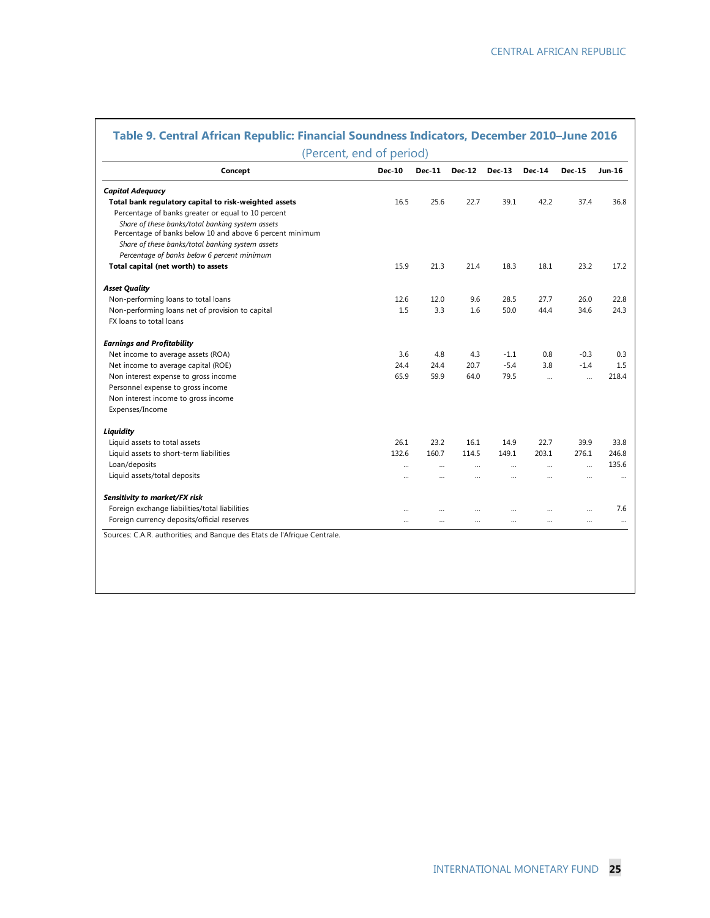| Concept                                                  | <b>Dec-10</b> | <b>Dec-11</b> | <b>Dec-12</b> | $Dec-13$  | <b>Dec-14</b>         | <b>Dec-15</b> | Jun-16 |
|----------------------------------------------------------|---------------|---------------|---------------|-----------|-----------------------|---------------|--------|
| <b>Capital Adequacy</b>                                  |               |               |               |           |                       |               |        |
| Total bank regulatory capital to risk-weighted assets    | 16.5          | 25.6          | 22.7          | 39.1      | 42.2                  | 37.4          | 36.8   |
| Percentage of banks greater or equal to 10 percent       |               |               |               |           |                       |               |        |
| Share of these banks/total banking system assets         |               |               |               |           |                       |               |        |
| Percentage of banks below 10 and above 6 percent minimum |               |               |               |           |                       |               |        |
| Share of these banks/total banking system assets         |               |               |               |           |                       |               |        |
| Percentage of banks below 6 percent minimum              |               |               |               |           |                       |               |        |
| Total capital (net worth) to assets                      | 15.9          | 21.3          | 21.4          | 18.3      | 18.1                  | 23.2          | 17.2   |
| <b>Asset Quality</b>                                     |               |               |               |           |                       |               |        |
| Non-performing loans to total loans                      | 12.6          | 12.0          | 9.6           | 28.5      | 27.7                  | 26.0          | 22.8   |
| Non-performing loans net of provision to capital         | 1.5           | 3.3           | 1.6           | 50.0      | 44.4                  | 34.6          | 24.3   |
| FX loans to total loans                                  |               |               |               |           |                       |               |        |
| <b>Earnings and Profitability</b>                        |               |               |               |           |                       |               |        |
| Net income to average assets (ROA)                       | 3.6           | 4.8           | 4.3           | $-1.1$    | 0.8                   | $-0.3$        | 0.3    |
| Net income to average capital (ROE)                      | 24.4          | 24.4          | 20.7          | $-5.4$    | 3.8                   | $-1.4$        | 1.5    |
| Non interest expense to gross income                     | 65.9          | 59.9          | 64.0          | 79.5      | $\dddot{\phantom{0}}$ | $\ddotsc$     | 218.4  |
| Personnel expense to gross income                        |               |               |               |           |                       |               |        |
| Non interest income to gross income                      |               |               |               |           |                       |               |        |
| Expenses/Income                                          |               |               |               |           |                       |               |        |
| Liquidity                                                |               |               |               |           |                       |               |        |
| Liquid assets to total assets                            | 26.1          | 23.2          | 16.1          | 14.9      | 22.7                  | 39.9          | 33.8   |
| Liquid assets to short-term liabilities                  | 132.6         | 160.7         | 114.5         | 149.1     | 203.1                 | 276.1         | 246.8  |
| Loan/deposits                                            |               |               |               |           | $\ddotsc$             | $\ddotsc$     | 135.6  |
| Liquid assets/total deposits                             |               |               |               | $\ddotsc$ |                       | $\ddotsc$     |        |
| Sensitivity to market/FX risk                            |               |               |               |           |                       |               |        |
| Foreign exchange liabilities/total liabilities           |               |               |               |           |                       |               | 7.6    |
| Foreign currency deposits/official reserves              |               |               |               | $\cdots$  | $\cdots$              | $\ddotsc$     |        |

# **Table 9. Central African Republic: Financial Soundness Indicators, December 2010–June 2016**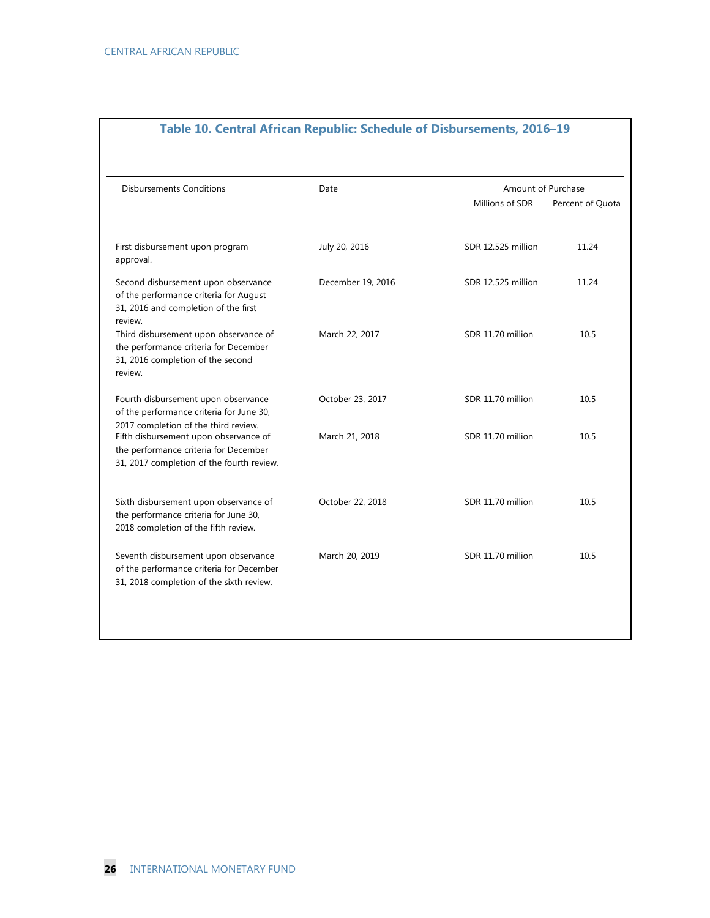| <b>Disbursements Conditions</b>                                                                                                                                     | Date              | Amount of Purchase |                  |  |  |  |
|---------------------------------------------------------------------------------------------------------------------------------------------------------------------|-------------------|--------------------|------------------|--|--|--|
|                                                                                                                                                                     |                   | Millions of SDR    | Percent of Quota |  |  |  |
| First disbursement upon program<br>approval.                                                                                                                        | July 20, 2016     | SDR 12.525 million | 11.24            |  |  |  |
| Second disbursement upon observance<br>of the performance criteria for August<br>31, 2016 and completion of the first<br>review.                                    | December 19, 2016 | SDR 12.525 million | 11.24            |  |  |  |
| Third disbursement upon observance of<br>the performance criteria for December<br>31, 2016 completion of the second<br>review.                                      | March 22, 2017    | SDR 11.70 million  | 10.5             |  |  |  |
| Fourth disbursement upon observance<br>of the performance criteria for June 30,                                                                                     | October 23, 2017  | SDR 11.70 million  | 10.5             |  |  |  |
| 2017 completion of the third review.<br>Fifth disbursement upon observance of<br>the performance criteria for December<br>31, 2017 completion of the fourth review. | March 21, 2018    | SDR 11.70 million  | 10.5             |  |  |  |
| Sixth disbursement upon observance of<br>the performance criteria for June 30,<br>2018 completion of the fifth review.                                              | October 22, 2018  | SDR 11.70 million  | 10.5             |  |  |  |
| Seventh disbursement upon observance<br>of the performance criteria for December<br>31, 2018 completion of the sixth review.                                        | March 20, 2019    | SDR 11.70 million  | 10.5             |  |  |  |

### **Table 10. Central African Republic: Schedule of Disbursements, 2016–19**

┓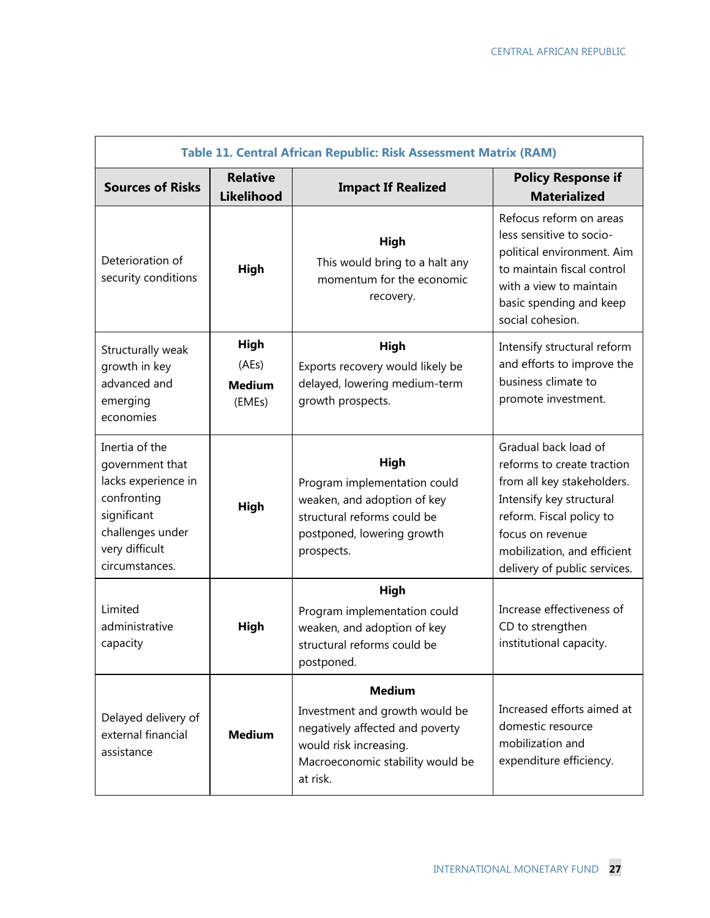|                                                                                                                                                | Table 11. Central African Republic: Risk Assessment Matrix (RAM) |                                                                                                                                                              |                                                                                                                                                                                                                             |  |  |  |  |  |  |
|------------------------------------------------------------------------------------------------------------------------------------------------|------------------------------------------------------------------|--------------------------------------------------------------------------------------------------------------------------------------------------------------|-----------------------------------------------------------------------------------------------------------------------------------------------------------------------------------------------------------------------------|--|--|--|--|--|--|
| <b>Sources of Risks</b>                                                                                                                        | <b>Relative</b><br>Likelihood                                    | <b>Impact If Realized</b>                                                                                                                                    | <b>Policy Response if</b><br><b>Materialized</b>                                                                                                                                                                            |  |  |  |  |  |  |
| Deterioration of<br>security conditions                                                                                                        | High                                                             | High<br>This would bring to a halt any<br>momentum for the economic<br>recovery.                                                                             | Refocus reform on areas<br>less sensitive to socio-<br>political environment. Aim<br>to maintain fiscal control<br>with a view to maintain<br>basic spending and keep<br>social cohesion.                                   |  |  |  |  |  |  |
| Structurally weak<br>growth in key<br>advanced and<br>emerging<br>economies                                                                    | High<br>(AEs)<br><b>Medium</b><br>(EMEs)                         | High<br>Exports recovery would likely be<br>delayed, lowering medium-term<br>growth prospects.                                                               | Intensify structural reform<br>and efforts to improve the<br>business climate to<br>promote investment.                                                                                                                     |  |  |  |  |  |  |
| Inertia of the<br>government that<br>lacks experience in<br>confronting<br>significant<br>challenges under<br>very difficult<br>circumstances. | <b>High</b>                                                      | High<br>Program implementation could<br>weaken, and adoption of key<br>structural reforms could be<br>postponed, lowering growth<br>prospects.               | Gradual back load of<br>reforms to create traction<br>from all key stakeholders.<br>Intensify key structural<br>reform. Fiscal policy to<br>focus on revenue<br>mobilization, and efficient<br>delivery of public services. |  |  |  |  |  |  |
| Limited<br>administrative<br>capacity                                                                                                          | High                                                             | High<br>Program implementation could<br>weaken, and adoption of key<br>structural reforms could be<br>postponed.                                             | Increase effectiveness of<br>CD to strengthen<br>institutional capacity.                                                                                                                                                    |  |  |  |  |  |  |
| Delayed delivery of<br>external financial<br>assistance                                                                                        | <b>Medium</b>                                                    | <b>Medium</b><br>Investment and growth would be<br>negatively affected and poverty<br>would risk increasing.<br>Macroeconomic stability would be<br>at risk. | Increased efforts aimed at<br>domestic resource<br>mobilization and<br>expenditure efficiency.                                                                                                                              |  |  |  |  |  |  |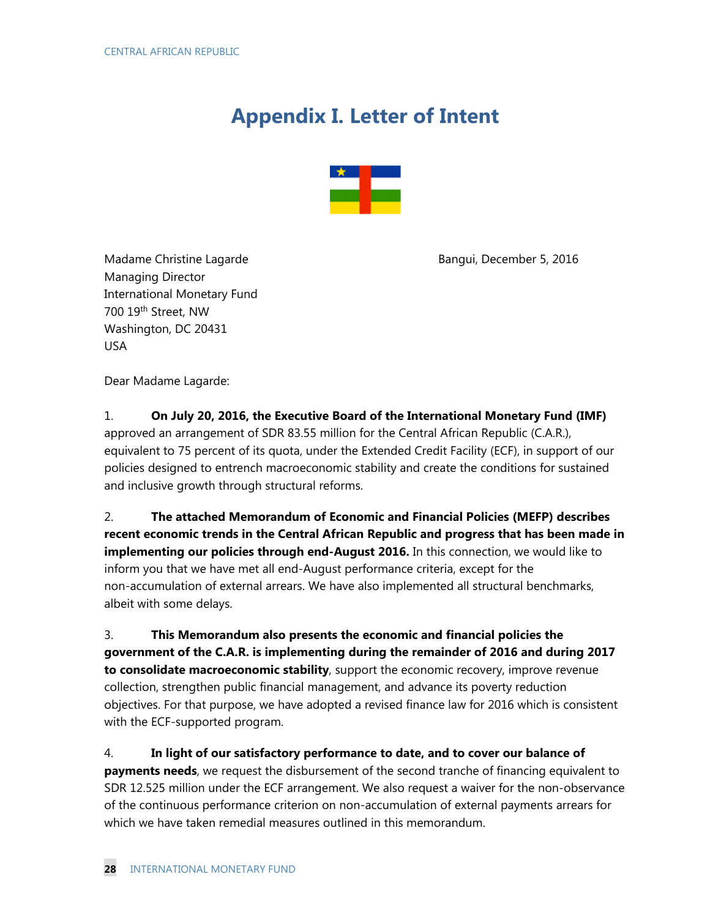# **Appendix I. Letter of Intent**



Madame Christine Lagarde **Bangui, December 5, 2016** Bangui, December 5, 2016 Managing Director International Monetary Fund 700 19th Street, NW Washington, DC 20431 USA

Dear Madame Lagarde:

1. **On July 20, 2016, the Executive Board of the International Monetary Fund (IMF)** approved an arrangement of SDR 83.55 million for the Central African Republic (C.A.R.), equivalent to 75 percent of its quota, under the Extended Credit Facility (ECF), in support of our policies designed to entrench macroeconomic stability and create the conditions for sustained and inclusive growth through structural reforms.

2. **The attached Memorandum of Economic and Financial Policies (MEFP) describes recent economic trends in the Central African Republic and progress that has been made in implementing our policies through end-August 2016.** In this connection, we would like to inform you that we have met all end-August performance criteria, except for the non-accumulation of external arrears. We have also implemented all structural benchmarks, albeit with some delays.

3. **This Memorandum also presents the economic and financial policies the government of the C.A.R. is implementing during the remainder of 2016 and during 2017 to consolidate macroeconomic stability**, support the economic recovery, improve revenue collection, strengthen public financial management, and advance its poverty reduction objectives. For that purpose, we have adopted a revised finance law for 2016 which is consistent with the ECF-supported program.

4. **In light of our satisfactory performance to date, and to cover our balance of payments needs**, we request the disbursement of the second tranche of financing equivalent to SDR 12.525 million under the ECF arrangement. We also request a waiver for the non-observance of the continuous performance criterion on non-accumulation of external payments arrears for which we have taken remedial measures outlined in this memorandum.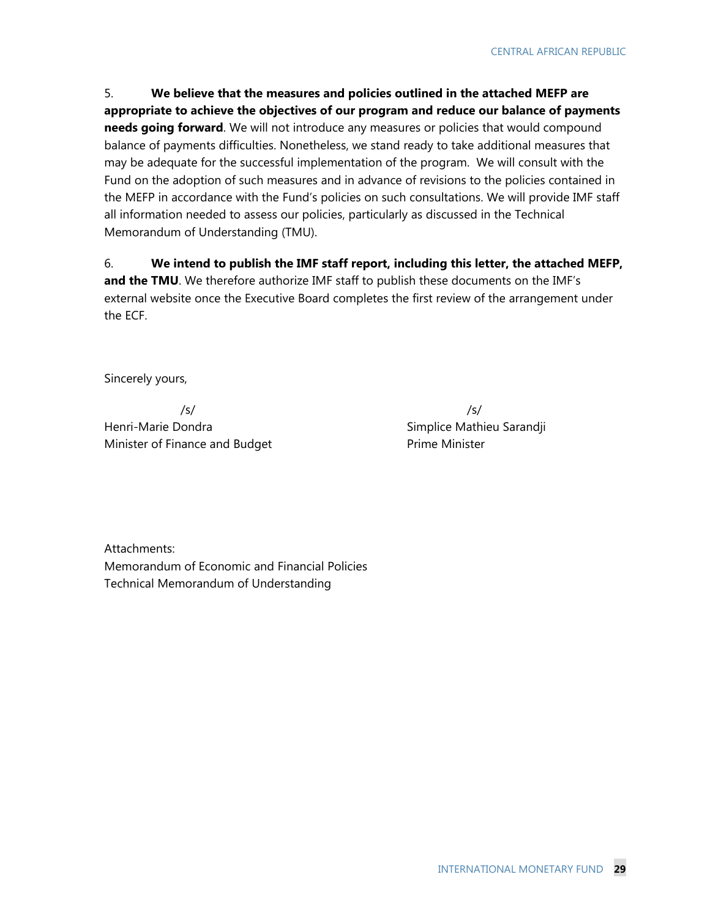5. **We believe that the measures and policies outlined in the attached MEFP are appropriate to achieve the objectives of our program and reduce our balance of payments needs going forward**. We will not introduce any measures or policies that would compound balance of payments difficulties. Nonetheless, we stand ready to take additional measures that may be adequate for the successful implementation of the program. We will consult with the Fund on the adoption of such measures and in advance of revisions to the policies contained in the MEFP in accordance with the Fund's policies on such consultations. We will provide IMF staff all information needed to assess our policies, particularly as discussed in the Technical Memorandum of Understanding (TMU).

6. **We intend to publish the IMF staff report, including this letter, the attached MEFP,**  and the TMU. We therefore authorize IMF staff to publish these documents on the IMF's external website once the Executive Board completes the first review of the arrangement under the ECF.

Sincerely yours,

 /s/ Henri-Marie Dondra Minister of Finance and Budget

 /s/ Simplice Mathieu Sarandji Prime Minister

Attachments: Memorandum of Economic and Financial Policies Technical Memorandum of Understanding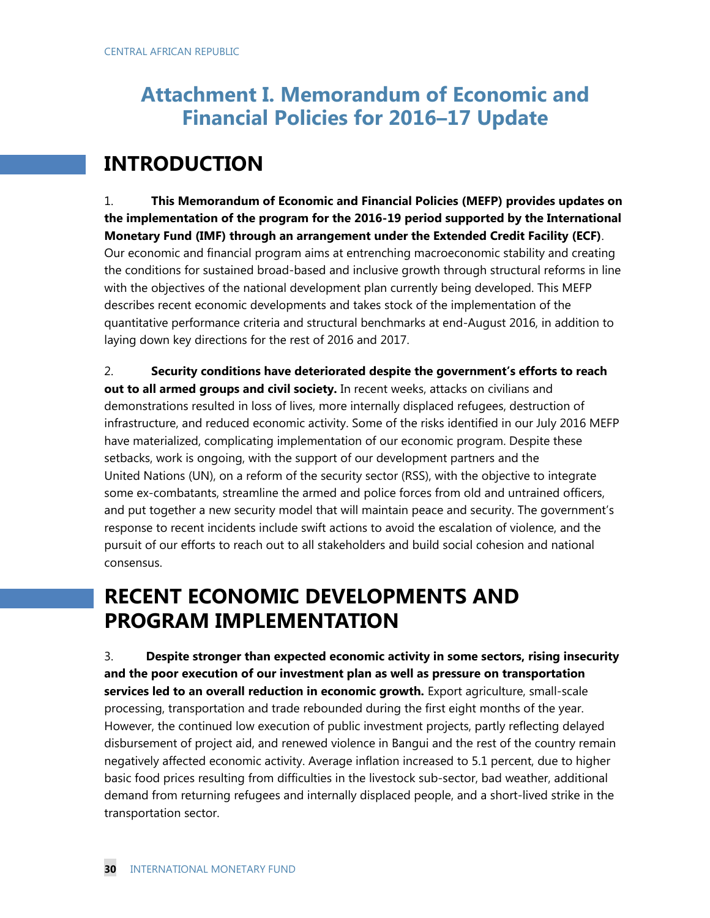# **Attachment I. Memorandum of Economic and Financial Policies for 2016–17 Update**

# **INTRODUCTION**

1. **This Memorandum of Economic and Financial Policies (MEFP) provides updates on the implementation of the program for the 2016-19 period supported by the International Monetary Fund (IMF) through an arrangement under the Extended Credit Facility (ECF)**. Our economic and financial program aims at entrenching macroeconomic stability and creating the conditions for sustained broad-based and inclusive growth through structural reforms in line with the objectives of the national development plan currently being developed. This MEFP describes recent economic developments and takes stock of the implementation of the quantitative performance criteria and structural benchmarks at end-August 2016, in addition to laying down key directions for the rest of 2016 and 2017.

2. **Security conditions have deteriorated despite the government's efforts to reach out to all armed groups and civil society.** In recent weeks, attacks on civilians and demonstrations resulted in loss of lives, more internally displaced refugees, destruction of infrastructure, and reduced economic activity. Some of the risks identified in our July 2016 MEFP have materialized, complicating implementation of our economic program. Despite these setbacks, work is ongoing, with the support of our development partners and the United Nations (UN), on a reform of the security sector (RSS), with the objective to integrate some ex-combatants, streamline the armed and police forces from old and untrained officers, and put together a new security model that will maintain peace and security. The government's response to recent incidents include swift actions to avoid the escalation of violence, and the pursuit of our efforts to reach out to all stakeholders and build social cohesion and national consensus.

# **RECENT ECONOMIC DEVELOPMENTS AND PROGRAM IMPLEMENTATION**

3. **Despite stronger than expected economic activity in some sectors, rising insecurity and the poor execution of our investment plan as well as pressure on transportation services led to an overall reduction in economic growth.** Export agriculture, small-scale processing, transportation and trade rebounded during the first eight months of the year. However, the continued low execution of public investment projects, partly reflecting delayed disbursement of project aid, and renewed violence in Bangui and the rest of the country remain negatively affected economic activity. Average inflation increased to 5.1 percent, due to higher basic food prices resulting from difficulties in the livestock sub-sector, bad weather, additional demand from returning refugees and internally displaced people, and a short-lived strike in the transportation sector.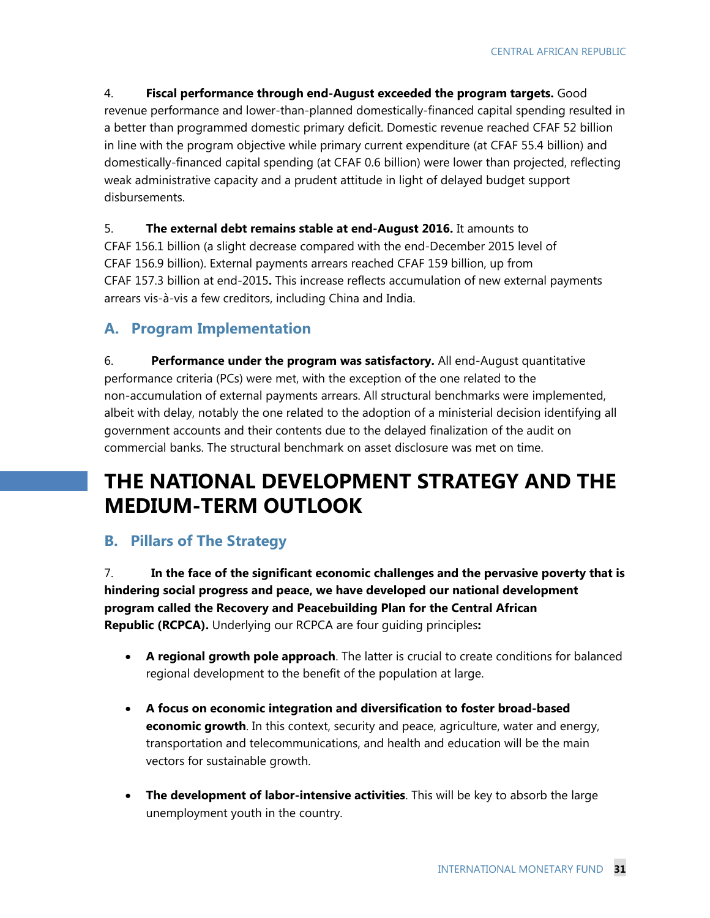4. **Fiscal performance through end-August exceeded the program targets.** Good revenue performance and lower-than-planned domestically-financed capital spending resulted in a better than programmed domestic primary deficit. Domestic revenue reached CFAF 52 billion in line with the program objective while primary current expenditure (at CFAF 55.4 billion) and domestically-financed capital spending (at CFAF 0.6 billion) were lower than projected, reflecting weak administrative capacity and a prudent attitude in light of delayed budget support disbursements.

5. **The external debt remains stable at end-August 2016.** It amounts to CFAF 156.1 billion (a slight decrease compared with the end-December 2015 level of CFAF 156.9 billion). External payments arrears reached CFAF 159 billion, up from CFAF 157.3 billion at end-2015**.** This increase reflects accumulation of new external payments arrears vis-à-vis a few creditors, including China and India.

# **A. Program Implementation**

6. **Performance under the program was satisfactory.** All end-August quantitative performance criteria (PCs) were met, with the exception of the one related to the non-accumulation of external payments arrears. All structural benchmarks were implemented, albeit with delay, notably the one related to the adoption of a ministerial decision identifying all government accounts and their contents due to the delayed finalization of the audit on commercial banks. The structural benchmark on asset disclosure was met on time.

# **THE NATIONAL DEVELOPMENT STRATEGY AND THE MEDIUM-TERM OUTLOOK**

# **B. Pillars of The Strategy**

7. **In the face of the significant economic challenges and the pervasive poverty that is hindering social progress and peace, we have developed our national development program called the Recovery and Peacebuilding Plan for the Central African Republic (RCPCA).** Underlying our RCPCA are four guiding principles**:**

- **A regional growth pole approach**. The latter is crucial to create conditions for balanced regional development to the benefit of the population at large.
- **A focus on economic integration and diversification to foster broad-based economic growth**. In this context, security and peace, agriculture, water and energy, transportation and telecommunications, and health and education will be the main vectors for sustainable growth.
- **The development of labor-intensive activities**. This will be key to absorb the large unemployment youth in the country.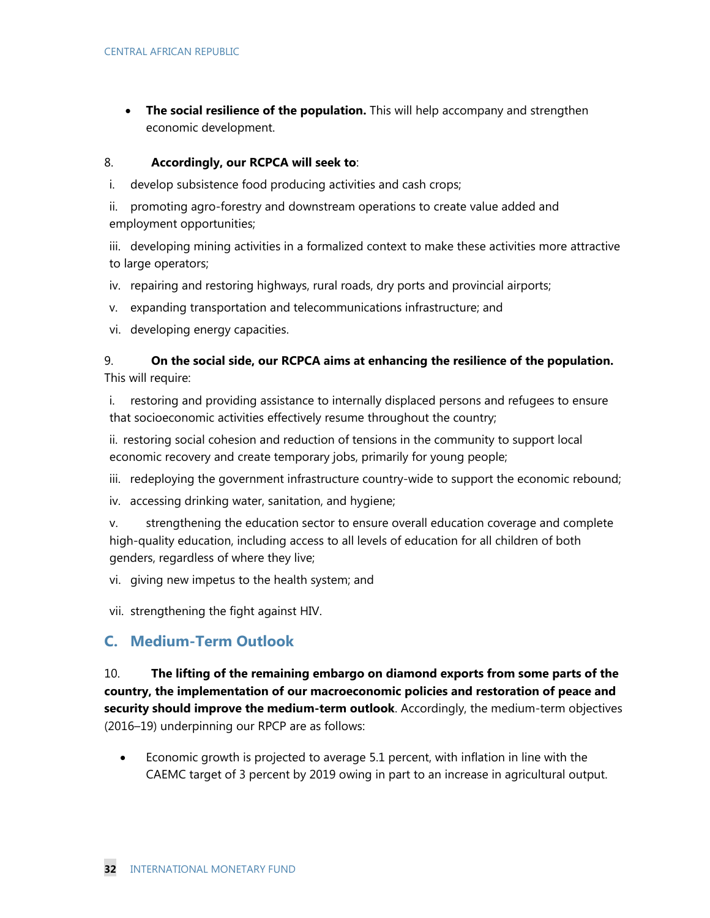**The social resilience of the population.** This will help accompany and strengthen economic development.

### 8. **Accordingly, our RCPCA will seek to**:

- i. develop subsistence food producing activities and cash crops;
- ii. promoting agro-forestry and downstream operations to create value added and employment opportunities;
- iii. developing mining activities in a formalized context to make these activities more attractive to large operators;
- iv. repairing and restoring highways, rural roads, dry ports and provincial airports;
- v. expanding transportation and telecommunications infrastructure; and
- vi. developing energy capacities.

### 9. **On the social side, our RCPCA aims at enhancing the resilience of the population.**  This will require:

i. restoring and providing assistance to internally displaced persons and refugees to ensure that socioeconomic activities effectively resume throughout the country;

ii. restoring social cohesion and reduction of tensions in the community to support local economic recovery and create temporary jobs, primarily for young people;

- iii. redeploying the government infrastructure country-wide to support the economic rebound;
- iv. accessing drinking water, sanitation, and hygiene;

v. strengthening the education sector to ensure overall education coverage and complete high-quality education, including access to all levels of education for all children of both genders, regardless of where they live;

vi. giving new impetus to the health system; and

vii. strengthening the fight against HIV.

# **C. Medium-Term Outlook**

10. **The lifting of the remaining embargo on diamond exports from some parts of the country, the implementation of our macroeconomic policies and restoration of peace and security should improve the medium-term outlook**. Accordingly, the medium-term objectives (2016–19) underpinning our RPCP are as follows:

 Economic growth is projected to average 5.1 percent, with inflation in line with the CAEMC target of 3 percent by 2019 owing in part to an increase in agricultural output.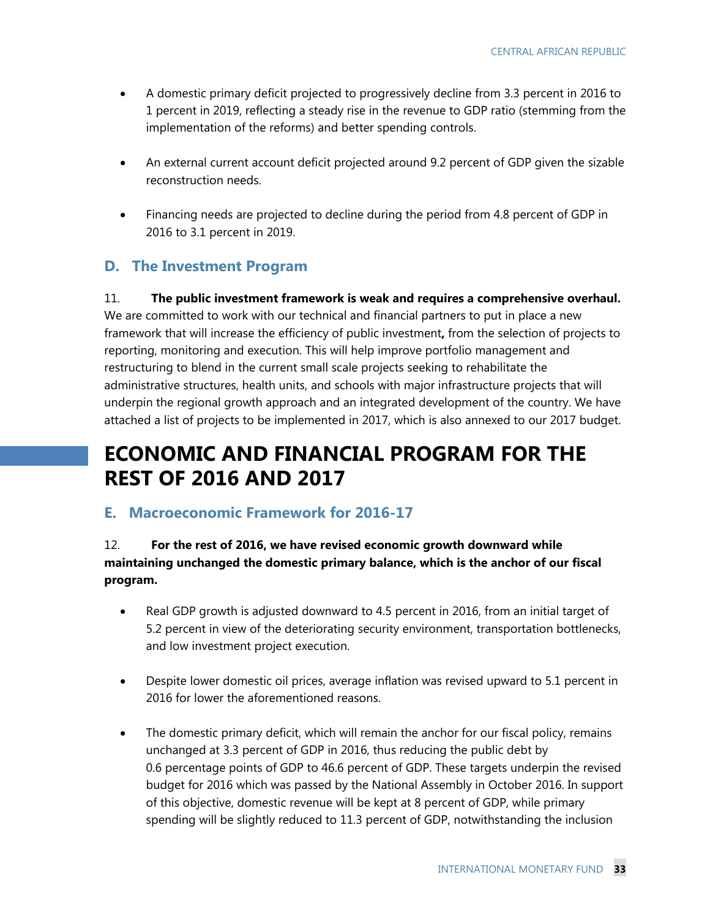- A domestic primary deficit projected to progressively decline from 3.3 percent in 2016 to 1 percent in 2019, reflecting a steady rise in the revenue to GDP ratio (stemming from the implementation of the reforms) and better spending controls.
- An external current account deficit projected around 9.2 percent of GDP given the sizable reconstruction needs.
- Financing needs are projected to decline during the period from 4.8 percent of GDP in 2016 to 3.1 percent in 2019.

# **D. The Investment Program**

11. **The public investment framework is weak and requires a comprehensive overhaul.**  We are committed to work with our technical and financial partners to put in place a new framework that will increase the efficiency of public investment**,** from the selection of projects to reporting, monitoring and execution. This will help improve portfolio management and restructuring to blend in the current small scale projects seeking to rehabilitate the administrative structures, health units, and schools with major infrastructure projects that will underpin the regional growth approach and an integrated development of the country. We have attached a list of projects to be implemented in 2017, which is also annexed to our 2017 budget.

# **ECONOMIC AND FINANCIAL PROGRAM FOR THE REST OF 2016 AND 2017**

# **E. Macroeconomic Framework for 2016-17**

### 12. **For the rest of 2016, we have revised economic growth downward while maintaining unchanged the domestic primary balance, which is the anchor of our fiscal program.**

- Real GDP growth is adjusted downward to 4.5 percent in 2016, from an initial target of 5.2 percent in view of the deteriorating security environment, transportation bottlenecks, and low investment project execution.
- Despite lower domestic oil prices, average inflation was revised upward to 5.1 percent in 2016 for lower the aforementioned reasons.
- The domestic primary deficit, which will remain the anchor for our fiscal policy, remains unchanged at 3.3 percent of GDP in 2016, thus reducing the public debt by 0.6 percentage points of GDP to 46.6 percent of GDP. These targets underpin the revised budget for 2016 which was passed by the National Assembly in October 2016. In support of this objective, domestic revenue will be kept at 8 percent of GDP, while primary spending will be slightly reduced to 11.3 percent of GDP, notwithstanding the inclusion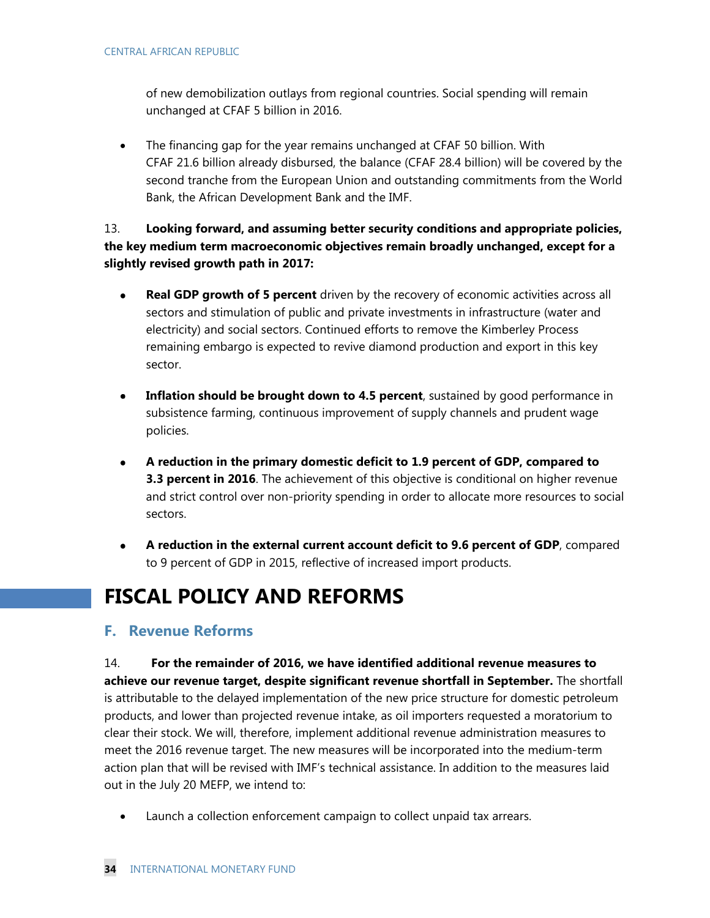of new demobilization outlays from regional countries. Social spending will remain unchanged at CFAF 5 billion in 2016.

• The financing gap for the year remains unchanged at CFAF 50 billion. With CFAF 21.6 billion already disbursed, the balance (CFAF 28.4 billion) will be covered by the second tranche from the European Union and outstanding commitments from the World Bank, the African Development Bank and the IMF.

13. **Looking forward, and assuming better security conditions and appropriate policies, the key medium term macroeconomic objectives remain broadly unchanged, except for a slightly revised growth path in 2017:** 

- **Real GDP growth of 5 percent** driven by the recovery of economic activities across all sectors and stimulation of public and private investments in infrastructure (water and electricity) and social sectors. Continued efforts to remove the Kimberley Process remaining embargo is expected to revive diamond production and export in this key sector.
- **Inflation should be brought down to 4.5 percent**, sustained by good performance in subsistence farming, continuous improvement of supply channels and prudent wage policies.
- **A reduction in the primary domestic deficit to 1.9 percent of GDP, compared to 3.3 percent in 2016**. The achievement of this objective is conditional on higher revenue and strict control over non-priority spending in order to allocate more resources to social sectors.
- **A reduction in the external current account deficit to 9.6 percent of GDP**, compared  $\bullet$ to 9 percent of GDP in 2015, reflective of increased import products.

# **FISCAL POLICY AND REFORMS**

# **F. Revenue Reforms**

14. **For the remainder of 2016, we have identified additional revenue measures to achieve our revenue target, despite significant revenue shortfall in September.** The shortfall is attributable to the delayed implementation of the new price structure for domestic petroleum products, and lower than projected revenue intake, as oil importers requested a moratorium to clear their stock. We will, therefore, implement additional revenue administration measures to meet the 2016 revenue target. The new measures will be incorporated into the medium-term action plan that will be revised with IMF's technical assistance. In addition to the measures laid out in the July 20 MEFP, we intend to:

Launch a collection enforcement campaign to collect unpaid tax arrears.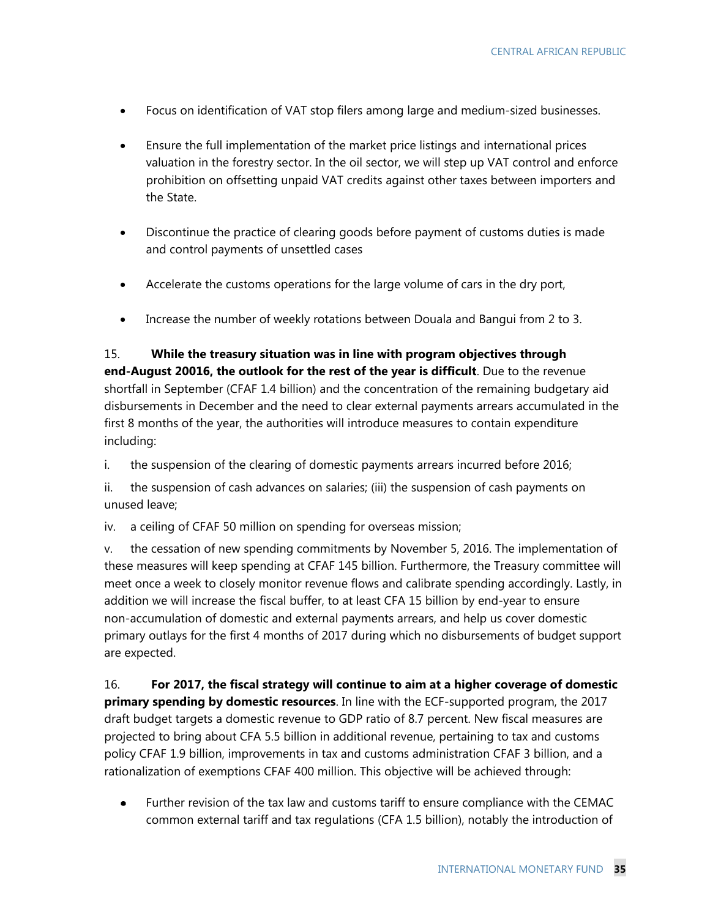- Focus on identification of VAT stop filers among large and medium-sized businesses.
- Ensure the full implementation of the market price listings and international prices valuation in the forestry sector. In the oil sector, we will step up VAT control and enforce prohibition on offsetting unpaid VAT credits against other taxes between importers and the State.
- Discontinue the practice of clearing goods before payment of customs duties is made and control payments of unsettled cases
- Accelerate the customs operations for the large volume of cars in the dry port,
- Increase the number of weekly rotations between Douala and Bangui from 2 to 3.

15. **While the treasury situation was in line with program objectives through end-August 20016, the outlook for the rest of the year is difficult**. Due to the revenue shortfall in September (CFAF 1.4 billion) and the concentration of the remaining budgetary aid disbursements in December and the need to clear external payments arrears accumulated in the first 8 months of the year, the authorities will introduce measures to contain expenditure including:

i. the suspension of the clearing of domestic payments arrears incurred before 2016;

ii. the suspension of cash advances on salaries; (iii) the suspension of cash payments on unused leave;

iv. a ceiling of CFAF 50 million on spending for overseas mission;

v. the cessation of new spending commitments by November 5, 2016. The implementation of these measures will keep spending at CFAF 145 billion. Furthermore, the Treasury committee will meet once a week to closely monitor revenue flows and calibrate spending accordingly. Lastly, in addition we will increase the fiscal buffer, to at least CFA 15 billion by end-year to ensure non-accumulation of domestic and external payments arrears, and help us cover domestic primary outlays for the first 4 months of 2017 during which no disbursements of budget support are expected.

16. **For 2017, the fiscal strategy will continue to aim at a higher coverage of domestic primary spending by domestic resources**. In line with the ECF-supported program, the 2017 draft budget targets a domestic revenue to GDP ratio of 8.7 percent. New fiscal measures are projected to bring about CFA 5.5 billion in additional revenue, pertaining to tax and customs policy CFAF 1.9 billion, improvements in tax and customs administration CFAF 3 billion, and a rationalization of exemptions CFAF 400 million. This objective will be achieved through:

Further revision of the tax law and customs tariff to ensure compliance with the CEMAC common external tariff and tax regulations (CFA 1.5 billion), notably the introduction of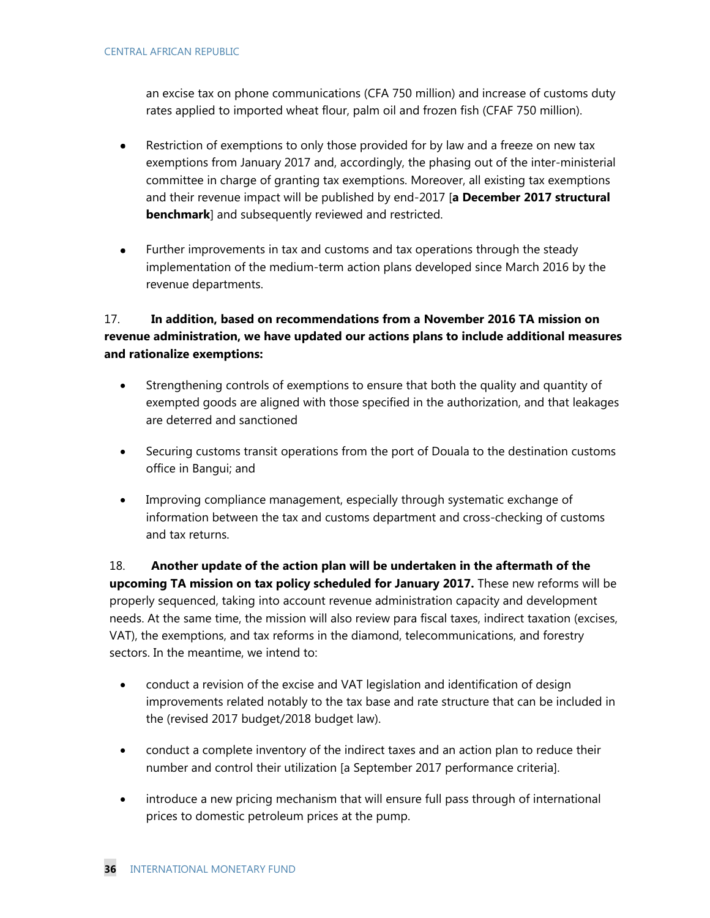an excise tax on phone communications (CFA 750 million) and increase of customs duty rates applied to imported wheat flour, palm oil and frozen fish (CFAF 750 million).

- Restriction of exemptions to only those provided for by law and a freeze on new tax  $\bullet$ exemptions from January 2017 and, accordingly, the phasing out of the inter-ministerial committee in charge of granting tax exemptions. Moreover, all existing tax exemptions and their revenue impact will be published by end-2017 [**a December 2017 structural benchmark**] and subsequently reviewed and restricted.
- Further improvements in tax and customs and tax operations through the steady  $\bullet$ implementation of the medium-term action plans developed since March 2016 by the revenue departments.

### 17. **In addition, based on recommendations from a November 2016 TA mission on revenue administration, we have updated our actions plans to include additional measures and rationalize exemptions:**

- Strengthening controls of exemptions to ensure that both the quality and quantity of exempted goods are aligned with those specified in the authorization, and that leakages are deterred and sanctioned
- Securing customs transit operations from the port of Douala to the destination customs office in Bangui; and
- Improving compliance management, especially through systematic exchange of information between the tax and customs department and cross-checking of customs and tax returns.

18. **Another update of the action plan will be undertaken in the aftermath of the upcoming TA mission on tax policy scheduled for January 2017.** These new reforms will be properly sequenced, taking into account revenue administration capacity and development needs. At the same time, the mission will also review para fiscal taxes, indirect taxation (excises, VAT), the exemptions, and tax reforms in the diamond, telecommunications, and forestry sectors. In the meantime, we intend to:

- conduct a revision of the excise and VAT legislation and identification of design improvements related notably to the tax base and rate structure that can be included in the (revised 2017 budget/2018 budget law).
- conduct a complete inventory of the indirect taxes and an action plan to reduce their number and control their utilization [a September 2017 performance criteria].
- introduce a new pricing mechanism that will ensure full pass through of international prices to domestic petroleum prices at the pump.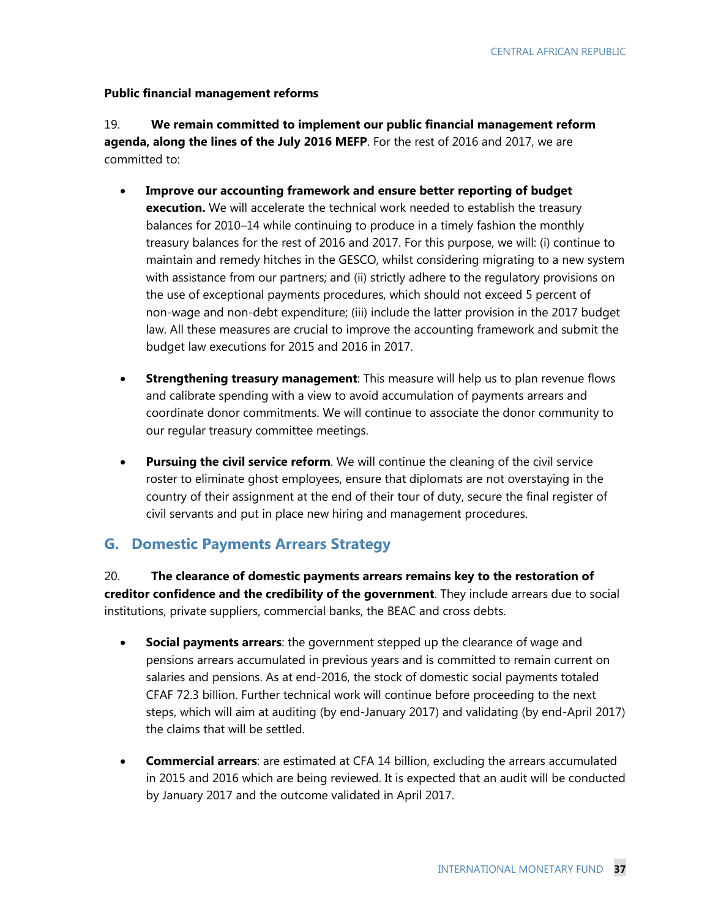#### **Public financial management reforms**

19. **We remain committed to implement our public financial management reform agenda, along the lines of the July 2016 MEFP**. For the rest of 2016 and 2017, we are committed to:

- **Improve our accounting framework and ensure better reporting of budget execution.** We will accelerate the technical work needed to establish the treasury balances for 2010–14 while continuing to produce in a timely fashion the monthly treasury balances for the rest of 2016 and 2017. For this purpose, we will: (i) continue to maintain and remedy hitches in the GESCO, whilst considering migrating to a new system with assistance from our partners; and (ii) strictly adhere to the regulatory provisions on the use of exceptional payments procedures, which should not exceed 5 percent of non-wage and non-debt expenditure; (iii) include the latter provision in the 2017 budget law. All these measures are crucial to improve the accounting framework and submit the budget law executions for 2015 and 2016 in 2017.
- **Strengthening treasury management**: This measure will help us to plan revenue flows and calibrate spending with a view to avoid accumulation of payments arrears and coordinate donor commitments. We will continue to associate the donor community to our regular treasury committee meetings.
- **Pursuing the civil service reform**. We will continue the cleaning of the civil service roster to eliminate ghost employees, ensure that diplomats are not overstaying in the country of their assignment at the end of their tour of duty, secure the final register of civil servants and put in place new hiring and management procedures.

### **G. Domestic Payments Arrears Strategy**

20. **The clearance of domestic payments arrears remains key to the restoration of creditor confidence and the credibility of the government**. They include arrears due to social institutions, private suppliers, commercial banks, the BEAC and cross debts.

- **Social payments arrears**: the government stepped up the clearance of wage and pensions arrears accumulated in previous years and is committed to remain current on salaries and pensions. As at end-2016, the stock of domestic social payments totaled CFAF 72.3 billion. Further technical work will continue before proceeding to the next steps, which will aim at auditing (by end-January 2017) and validating (by end-April 2017) the claims that will be settled.
- **Commercial arrears**: are estimated at CFA 14 billion, excluding the arrears accumulated in 2015 and 2016 which are being reviewed. It is expected that an audit will be conducted by January 2017 and the outcome validated in April 2017.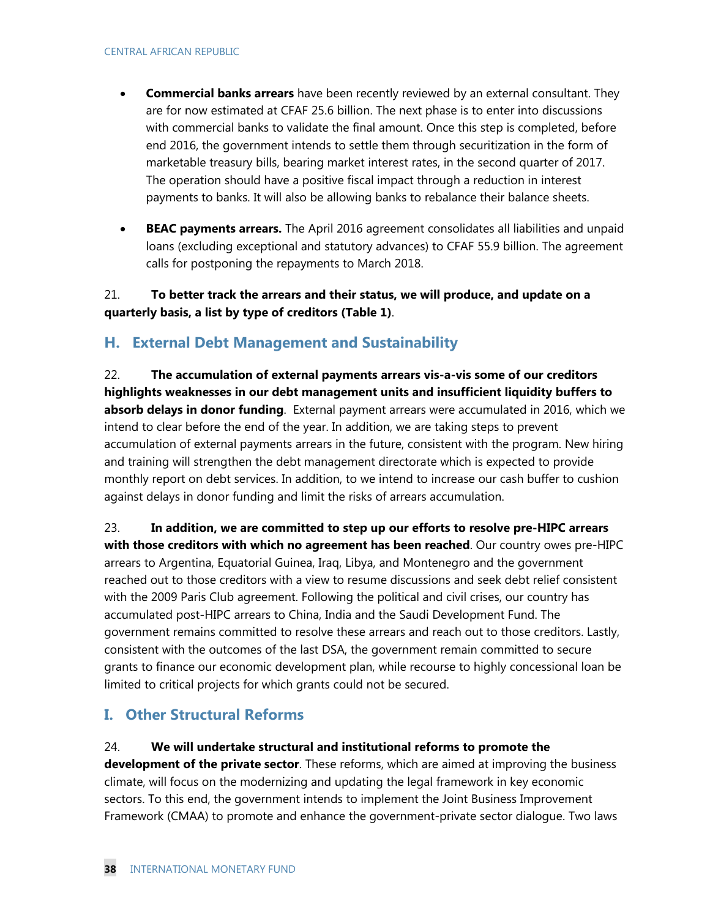- **Commercial banks arrears** have been recently reviewed by an external consultant. They are for now estimated at CFAF 25.6 billion. The next phase is to enter into discussions with commercial banks to validate the final amount. Once this step is completed, before end 2016, the government intends to settle them through securitization in the form of marketable treasury bills, bearing market interest rates, in the second quarter of 2017. The operation should have a positive fiscal impact through a reduction in interest payments to banks. It will also be allowing banks to rebalance their balance sheets.
- **BEAC payments arrears.** The April 2016 agreement consolidates all liabilities and unpaid loans (excluding exceptional and statutory advances) to CFAF 55.9 billion. The agreement calls for postponing the repayments to March 2018.

21. **To better track the arrears and their status, we will produce, and update on a quarterly basis, a list by type of creditors (Table 1)**.

# **H. External Debt Management and Sustainability**

22. **The accumulation of external payments arrears vis-a-vis some of our creditors highlights weaknesses in our debt management units and insufficient liquidity buffers to absorb delays in donor funding**. External payment arrears were accumulated in 2016, which we intend to clear before the end of the year. In addition, we are taking steps to prevent accumulation of external payments arrears in the future, consistent with the program. New hiring and training will strengthen the debt management directorate which is expected to provide monthly report on debt services. In addition, to we intend to increase our cash buffer to cushion against delays in donor funding and limit the risks of arrears accumulation.

23. **In addition, we are committed to step up our efforts to resolve pre-HIPC arrears with those creditors with which no agreement has been reached**. Our country owes pre-HIPC arrears to Argentina, Equatorial Guinea, Iraq, Libya, and Montenegro and the government reached out to those creditors with a view to resume discussions and seek debt relief consistent with the 2009 Paris Club agreement. Following the political and civil crises, our country has accumulated post-HIPC arrears to China, India and the Saudi Development Fund. The government remains committed to resolve these arrears and reach out to those creditors. Lastly, consistent with the outcomes of the last DSA, the government remain committed to secure grants to finance our economic development plan, while recourse to highly concessional loan be limited to critical projects for which grants could not be secured.

# **I. Other Structural Reforms**

### 24. **We will undertake structural and institutional reforms to promote the**

**development of the private sector**. These reforms, which are aimed at improving the business climate, will focus on the modernizing and updating the legal framework in key economic sectors. To this end, the government intends to implement the Joint Business Improvement Framework (CMAA) to promote and enhance the government-private sector dialogue. Two laws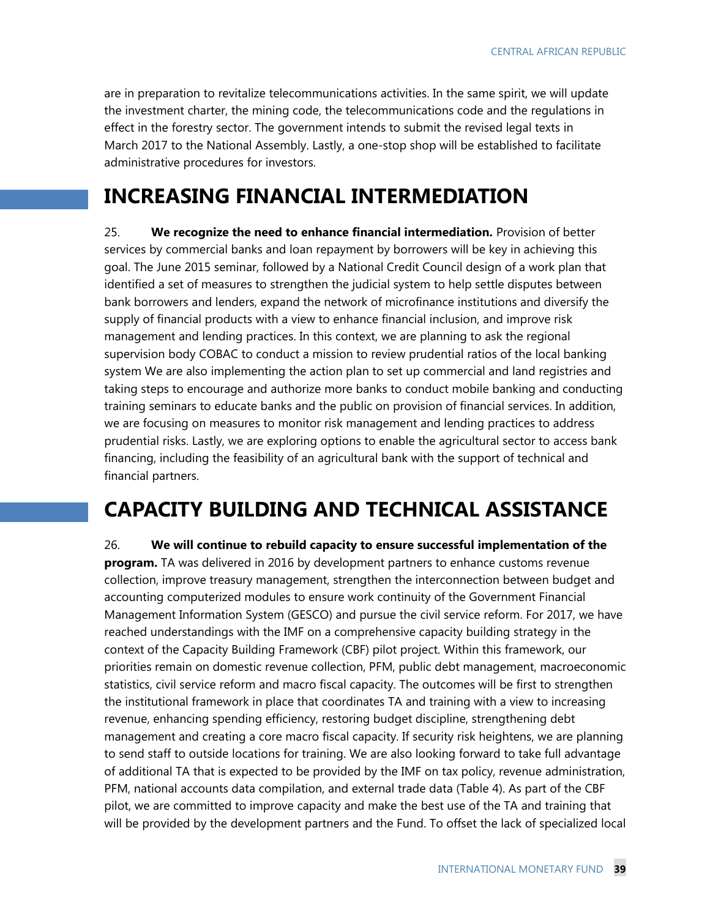are in preparation to revitalize telecommunications activities. In the same spirit, we will update the investment charter, the mining code, the telecommunications code and the regulations in effect in the forestry sector. The government intends to submit the revised legal texts in March 2017 to the National Assembly. Lastly, a one-stop shop will be established to facilitate administrative procedures for investors.

# **INCREASING FINANCIAL INTERMEDIATION**

25. **We recognize the need to enhance financial intermediation.** Provision of better services by commercial banks and loan repayment by borrowers will be key in achieving this goal. The June 2015 seminar, followed by a National Credit Council design of a work plan that identified a set of measures to strengthen the judicial system to help settle disputes between bank borrowers and lenders, expand the network of microfinance institutions and diversify the supply of financial products with a view to enhance financial inclusion, and improve risk management and lending practices. In this context, we are planning to ask the regional supervision body COBAC to conduct a mission to review prudential ratios of the local banking system We are also implementing the action plan to set up commercial and land registries and taking steps to encourage and authorize more banks to conduct mobile banking and conducting training seminars to educate banks and the public on provision of financial services. In addition, we are focusing on measures to monitor risk management and lending practices to address prudential risks. Lastly, we are exploring options to enable the agricultural sector to access bank financing, including the feasibility of an agricultural bank with the support of technical and financial partners.

# **CAPACITY BUILDING AND TECHNICAL ASSISTANCE**

26. **We will continue to rebuild capacity to ensure successful implementation of the program.** TA was delivered in 2016 by development partners to enhance customs revenue collection, improve treasury management, strengthen the interconnection between budget and accounting computerized modules to ensure work continuity of the Government Financial Management Information System (GESCO) and pursue the civil service reform. For 2017, we have reached understandings with the IMF on a comprehensive capacity building strategy in the context of the Capacity Building Framework (CBF) pilot project. Within this framework, our priorities remain on domestic revenue collection, PFM, public debt management, macroeconomic statistics, civil service reform and macro fiscal capacity. The outcomes will be first to strengthen the institutional framework in place that coordinates TA and training with a view to increasing revenue, enhancing spending efficiency, restoring budget discipline, strengthening debt management and creating a core macro fiscal capacity. If security risk heightens, we are planning to send staff to outside locations for training. We are also looking forward to take full advantage of additional TA that is expected to be provided by the IMF on tax policy, revenue administration, PFM, national accounts data compilation, and external trade data (Table 4). As part of the CBF pilot, we are committed to improve capacity and make the best use of the TA and training that will be provided by the development partners and the Fund. To offset the lack of specialized local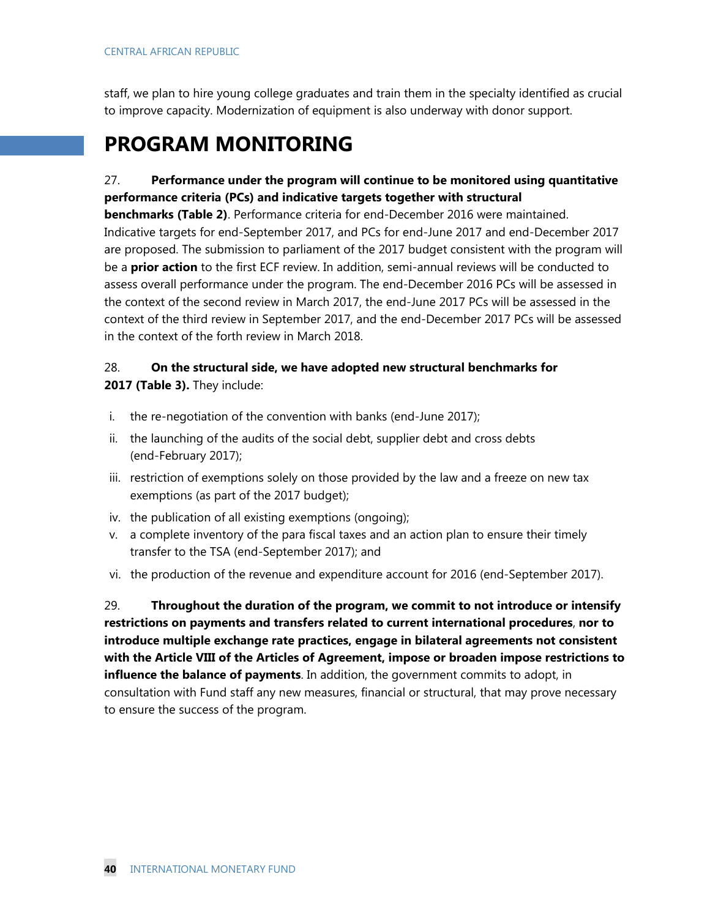staff, we plan to hire young college graduates and train them in the specialty identified as crucial to improve capacity. Modernization of equipment is also underway with donor support.

# **PROGRAM MONITORING**

### 27. **Performance under the program will continue to be monitored using quantitative performance criteria (PCs) and indicative targets together with structural**

**benchmarks (Table 2)**. Performance criteria for end-December 2016 were maintained. Indicative targets for end-September 2017, and PCs for end-June 2017 and end-December 2017 are proposed. The submission to parliament of the 2017 budget consistent with the program will be a **prior action** to the first ECF review. In addition, semi-annual reviews will be conducted to assess overall performance under the program. The end-December 2016 PCs will be assessed in the context of the second review in March 2017, the end-June 2017 PCs will be assessed in the context of the third review in September 2017, and the end-December 2017 PCs will be assessed in the context of the forth review in March 2018.

### 28. **On the structural side, we have adopted new structural benchmarks for 2017 (Table 3).** They include:

- i. the re-negotiation of the convention with banks (end-June 2017);
- ii. the launching of the audits of the social debt, supplier debt and cross debts (end-February 2017);
- iii. restriction of exemptions solely on those provided by the law and a freeze on new tax exemptions (as part of the 2017 budget);
- iv. the publication of all existing exemptions (ongoing);
- v. a complete inventory of the para fiscal taxes and an action plan to ensure their timely transfer to the TSA (end-September 2017); and
- vi. the production of the revenue and expenditure account for 2016 (end-September 2017).

29. **Throughout the duration of the program, we commit to not introduce or intensify restrictions on payments and transfers related to current international procedures**, **nor to introduce multiple exchange rate practices, engage in bilateral agreements not consistent with the Article VIII of the Articles of Agreement, impose or broaden impose restrictions to influence the balance of payments**. In addition, the government commits to adopt, in consultation with Fund staff any new measures, financial or structural, that may prove necessary to ensure the success of the program.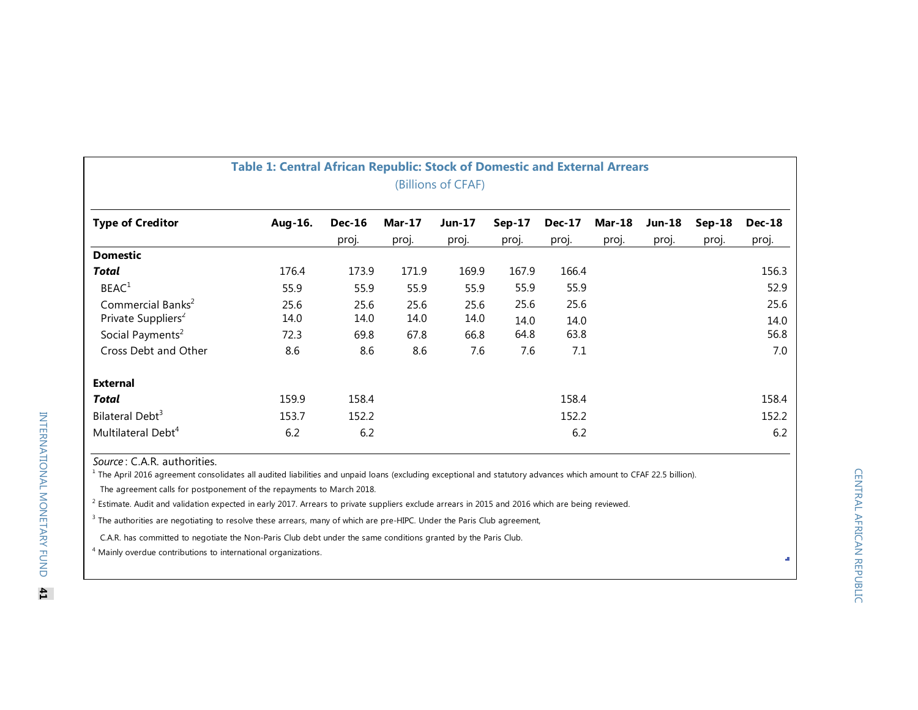| Table 1: Central African Republic: Stock of Domestic and External Arrears<br>(Billions of CFAF) |              |                        |                        |                        |                 |                        |                        |                        |                   |                        |
|-------------------------------------------------------------------------------------------------|--------------|------------------------|------------------------|------------------------|-----------------|------------------------|------------------------|------------------------|-------------------|------------------------|
| <b>Type of Creditor</b>                                                                         | Aug-16.      | <b>Dec-16</b><br>proj. | <b>Mar-17</b><br>proj. | <b>Jun-17</b><br>proj. | Sep-17<br>proj. | <b>Dec-17</b><br>proj. | <b>Mar-18</b><br>proj. | <b>Jun-18</b><br>proj. | $Sep-18$<br>proj. | <b>Dec-18</b><br>proj. |
| <b>Domestic</b>                                                                                 |              |                        |                        |                        |                 |                        |                        |                        |                   |                        |
| Total                                                                                           | 176.4        | 173.9                  | 171.9                  | 169.9                  | 167.9           | 166.4                  |                        |                        |                   | 156.3                  |
| BEAC <sup>1</sup>                                                                               | 55.9         | 55.9                   | 55.9                   | 55.9                   | 55.9            | 55.9                   |                        |                        |                   | 52.9                   |
| Commercial Banks <sup>2</sup>                                                                   | 25.6         | 25.6                   | 25.6                   | 25.6                   | 25.6            | 25.6                   |                        |                        |                   | 25.6                   |
| Private Suppliers <sup>2</sup><br>Social Payments <sup>2</sup>                                  | 14.0<br>72.3 | 14.0<br>69.8           | 14.0<br>67.8           | 14.0<br>66.8           | 14.0<br>64.8    | 14.0<br>63.8           |                        |                        |                   | 14.0<br>56.8           |
| Cross Debt and Other                                                                            | 8.6          | 8.6                    | 8.6                    | 7.6                    | 7.6             | 7.1                    |                        |                        |                   | 7.0                    |
| <b>External</b>                                                                                 |              |                        |                        |                        |                 |                        |                        |                        |                   |                        |
| Total                                                                                           | 159.9        | 158.4                  |                        |                        |                 | 158.4                  |                        |                        |                   | 158.4                  |
| Bilateral Debt <sup>3</sup>                                                                     | 153.7        | 152.2                  |                        |                        |                 | 152.2                  |                        |                        |                   | 152.2                  |
| Multilateral Debt <sup>4</sup>                                                                  | 6.2          | 6.2                    |                        |                        |                 | 6.2                    |                        |                        |                   | 6.2                    |

**Source: C.A.R. authorities.** 

<sup>1</sup> The April 2016 agreement consolidates all audited liabilities and unpaid loans (excluding exceptional and statutory advances which amount to CFAF 22.5 billion).

The agreement calls for postponement of the repayments to March 2018.

<sup>2</sup> Estimate. Audit and validation expected in early 2017. Arrears to private suppliers exclude arrears in 2015 and 2016 which are being reviewed.

<sup>3</sup> The authorities are negotiating to resolve these arrears, many of which are pre-HIPC. Under the Paris Club agreement,

C.A.R. has committed to negotiate the Non-Paris Club debt under the same conditions granted by the Paris Club.

4 Mainly overdue contributions to international organizations.

 $\bar{d}$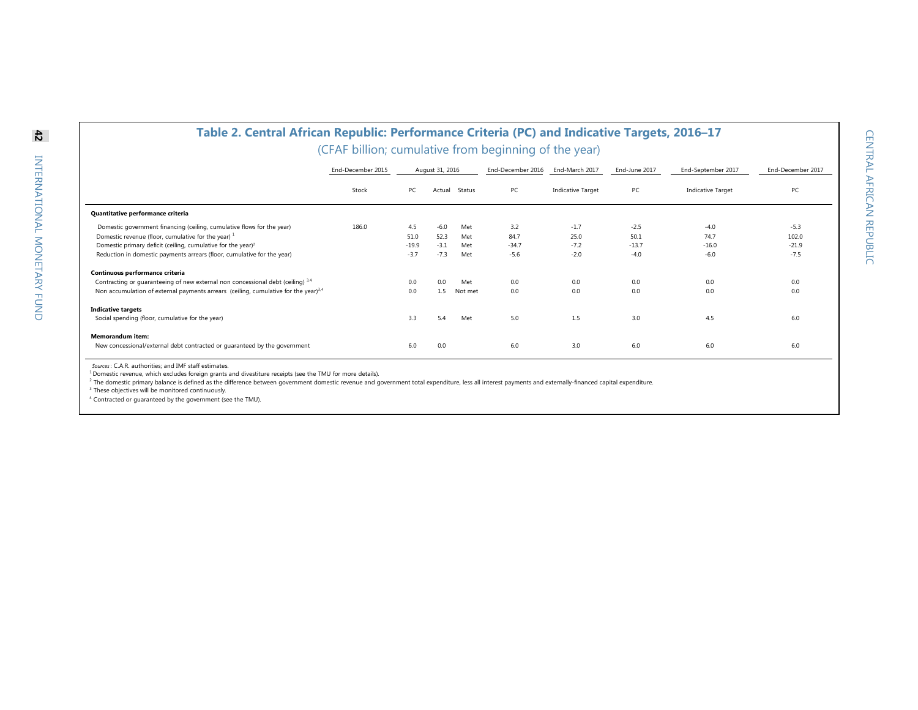$\overline{a}$ 

| Table 2. Central African Republic: Performance Criteria (PC) and Indicative Targets, 2016-17                                                                                       |                                                       |                   |                  |                |                   |                          |                   |                          |                   |
|------------------------------------------------------------------------------------------------------------------------------------------------------------------------------------|-------------------------------------------------------|-------------------|------------------|----------------|-------------------|--------------------------|-------------------|--------------------------|-------------------|
|                                                                                                                                                                                    | (CFAF billion; cumulative from beginning of the year) |                   |                  |                |                   |                          |                   |                          |                   |
|                                                                                                                                                                                    | End-December 2015                                     |                   | August 31, 2016  |                | End-December 2016 | End-March 2017           | End-June 2017     | End-September 2017       | End-December 2017 |
|                                                                                                                                                                                    | Stock                                                 | PC                | Actual           | Status         | PC                | <b>Indicative Target</b> | PC                | <b>Indicative Target</b> | PC                |
| Quantitative performance criteria                                                                                                                                                  |                                                       |                   |                  |                |                   |                          |                   |                          |                   |
| Domestic government financing (ceiling, cumulative flows for the year)<br>Domestic revenue (floor, cumulative for the year) $1$                                                    | 186.0                                                 | 4.5<br>51.0       | $-6.0$<br>52.3   | Met<br>Met     | 3.2<br>84.7       | $-1.7$<br>25.0           | $-2.5$<br>50.1    | $-4.0$<br>74.7           | $-5.3$<br>102.0   |
| Domestic primary deficit (ceiling, cumulative for the year) <sup>2</sup><br>Reduction in domestic payments arrears (floor, cumulative for the year)                                |                                                       | $-19.9$<br>$-3.7$ | $-3.1$<br>$-7.3$ | Met<br>Met     | $-34.7$<br>$-5.6$ | $-7.2$<br>$-2.0$         | $-13.7$<br>$-4.0$ | $-16.0$<br>$-6.0$        | $-21.9$<br>$-7.5$ |
| Continuous performance criteria                                                                                                                                                    |                                                       |                   |                  |                |                   |                          |                   |                          |                   |
| Contracting or guaranteeing of new external non concessional debt (ceiling) 3,4<br>Non accumulation of external payments arrears (ceiling, cumulative for the year) <sup>3,4</sup> |                                                       | 0.0<br>0.0        | 0.0<br>1.5       | Met<br>Not met | 0.0<br>0.0        | 0.0<br>0.0               | 0.0<br>0.0        | 0.0<br>0.0               | 0.0<br>0.0        |
| <b>Indicative targets</b><br>Social spending (floor, cumulative for the year)                                                                                                      |                                                       | 3.3               | 5.4              | Met            | 5.0               | 1.5                      | 3.0               | 4.5                      | 6.0               |
| Memorandum item:<br>New concessional/external debt contracted or quaranteed by the government                                                                                      |                                                       | 6.0               | 0.0              |                | 6.0               | 3.0                      | 6.0               | 6.0                      | 6.0               |

*Sources*: C.A.R. authorities; and IMF staff estimates.

<sup>1</sup> Domestic revenue, which excludes foreign grants and divestiture receipts (see the TMU for more details).<br><sup>2</sup> The domestic primary balance is defined as the difference between government domestic revenue and government

<sup>3</sup> These objectives will be monitored continuously.

4 Contracted or guaranteed by the government (see the TMU).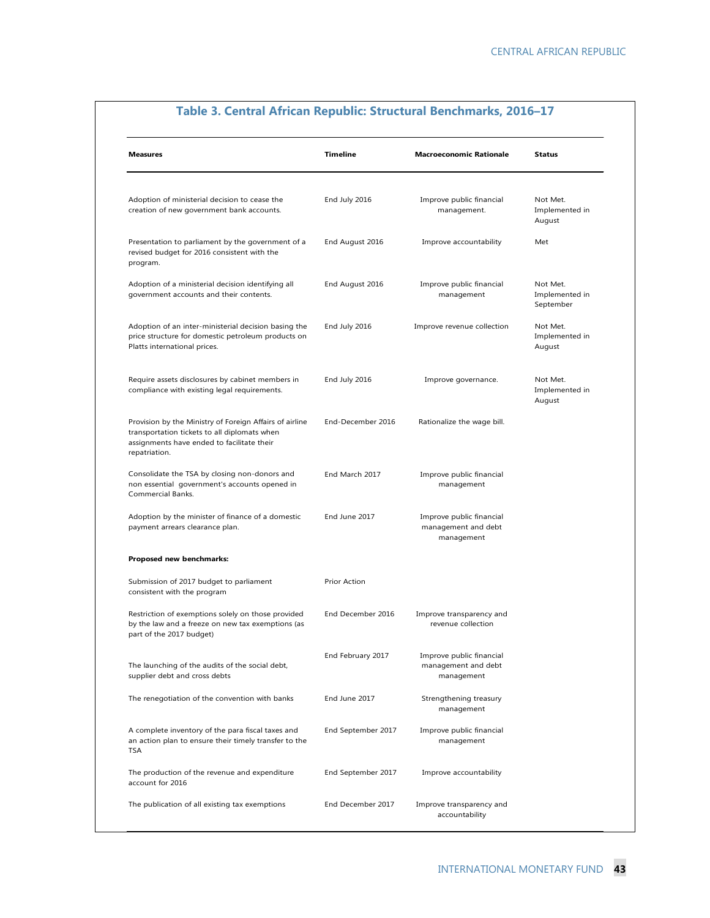| <b>Measures</b>                                                                                                                                                        | <b>Timeline</b>    | <b>Macroeconomic Rationale</b>                                | <b>Status</b>                           |
|------------------------------------------------------------------------------------------------------------------------------------------------------------------------|--------------------|---------------------------------------------------------------|-----------------------------------------|
| Adoption of ministerial decision to cease the<br>creation of new government bank accounts.                                                                             | End July 2016      | Improve public financial<br>management.                       | Not Met.<br>Implemented in<br>August    |
| Presentation to parliament by the government of a<br>revised budget for 2016 consistent with the<br>program.                                                           | End August 2016    | Improve accountability                                        | Met                                     |
| Adoption of a ministerial decision identifying all<br>government accounts and their contents.                                                                          | End August 2016    | Improve public financial<br>management                        | Not Met.<br>Implemented in<br>September |
| Adoption of an inter-ministerial decision basing the<br>price structure for domestic petroleum products on<br>Platts international prices.                             | End July 2016      | Improve revenue collection                                    | Not Met.<br>Implemented in<br>August    |
| Require assets disclosures by cabinet members in<br>compliance with existing legal requirements.                                                                       | End July 2016      | Improve governance.                                           | Not Met.<br>Implemented in<br>August    |
| Provision by the Ministry of Foreign Affairs of airline<br>transportation tickets to all diplomats when<br>assignments have ended to facilitate their<br>repatriation. | End-December 2016  | Rationalize the wage bill.                                    |                                         |
| Consolidate the TSA by closing non-donors and<br>non essential government's accounts opened in<br>Commercial Banks.                                                    | End March 2017     | Improve public financial<br>management                        |                                         |
| Adoption by the minister of finance of a domestic<br>payment arrears clearance plan.                                                                                   | End June 2017      | Improve public financial<br>management and debt<br>management |                                         |
| Proposed new benchmarks:                                                                                                                                               |                    |                                                               |                                         |
| Submission of 2017 budget to parliament<br>consistent with the program                                                                                                 | Prior Action       |                                                               |                                         |
| Restriction of exemptions solely on those provided<br>by the law and a freeze on new tax exemptions (as<br>part of the 2017 budget)                                    | End December 2016  | Improve transparency and<br>revenue collection                |                                         |
| The launching of the audits of the social debt,<br>supplier debt and cross debts                                                                                       | End February 2017  | Improve public financial<br>management and debt<br>management |                                         |
| The renegotiation of the convention with banks                                                                                                                         | End June 2017      | Strengthening treasury<br>management                          |                                         |
| A complete inventory of the para fiscal taxes and<br>an action plan to ensure their timely transfer to the<br><b>TSA</b>                                               | End September 2017 | Improve public financial<br>management                        |                                         |
| The production of the revenue and expenditure<br>account for 2016                                                                                                      | End September 2017 | Improve accountability                                        |                                         |
| The publication of all existing tax exemptions                                                                                                                         | End December 2017  | Improve transparency and<br>accountability                    |                                         |

# **Table 3. Central African Republic: Structural Benchmarks, 2016–17**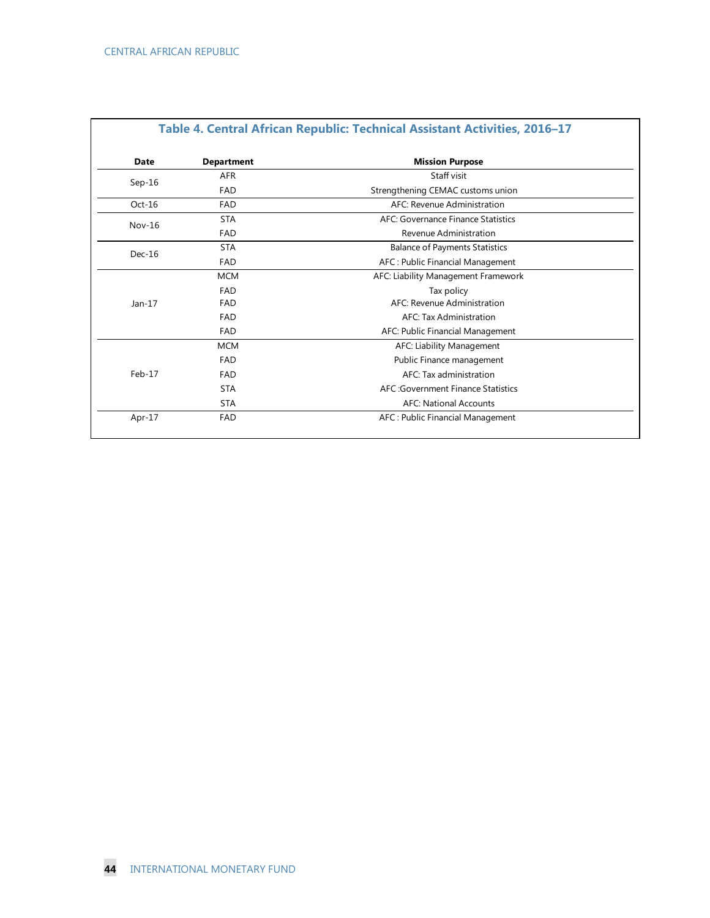| Date     | <b>Department</b> | <b>Mission Purpose</b>                |
|----------|-------------------|---------------------------------------|
| $Sep-16$ | <b>AFR</b>        | Staff visit                           |
|          | FAD               | Strengthening CEMAC customs union     |
| $Oct-16$ | FAD               | AFC: Revenue Administration           |
| $Nov-16$ | <b>STA</b>        | AFC: Governance Finance Statistics    |
| FAD      |                   | Revenue Administration                |
| $Dec-16$ | <b>STA</b>        | <b>Balance of Payments Statistics</b> |
|          | FAD               | AFC: Public Financial Management      |
|          | <b>MCM</b>        | AFC: Liability Management Framework   |
|          | FAD               | Tax policy                            |
| $Jan-17$ | FAD               | AFC: Revenue Administration           |
|          | FAD               | AFC: Tax Administration               |
|          | FAD               | AFC: Public Financial Management      |
|          | <b>MCM</b>        | AFC: Liability Management             |
|          | FAD               | Public Finance management             |
| $Feb-17$ | FAD               | AFC: Tax administration               |
|          | <b>STA</b>        | AFC: Government Finance Statistics    |
|          | <b>STA</b>        | <b>AFC: National Accounts</b>         |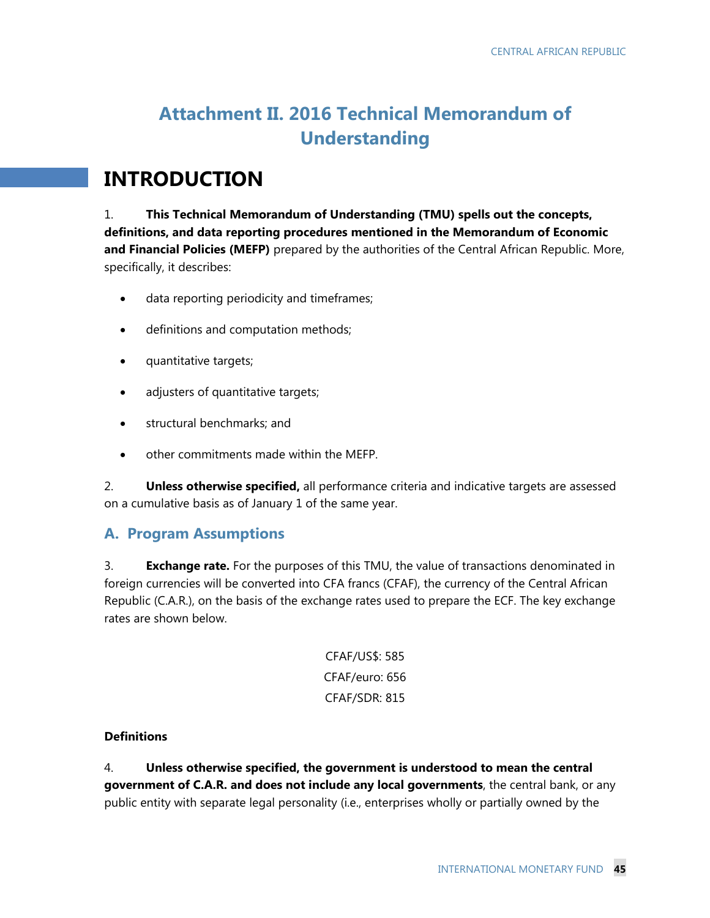# **Attachment II. 2016 Technical Memorandum of Understanding**

# **INTRODUCTION**

1. **This Technical Memorandum of Understanding (TMU) spells out the concepts, definitions, and data reporting procedures mentioned in the Memorandum of Economic and Financial Policies (MEFP)** prepared by the authorities of the Central African Republic. More, specifically, it describes:

- data reporting periodicity and timeframes;
- definitions and computation methods;
- quantitative targets;
- adjusters of quantitative targets;
- structural benchmarks; and
- other commitments made within the MEFP.

2. **Unless otherwise specified,** all performance criteria and indicative targets are assessed on a cumulative basis as of January 1 of the same year.

# **A. Program Assumptions**

3. **Exchange rate.** For the purposes of this TMU, the value of transactions denominated in foreign currencies will be converted into CFA francs (CFAF), the currency of the Central African Republic (C.A.R.), on the basis of the exchange rates used to prepare the ECF. The key exchange rates are shown below.

> CFAF/US\$: 585 CFAF/euro: 656 CFAF/SDR: 815

### **Definitions**

4. **Unless otherwise specified, the government is understood to mean the central government of C.A.R. and does not include any local governments**, the central bank, or any public entity with separate legal personality (i.e., enterprises wholly or partially owned by the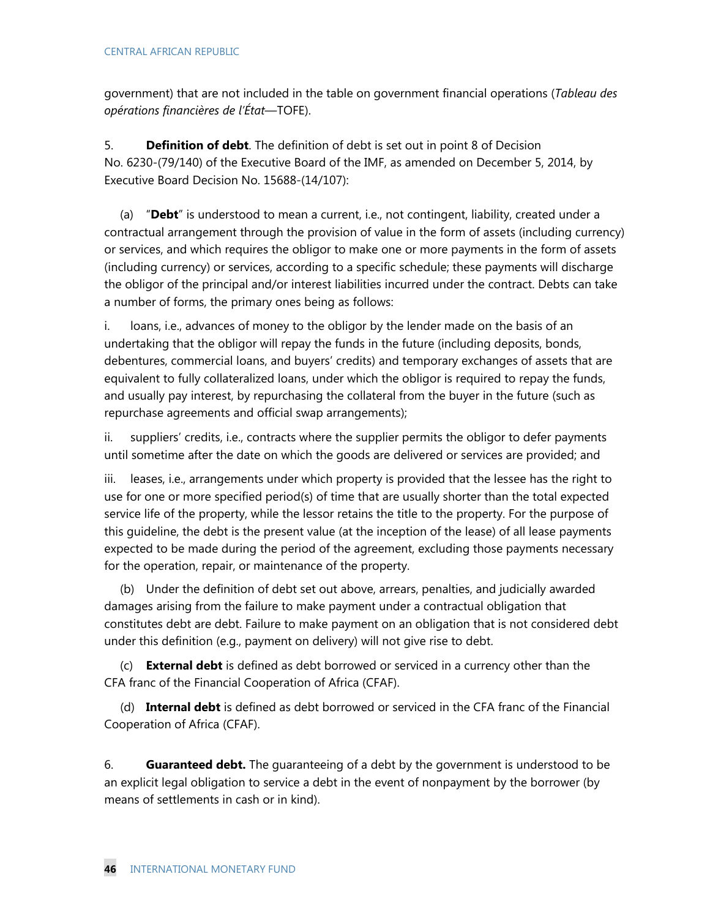government) that are not included in the table on government financial operations (*Tableau des opérations financières de l'État*—TOFE).

5. **Definition of debt**. The definition of debt is set out in point 8 of Decision No. 6230-(79/140) of the Executive Board of the IMF, as amended on December 5, 2014, by Executive Board Decision No. 15688-(14/107):

(a) "**Debt**" is understood to mean a current, i.e., not contingent, liability, created under a contractual arrangement through the provision of value in the form of assets (including currency) or services, and which requires the obligor to make one or more payments in the form of assets (including currency) or services, according to a specific schedule; these payments will discharge the obligor of the principal and/or interest liabilities incurred under the contract. Debts can take a number of forms, the primary ones being as follows:

i. loans, i.e., advances of money to the obligor by the lender made on the basis of an undertaking that the obligor will repay the funds in the future (including deposits, bonds, debentures, commercial loans, and buyers' credits) and temporary exchanges of assets that are equivalent to fully collateralized loans, under which the obligor is required to repay the funds, and usually pay interest, by repurchasing the collateral from the buyer in the future (such as repurchase agreements and official swap arrangements);

ii. suppliers' credits, i.e., contracts where the supplier permits the obligor to defer payments until sometime after the date on which the goods are delivered or services are provided; and

iii. leases, i.e., arrangements under which property is provided that the lessee has the right to use for one or more specified period(s) of time that are usually shorter than the total expected service life of the property, while the lessor retains the title to the property. For the purpose of this guideline, the debt is the present value (at the inception of the lease) of all lease payments expected to be made during the period of the agreement, excluding those payments necessary for the operation, repair, or maintenance of the property.

(b) Under the definition of debt set out above, arrears, penalties, and judicially awarded damages arising from the failure to make payment under a contractual obligation that constitutes debt are debt. Failure to make payment on an obligation that is not considered debt under this definition (e.g., payment on delivery) will not give rise to debt.

(c) **External debt** is defined as debt borrowed or serviced in a currency other than the CFA franc of the Financial Cooperation of Africa (CFAF).

(d) **Internal debt** is defined as debt borrowed or serviced in the CFA franc of the Financial Cooperation of Africa (CFAF).

6. **Guaranteed debt.** The guaranteeing of a debt by the government is understood to be an explicit legal obligation to service a debt in the event of nonpayment by the borrower (by means of settlements in cash or in kind).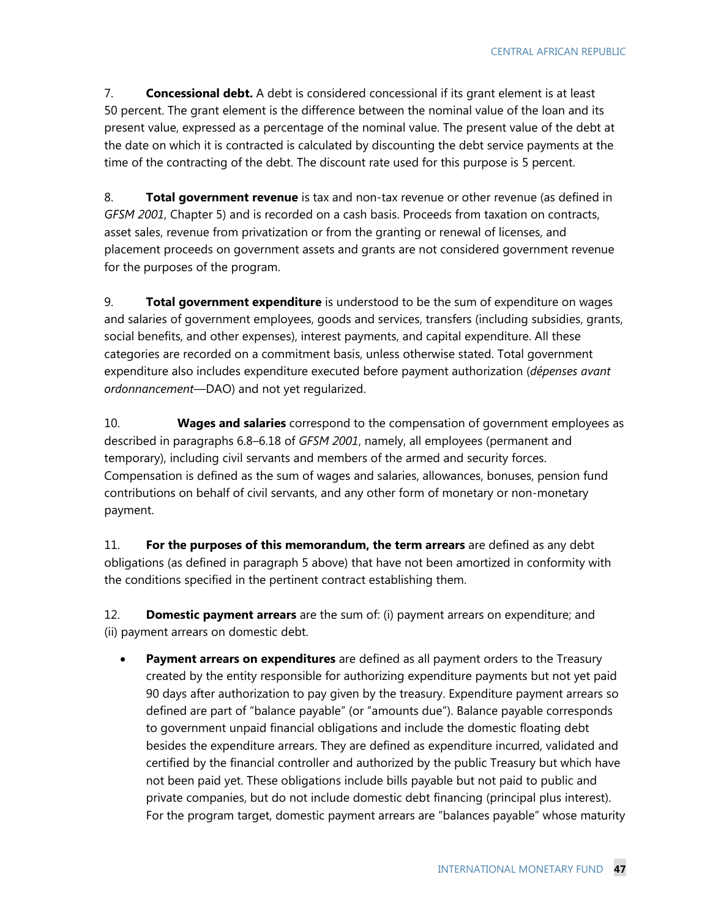7. **Concessional debt.** A debt is considered concessional if its grant element is at least 50 percent. The grant element is the difference between the nominal value of the loan and its present value, expressed as a percentage of the nominal value. The present value of the debt at the date on which it is contracted is calculated by discounting the debt service payments at the time of the contracting of the debt. The discount rate used for this purpose is 5 percent.

8. **Total government revenue** is tax and non-tax revenue or other revenue (as defined in *GFSM 2001*, Chapter 5) and is recorded on a cash basis. Proceeds from taxation on contracts, asset sales, revenue from privatization or from the granting or renewal of licenses, and placement proceeds on government assets and grants are not considered government revenue for the purposes of the program.

9. **Total government expenditure** is understood to be the sum of expenditure on wages and salaries of government employees, goods and services, transfers (including subsidies, grants, social benefits, and other expenses), interest payments, and capital expenditure. All these categories are recorded on a commitment basis, unless otherwise stated. Total government expenditure also includes expenditure executed before payment authorization (*dépenses avant ordonnancement*—DAO) and not yet regularized.

10. **Wages and salaries** correspond to the compensation of government employees as described in paragraphs 6.8–6.18 of *GFSM 2001*, namely, all employees (permanent and temporary), including civil servants and members of the armed and security forces. Compensation is defined as the sum of wages and salaries, allowances, bonuses, pension fund contributions on behalf of civil servants, and any other form of monetary or non-monetary payment.

11. **For the purposes of this memorandum, the term arrears** are defined as any debt obligations (as defined in paragraph 5 above) that have not been amortized in conformity with the conditions specified in the pertinent contract establishing them.

12. **Domestic payment arrears** are the sum of: (i) payment arrears on expenditure; and (ii) payment arrears on domestic debt.

 **Payment arrears on expenditures** are defined as all payment orders to the Treasury created by the entity responsible for authorizing expenditure payments but not yet paid 90 days after authorization to pay given by the treasury. Expenditure payment arrears so defined are part of "balance payable" (or "amounts due"). Balance payable corresponds to government unpaid financial obligations and include the domestic floating debt besides the expenditure arrears. They are defined as expenditure incurred, validated and certified by the financial controller and authorized by the public Treasury but which have not been paid yet. These obligations include bills payable but not paid to public and private companies, but do not include domestic debt financing (principal plus interest). For the program target, domestic payment arrears are "balances payable" whose maturity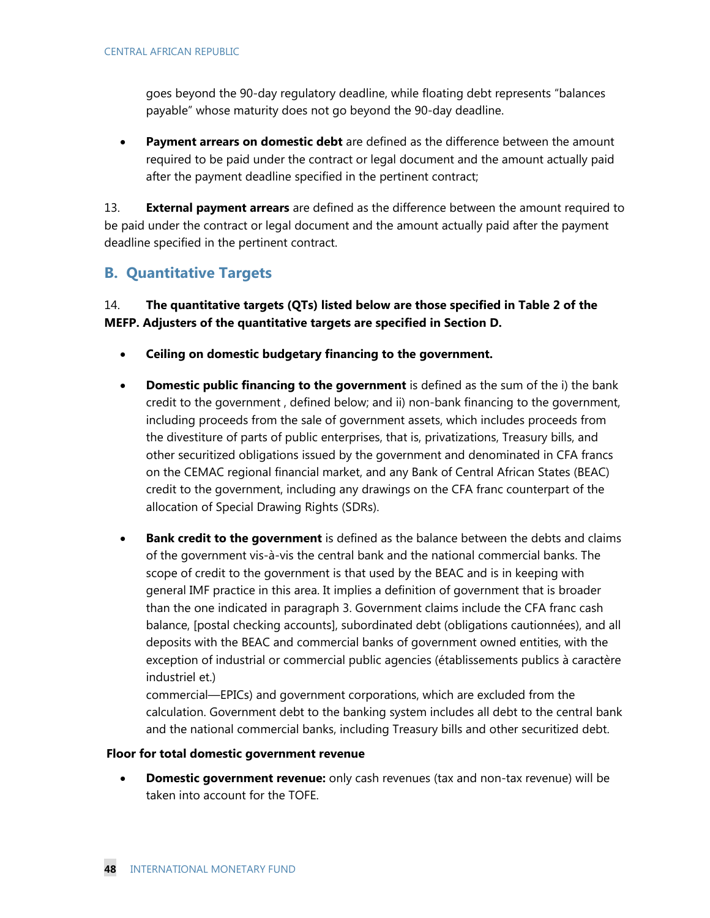goes beyond the 90-day regulatory deadline, while floating debt represents "balances payable" whose maturity does not go beyond the 90-day deadline.

 **Payment arrears on domestic debt** are defined as the difference between the amount required to be paid under the contract or legal document and the amount actually paid after the payment deadline specified in the pertinent contract;

13. **External payment arrears** are defined as the difference between the amount required to be paid under the contract or legal document and the amount actually paid after the payment deadline specified in the pertinent contract.

# **B. Quantitative Targets**

14. **The quantitative targets (QTs) listed below are those specified in Table 2 of the MEFP. Adjusters of the quantitative targets are specified in Section D.** 

- **Ceiling on domestic budgetary financing to the government.**
- **Domestic public financing to the government** is defined as the sum of the i) the bank credit to the government , defined below; and ii) non-bank financing to the government, including proceeds from the sale of government assets, which includes proceeds from the divestiture of parts of public enterprises, that is, privatizations, Treasury bills, and other securitized obligations issued by the government and denominated in CFA francs on the CEMAC regional financial market, and any Bank of Central African States (BEAC) credit to the government, including any drawings on the CFA franc counterpart of the allocation of Special Drawing Rights (SDRs).
- **Bank credit to the government** is defined as the balance between the debts and claims of the government vis-à-vis the central bank and the national commercial banks. The scope of credit to the government is that used by the BEAC and is in keeping with general IMF practice in this area. It implies a definition of government that is broader than the one indicated in paragraph 3. Government claims include the CFA franc cash balance, [postal checking accounts], subordinated debt (obligations cautionnées), and all deposits with the BEAC and commercial banks of government owned entities, with the exception of industrial or commercial public agencies (établissements publics à caractère industriel et.)

commercial—EPICs) and government corporations, which are excluded from the calculation. Government debt to the banking system includes all debt to the central bank and the national commercial banks, including Treasury bills and other securitized debt.

#### **Floor for total domestic government revenue**

 **Domestic government revenue:** only cash revenues (tax and non-tax revenue) will be taken into account for the TOFE.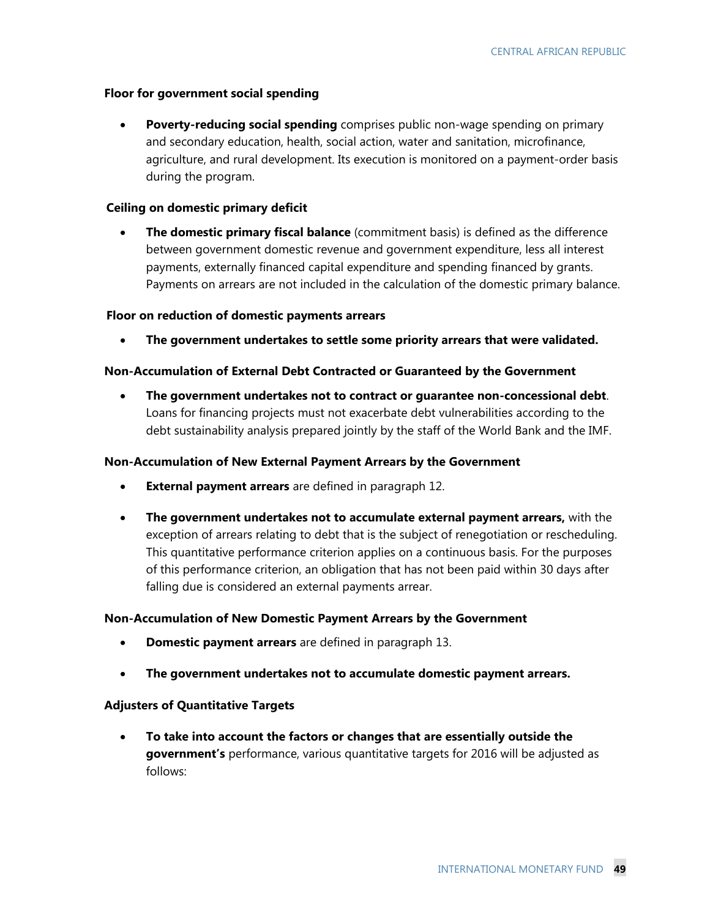#### **Floor for government social spending**

 **Poverty-reducing social spending** comprises public non-wage spending on primary and secondary education, health, social action, water and sanitation, microfinance, agriculture, and rural development. Its execution is monitored on a payment-order basis during the program.

#### **Ceiling on domestic primary deficit**

 **The domestic primary fiscal balance** (commitment basis) is defined as the difference between government domestic revenue and government expenditure, less all interest payments, externally financed capital expenditure and spending financed by grants. Payments on arrears are not included in the calculation of the domestic primary balance.

#### **Floor on reduction of domestic payments arrears**

**The government undertakes to settle some priority arrears that were validated.** 

#### **Non-Accumulation of External Debt Contracted or Guaranteed by the Government**

 **The government undertakes not to contract or guarantee non-concessional debt**. Loans for financing projects must not exacerbate debt vulnerabilities according to the debt sustainability analysis prepared jointly by the staff of the World Bank and the IMF.

#### **Non-Accumulation of New External Payment Arrears by the Government**

- **External payment arrears** are defined in paragraph 12.
- **The government undertakes not to accumulate external payment arrears,** with the exception of arrears relating to debt that is the subject of renegotiation or rescheduling. This quantitative performance criterion applies on a continuous basis. For the purposes of this performance criterion, an obligation that has not been paid within 30 days after falling due is considered an external payments arrear.

#### **Non-Accumulation of New Domestic Payment Arrears by the Government**

- **Domestic payment arrears** are defined in paragraph 13.
- **The government undertakes not to accumulate domestic payment arrears.**

#### **Adjusters of Quantitative Targets**

 **To take into account the factors or changes that are essentially outside the government's** performance, various quantitative targets for 2016 will be adjusted as follows: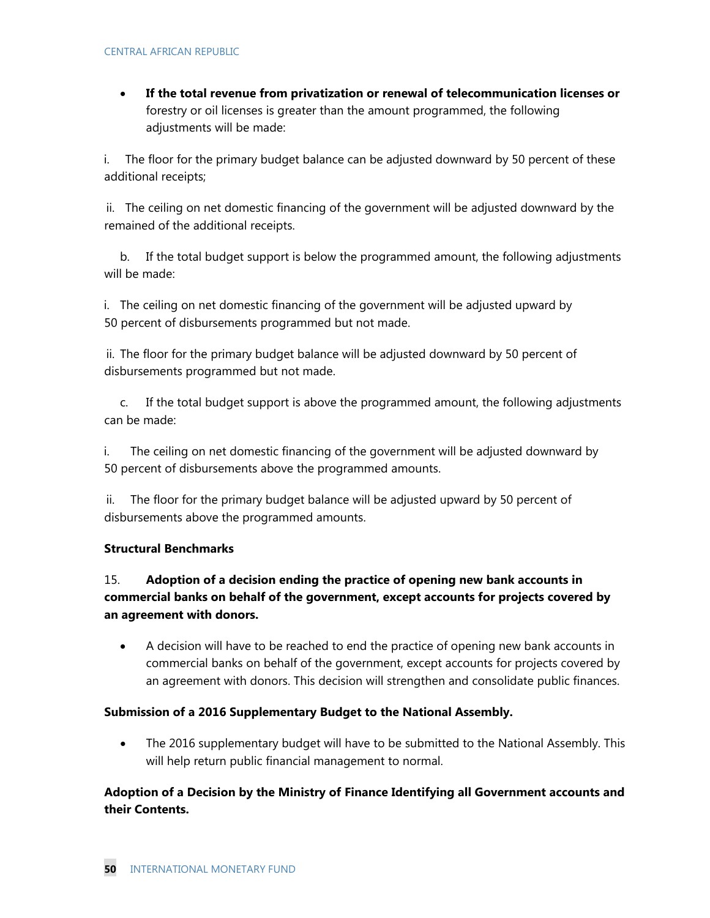**If the total revenue from privatization or renewal of telecommunication licenses or**  forestry or oil licenses is greater than the amount programmed, the following adjustments will be made:

i. The floor for the primary budget balance can be adjusted downward by 50 percent of these additional receipts;

ii. The ceiling on net domestic financing of the government will be adjusted downward by the remained of the additional receipts.

b. If the total budget support is below the programmed amount, the following adjustments will be made:

i. The ceiling on net domestic financing of the government will be adjusted upward by 50 percent of disbursements programmed but not made.

ii. The floor for the primary budget balance will be adjusted downward by 50 percent of disbursements programmed but not made.

c. If the total budget support is above the programmed amount, the following adjustments can be made:

i. The ceiling on net domestic financing of the government will be adjusted downward by 50 percent of disbursements above the programmed amounts.

ii. The floor for the primary budget balance will be adjusted upward by 50 percent of disbursements above the programmed amounts.

### **Structural Benchmarks**

### 15. **Adoption of a decision ending the practice of opening new bank accounts in commercial banks on behalf of the government, except accounts for projects covered by an agreement with donors.**

 A decision will have to be reached to end the practice of opening new bank accounts in commercial banks on behalf of the government, except accounts for projects covered by an agreement with donors. This decision will strengthen and consolidate public finances.

### **Submission of a 2016 Supplementary Budget to the National Assembly.**

• The 2016 supplementary budget will have to be submitted to the National Assembly. This will help return public financial management to normal.

### **Adoption of a Decision by the Ministry of Finance Identifying all Government accounts and their Contents.**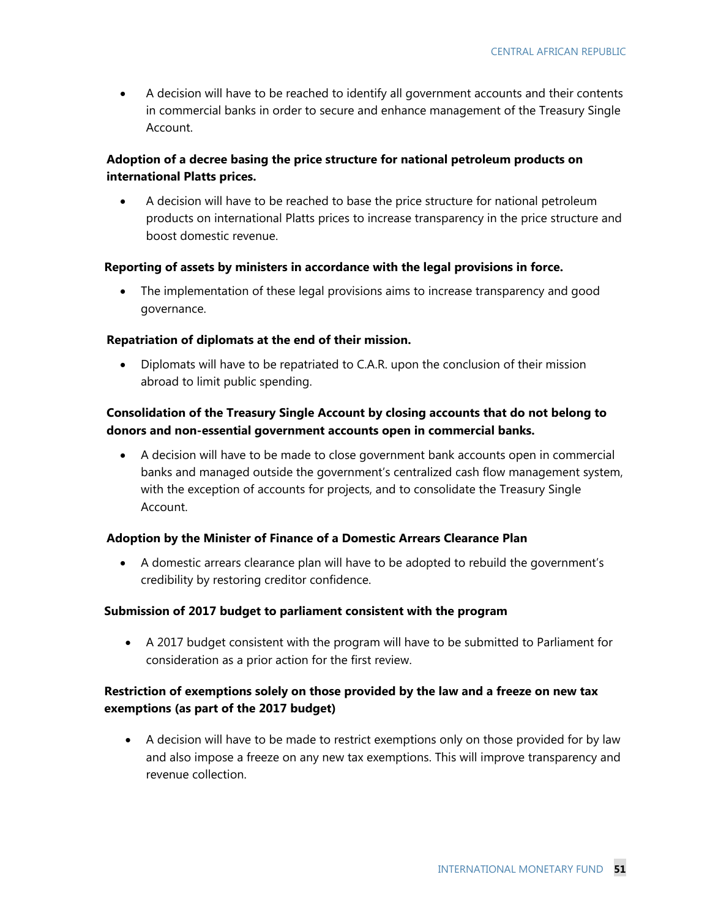A decision will have to be reached to identify all government accounts and their contents in commercial banks in order to secure and enhance management of the Treasury Single Account.

### **Adoption of a decree basing the price structure for national petroleum products on international Platts prices.**

 A decision will have to be reached to base the price structure for national petroleum products on international Platts prices to increase transparency in the price structure and boost domestic revenue.

#### **Reporting of assets by ministers in accordance with the legal provisions in force.**

 The implementation of these legal provisions aims to increase transparency and good governance.

#### **Repatriation of diplomats at the end of their mission.**

 Diplomats will have to be repatriated to C.A.R. upon the conclusion of their mission abroad to limit public spending.

### **Consolidation of the Treasury Single Account by closing accounts that do not belong to donors and non-essential government accounts open in commercial banks.**

 A decision will have to be made to close government bank accounts open in commercial banks and managed outside the government's centralized cash flow management system, with the exception of accounts for projects, and to consolidate the Treasury Single Account.

#### **Adoption by the Minister of Finance of a Domestic Arrears Clearance Plan**

 A domestic arrears clearance plan will have to be adopted to rebuild the government's credibility by restoring creditor confidence.

#### **Submission of 2017 budget to parliament consistent with the program**

 A 2017 budget consistent with the program will have to be submitted to Parliament for consideration as a prior action for the first review.

### **Restriction of exemptions solely on those provided by the law and a freeze on new tax exemptions (as part of the 2017 budget)**

 A decision will have to be made to restrict exemptions only on those provided for by law and also impose a freeze on any new tax exemptions. This will improve transparency and revenue collection.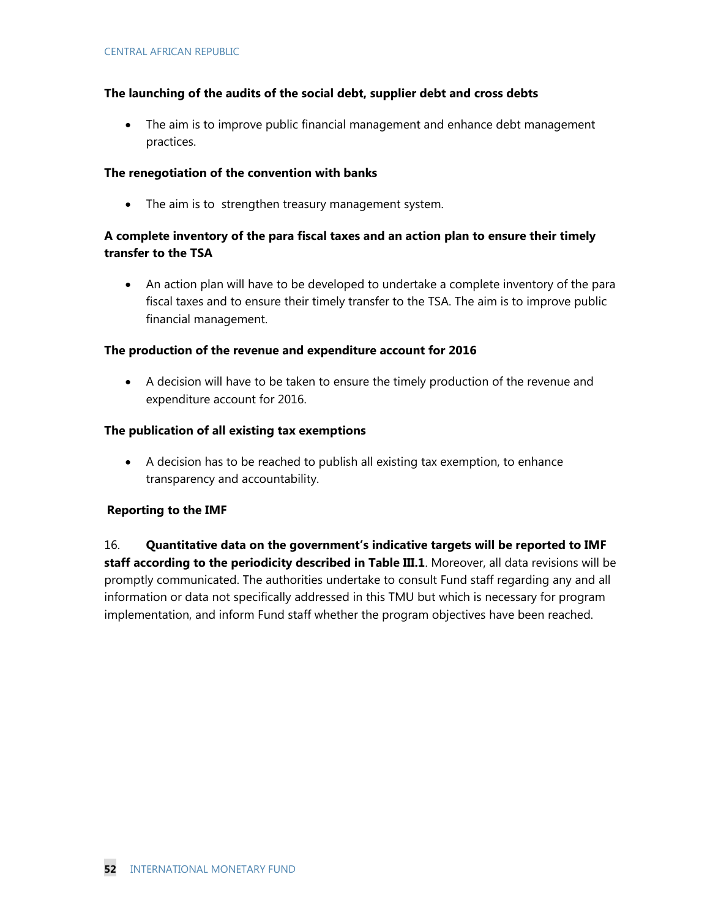### **The launching of the audits of the social debt, supplier debt and cross debts**

 The aim is to improve public financial management and enhance debt management practices.

#### **The renegotiation of the convention with banks**

• The aim is to strengthen treasury management system.

### **A complete inventory of the para fiscal taxes and an action plan to ensure their timely transfer to the TSA**

 An action plan will have to be developed to undertake a complete inventory of the para fiscal taxes and to ensure their timely transfer to the TSA. The aim is to improve public financial management.

### **The production of the revenue and expenditure account for 2016**

 A decision will have to be taken to ensure the timely production of the revenue and expenditure account for 2016.

#### **The publication of all existing tax exemptions**

 A decision has to be reached to publish all existing tax exemption, to enhance transparency and accountability.

### **Reporting to the IMF**

16. **Quantitative data on the government's indicative targets will be reported to IMF staff according to the periodicity described in Table III.1**. Moreover, all data revisions will be promptly communicated. The authorities undertake to consult Fund staff regarding any and all information or data not specifically addressed in this TMU but which is necessary for program implementation, and inform Fund staff whether the program objectives have been reached.